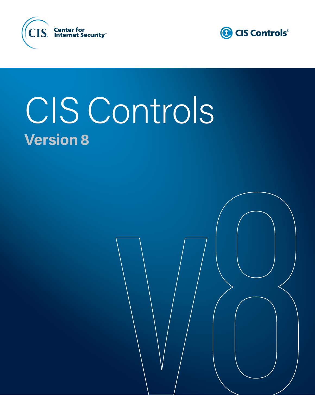



# CIS Controls **Version 8**

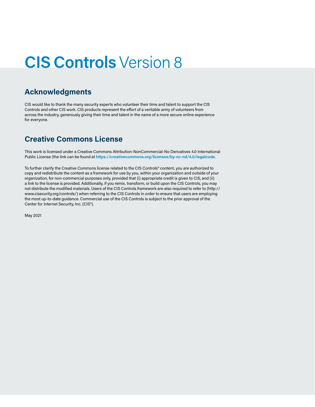### **CIS Controls** Version 8

#### **Acknowledgments**

CIS would like to thank the many security experts who volunteer their time and talent to support the CIS Controls and other CIS work. CIS products represent the effort of a veritable army of volunteers from across the industry, generously giving their time and talent in the name of a more secure online experience for everyone.

### **Creative Commons License**

This work is licensed under a Creative Commons Attribution-NonCommercial-No Derivatives 4.0 International Public License (the link can be found at **<https://creativecommons.org/licenses/by-nc-nd/4.0/legalcode>**.

To further clarify the Creative Commons license related to the CIS Controls® content, you are authorized to copy and redistribute the content as a framework for use by you, within your organization and outside of your organization, for non-commercial purposes only, provided that (i) appropriate credit is given to CIS, and (ii) a link to the license is provided. Additionally, if you remix, transform, or build upon the CIS Controls, you may not distribute the modified materials. Users of the CIS Controls framework are also required to refer to (http:// www.cisecurity.org/controls/) when referring to the CIS Controls in order to ensure that users are employing the most up-to-date guidance. Commercial use of the CIS Controls is subject to the prior approval of the Center for Internet Security, Inc. (CIS®).

May 2021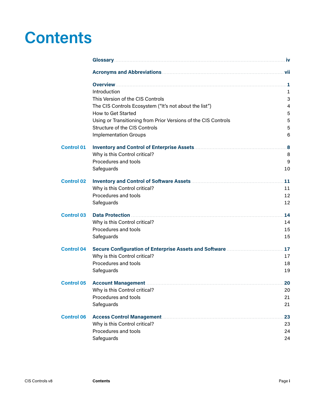### **Contents**

|                   | <b>Overview</b>                                                                                 | .1                      |
|-------------------|-------------------------------------------------------------------------------------------------|-------------------------|
|                   | Introduction                                                                                    | 1                       |
|                   | This Version of the CIS Controls                                                                | 3                       |
|                   | The CIS Controls Ecosystem ("It's not about the list")                                          | 4                       |
|                   | How to Get Started                                                                              | 5                       |
|                   | Using or Transitioning from Prior Versions of the CIS Controls<br>Structure of the CIS Controls | 5                       |
|                   |                                                                                                 | 5                       |
|                   | <b>Implementation Groups</b>                                                                    | 6                       |
| <b>Control 01</b> |                                                                                                 | $\overline{\mathbf{8}}$ |
|                   | Why is this Control critical?                                                                   | 8                       |
|                   | Procedures and tools                                                                            | 9                       |
|                   | Safeguards                                                                                      | 10                      |
| <b>Control 02</b> |                                                                                                 | 11                      |
|                   | Why is this Control critical?                                                                   | 11                      |
|                   | Procedures and tools                                                                            | 12                      |
|                   | Safeguards                                                                                      | 12                      |
| <b>Control 03</b> | <b>Data Protection</b>                                                                          | 14                      |
|                   | Why is this Control critical?                                                                   | 14                      |
|                   | Procedures and tools                                                                            | 15                      |
|                   | Safeguards                                                                                      | 15                      |
| <b>Control 04</b> |                                                                                                 | 17                      |
|                   | Why is this Control critical?                                                                   | 17                      |
|                   | Procedures and tools                                                                            | 18                      |
|                   | Safeguards                                                                                      | 19                      |
| <b>Control 05</b> |                                                                                                 | 20                      |
|                   | Why is this Control critical?                                                                   | 20                      |
|                   | Procedures and tools                                                                            | 21                      |
|                   | Safeguards                                                                                      | 21                      |
| <b>Control 06</b> |                                                                                                 | 23                      |
|                   | Why is this Control critical?                                                                   | 23                      |
|                   | Procedures and tools                                                                            | 24                      |
|                   | Safeguards                                                                                      | 24                      |
|                   |                                                                                                 |                         |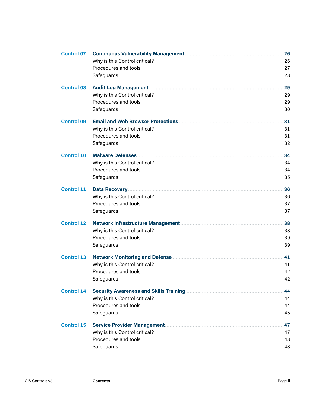| <b>Control 07</b> |                               | 26 |
|-------------------|-------------------------------|----|
|                   | Why is this Control critical? | 26 |
|                   | Procedures and tools          | 27 |
|                   | Safeguards                    | 28 |
| <b>Control 08</b> |                               | 29 |
|                   | Why is this Control critical? | 29 |
|                   | Procedures and tools          | 29 |
|                   | Safeguards                    | 30 |
| <b>Control 09</b> |                               | 31 |
|                   | Why is this Control critical? | 31 |
|                   | Procedures and tools          | 31 |
|                   | Safeguards                    | 32 |
| <b>Control 10</b> |                               | 34 |
|                   | Why is this Control critical? | 34 |
|                   | Procedures and tools          | 34 |
|                   | Safeguards                    | 35 |
| <b>Control 11</b> |                               | 36 |
|                   | Why is this Control critical? | 36 |
|                   | Procedures and tools          | 37 |
|                   | Safeguards                    | 37 |
| <b>Control 12</b> |                               | 38 |
|                   | Why is this Control critical? | 38 |
|                   | Procedures and tools          | 39 |
|                   | Safeguards                    | 39 |
| <b>Control 13</b> |                               | 41 |
|                   | Why is this Control critical? | 41 |
|                   | Procedures and tools          | 42 |
|                   | Safeguards                    | 42 |
| <b>Control 14</b> |                               | 44 |
|                   | Why is this Control critical? | 44 |
|                   | Procedures and tools          | 44 |
|                   | Safeguards                    | 45 |
| <b>Control 15</b> |                               | 47 |
|                   | Why is this Control critical? | 47 |
|                   | Procedures and tools          | 48 |
|                   | Safeguards                    | 48 |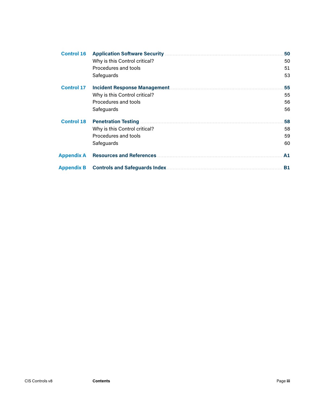| <b>Control 16</b> | <b>Application Software Security</b>  | 50        |
|-------------------|---------------------------------------|-----------|
|                   | Why is this Control critical?         | 50        |
|                   | Procedures and tools                  | 51        |
|                   | Safeguards                            | 53        |
| <b>Control 17</b> | <b>Incident Response Management.</b>  | 55        |
|                   | Why is this Control critical?         | 55        |
|                   | Procedures and tools                  | 56        |
|                   | Safeguards                            | 56        |
| <b>Control 18</b> | <b>Penetration Testing</b>            | 58        |
|                   | Why is this Control critical?         | 58        |
|                   | Procedures and tools                  | 59        |
|                   | Safeguards                            | 60        |
| <b>Appendix A</b> | <b>Resources and References </b>      | A1        |
| <b>Appendix B</b> | <b>Controls and Safeguards Index.</b> | <b>B1</b> |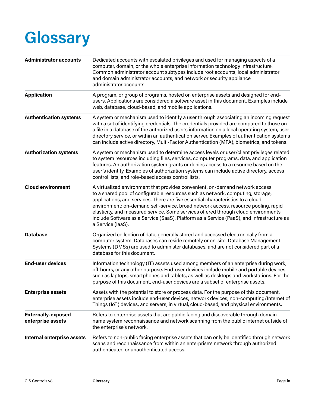## <span id="page-5-0"></span>**Glossary**

| <b>Administrator accounts</b>                  | Dedicated accounts with escalated privileges and used for managing aspects of a<br>computer, domain, or the whole enterprise information technology infrastructure.<br>Common administrator account subtypes include root accounts, local administrator<br>and domain administrator accounts, and network or security appliance<br>administrator accounts.                                                                                                                                                                                       |
|------------------------------------------------|--------------------------------------------------------------------------------------------------------------------------------------------------------------------------------------------------------------------------------------------------------------------------------------------------------------------------------------------------------------------------------------------------------------------------------------------------------------------------------------------------------------------------------------------------|
| <b>Application</b>                             | A program, or group of programs, hosted on enterprise assets and designed for end-<br>users. Applications are considered a software asset in this document. Examples include<br>web, database, cloud-based, and mobile applications.                                                                                                                                                                                                                                                                                                             |
| <b>Authentication systems</b>                  | A system or mechanism used to identify a user through associating an incoming request<br>with a set of identifying credentials. The credentials provided are compared to those on<br>a file in a database of the authorized user's information on a local operating system, user<br>directory service, or within an authentication server. Examples of authentication systems<br>can include active directory, Multi-Factor Authentication (MFA), biometrics, and tokens.                                                                        |
| <b>Authorization systems</b>                   | A system or mechanism used to determine access levels or user/client privileges related<br>to system resources including files, services, computer programs, data, and application<br>features. An authorization system grants or denies access to a resource based on the<br>user's identity. Examples of authorization systems can include active directory, access<br>control lists, and role-based access control lists.                                                                                                                     |
| <b>Cloud environment</b>                       | A virtualized environment that provides convenient, on-demand network access<br>to a shared pool of configurable resources such as network, computing, storage,<br>applications, and services. There are five essential characteristics to a cloud<br>environment: on-demand self-service, broad network access, resource pooling, rapid<br>elasticity, and measured service. Some services offered through cloud environments<br>include Software as a Service (SaaS), Platform as a Service (PaaS), and Infrastructure as<br>a Service (laaS). |
| <b>Database</b>                                | Organized collection of data, generally stored and accessed electronically from a<br>computer system. Databases can reside remotely or on-site. Database Management<br>Systems (DMSs) are used to administer databases, and are not considered part of a<br>database for this document.                                                                                                                                                                                                                                                          |
| <b>End-user devices</b>                        | Information technology (IT) assets used among members of an enterprise during work,<br>off-hours, or any other purpose. End-user devices include mobile and portable devices<br>such as laptops, smartphones and tablets, as well as desktops and workstations. For the<br>purpose of this document, end-user devices are a subset of enterprise assets.                                                                                                                                                                                         |
| <b>Enterprise assets</b>                       | Assets with the potential to store or process data. For the purpose of this document,<br>enterprise assets include end-user devices, network devices, non-computing/Internet of<br>Things (IoT) devices, and servers, in virtual, cloud-based, and physical environments.                                                                                                                                                                                                                                                                        |
| <b>Externally-exposed</b><br>enterprise assets | Refers to enterprise assets that are public facing and discoverable through domain<br>name system reconnaissance and network scanning from the public internet outside of<br>the enterprise's network.                                                                                                                                                                                                                                                                                                                                           |
| Internal enterprise assets                     | Refers to non-public facing enterprise assets that can only be identified through network<br>scans and reconnaissance from within an enterprise's network through authorized<br>authenticated or unauthenticated access.                                                                                                                                                                                                                                                                                                                         |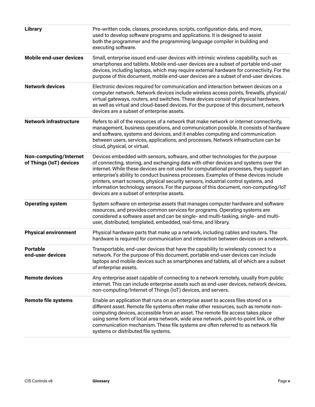| <b>Library</b>                                    | Pre-written code, classes, procedures, scripts, configuration data, and more,<br>used to develop software programs and applications. It is designed to assist<br>both the programmer and the programming language compiler in building and<br>executing software.                                                                                                                                                                                                                                                                                                                      |
|---------------------------------------------------|----------------------------------------------------------------------------------------------------------------------------------------------------------------------------------------------------------------------------------------------------------------------------------------------------------------------------------------------------------------------------------------------------------------------------------------------------------------------------------------------------------------------------------------------------------------------------------------|
| <b>Mobile end-user devices</b>                    | Small, enterprise issued end-user devices with intrinsic wireless capability, such as<br>smartphones and tablets. Mobile end-user devices are a subset of portable end-user<br>devices, including laptops, which may require external hardware for connectivity. For the<br>purpose of this document, mobile end-user devices are a subset of end-user devices.                                                                                                                                                                                                                        |
| <b>Network devices</b>                            | Electronic devices required for communication and interaction between devices on a<br>computer network. Network devices include wireless access points, firewalls, physical/<br>virtual gateways, routers, and switches. These devices consist of physical hardware,<br>as well as virtual and cloud-based devices. For the purpose of this document, network<br>devices are a subset of enterprise assets.                                                                                                                                                                            |
| <b>Network infrastructure</b>                     | Refers to all of the resources of a network that make network or internet connectivity,<br>management, business operations, and communication possible. It consists of hardware<br>and software, systems and devices, and it enables computing and communication<br>between users, services, applications, and processes. Network infrastructure can be<br>cloud, physical, or virtual.                                                                                                                                                                                                |
| Non-computing/Internet<br>of Things (IoT) devices | Devices embedded with sensors, software, and other technologies for the purpose<br>of connecting, storing, and exchanging data with other devices and systems over the<br>internet. While these devices are not used for computational processes, they support an<br>enterprise's ability to conduct business processes. Examples of these devices include<br>printers, smart screens, physical security sensors, industrial control systems, and<br>information technology sensors. For the purpose of this document, non-computing/loT<br>devices are a subset of enterprise assets. |
| <b>Operating system</b>                           | System software on enterprise assets that manages computer hardware and software<br>resources, and provides common services for programs. Operating systems are<br>considered a software asset and can be single- and multi-tasking, single- and multi-<br>user, distributed, templated, embedded, real-time, and library.                                                                                                                                                                                                                                                             |
| <b>Physical environment</b>                       | Physical hardware parts that make up a network, including cables and routers. The<br>hardware is required for communication and interaction between devices on a network.                                                                                                                                                                                                                                                                                                                                                                                                              |
| <b>Portable</b><br>end-user devices               | Transportable, end-user devices that have the capability to wirelessly connect to a<br>network. For the purpose of this document, portable end-user devices can include<br>laptops and mobile devices such as smartphones and tablets, all of which are a subset<br>of enterprise assets.                                                                                                                                                                                                                                                                                              |
| <b>Remote devices</b>                             | Any enterprise asset capable of connecting to a network remotely, usually from public<br>internet. This can include enterprise assets such as end-user devices, network devices,<br>non-computing/Internet of Things (IoT) devices, and servers.                                                                                                                                                                                                                                                                                                                                       |
| <b>Remote file systems</b>                        | Enable an application that runs on an enterprise asset to access files stored on a<br>different asset. Remote file systems often make other resources, such as remote non-<br>computing devices, accessible from an asset. The remote file access takes place<br>using some form of local area network, wide area network, point-to-point link, or other<br>communication mechanism. These file systems are often referred to as network file<br>systems or distributed file systems.                                                                                                  |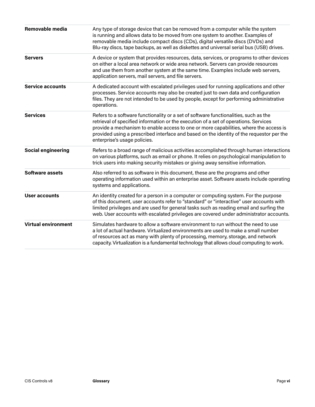| Removable media            | Any type of storage device that can be removed from a computer while the system<br>is running and allows data to be moved from one system to another. Examples of<br>removable media include compact discs (CDs), digital versatile discs (DVDs) and<br>Blu-ray discs, tape backups, as well as diskettes and universal serial bus (USB) drives.                                                  |
|----------------------------|---------------------------------------------------------------------------------------------------------------------------------------------------------------------------------------------------------------------------------------------------------------------------------------------------------------------------------------------------------------------------------------------------|
| <b>Servers</b>             | A device or system that provides resources, data, services, or programs to other devices<br>on either a local area network or wide area network. Servers can provide resources<br>and use them from another system at the same time. Examples include web servers,<br>application servers, mail servers, and file servers.                                                                        |
| <b>Service accounts</b>    | A dedicated account with escalated privileges used for running applications and other<br>processes. Service accounts may also be created just to own data and configuration<br>files. They are not intended to be used by people, except for performing administrative<br>operations.                                                                                                             |
| <b>Services</b>            | Refers to a software functionality or a set of software functionalities, such as the<br>retrieval of specified information or the execution of a set of operations. Services<br>provide a mechanism to enable access to one or more capabilities, where the access is<br>provided using a prescribed interface and based on the identity of the requestor per the<br>enterprise's usage policies. |
| <b>Social engineering</b>  | Refers to a broad range of malicious activities accomplished through human interactions<br>on various platforms, such as email or phone. It relies on psychological manipulation to<br>trick users into making security mistakes or giving away sensitive information.                                                                                                                            |
| <b>Software assets</b>     | Also referred to as software in this document, these are the programs and other<br>operating information used within an enterprise asset. Software assets include operating<br>systems and applications.                                                                                                                                                                                          |
| User accounts              | An identity created for a person in a computer or computing system. For the purpose<br>of this document, user accounts refer to "standard" or "interactive" user accounts with<br>limited privileges and are used for general tasks such as reading email and surfing the<br>web. User accounts with escalated privileges are covered under administrator accounts.                               |
| <b>Virtual environment</b> | Simulates hardware to allow a software environment to run without the need to use<br>a lot of actual hardware. Virtualized environments are used to make a small number<br>of resources act as many with plenty of processing, memory, storage, and network<br>capacity. Virtualization is a fundamental technology that allows cloud computing to work.                                          |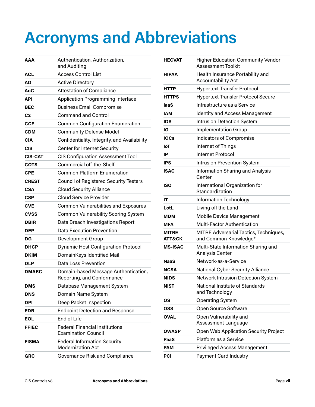## <span id="page-8-0"></span>**Acronyms and Abbreviations**

| AAA            | Authentication, Authorization,<br>and Auditing                      |
|----------------|---------------------------------------------------------------------|
| ACL            | <b>Access Control List</b>                                          |
| AD             | <b>Active Directory</b>                                             |
| AoC            | <b>Attestation of Compliance</b>                                    |
| <b>API</b>     | <b>Application Programming Interface</b>                            |
| <b>BEC</b>     | <b>Business Email Compromise</b>                                    |
| C2             | <b>Command and Control</b>                                          |
| <b>CCE</b>     | <b>Common Configuration Enumeration</b>                             |
| <b>CDM</b>     | <b>Community Defense Model</b>                                      |
| <b>CIA</b>     | Confidentiality, Integrity, and Availability                        |
| <b>CIS</b>     | Center for Internet Security                                        |
| <b>CIS-CAT</b> | <b>CIS Configuration Assessment Tool</b>                            |
| COTS           | Commercial off-the-Shelf                                            |
| CPE            | <b>Common Platform Enumeration</b>                                  |
| <b>CREST</b>   | <b>Council of Registered Security Testers</b>                       |
| CSA            | <b>Cloud Security Alliance</b>                                      |
| <b>CSP</b>     | <b>Cloud Service Provider</b>                                       |
| <b>CVE</b>     | <b>Common Vulnerabilities and Exposures</b>                         |
| CVSS           | <b>Common Vulnerability Scoring System</b>                          |
| <b>DBIR</b>    | Data Breach Investigations Report                                   |
| <b>DEP</b>     | <b>Data Execution Prevention</b>                                    |
| DG             | Development Group                                                   |
| <b>DHCP</b>    | <b>Dynamic Host Configuration Protocol</b>                          |
| <b>DKIM</b>    | DomainKeys Identified Mail                                          |
| <b>DLP</b>     | Data Loss Prevention                                                |
| <b>DMARC</b>   | Domain-based Message Authentication,<br>Reporting, and Conformance  |
| DMS            | Database Management System                                          |
| <b>DNS</b>     | Domain Name System                                                  |
| DPI            | Deep Packet Inspection                                              |
| <b>EDR</b>     | <b>Endpoint Detection and Response</b>                              |
| <b>EOL</b>     | End of Life                                                         |
| <b>FFIEC</b>   | <b>Federal Financial Institutions</b><br><b>Examination Council</b> |
| <b>FISMA</b>   | <b>Federal Information Security</b><br><b>Modernization Act</b>     |
| GRC            | Governance Risk and Compliance                                      |

| <b>HECVAT</b>                     | <b>Higher Education Community Vendor</b><br><b>Assessment Toolkit</b> |
|-----------------------------------|-----------------------------------------------------------------------|
| <b>HIPAA</b>                      | Health Insurance Portability and<br><b>Accountability Act</b>         |
| HTTP                              | <b>Hypertext Transfer Protocol</b>                                    |
| <b>HTTPS</b>                      | <b>Hypertext Transfer Protocol Secure</b>                             |
| laaS                              | Infrastructure as a Service                                           |
| IAM                               | <b>Identity and Access Management</b>                                 |
| <b>IDS</b>                        | Intrusion Detection System                                            |
| IG                                | <b>Implementation Group</b>                                           |
| <b>IOCs</b>                       | <b>Indicators of Compromise</b>                                       |
| loT                               | Internet of Things                                                    |
| IP                                | Internet Protocol                                                     |
| IPS                               | <b>Intrusion Prevention System</b>                                    |
| <b>ISAC</b>                       | <b>Information Sharing and Analysis</b><br>Center                     |
| <b>ISO</b>                        | International Organization for<br>Standardization                     |
| ΙT                                | Information Technology                                                |
| LotL                              | Living off the Land                                                   |
| <b>MDM</b>                        | <b>Mobile Device Management</b>                                       |
| MFA                               | <b>Multi-Factor Authentication</b>                                    |
| <b>MITRE</b><br><b>ATT&amp;CK</b> | MITRE Adversarial Tactics, Techniques,<br>and Common Knowledge®       |
| <b>MS-ISAC</b>                    | Multi-State Information Sharing and<br><b>Analysis Center</b>         |
| NaaS                              | Network-as-a-Service                                                  |
| <b>NCSA</b>                       | <b>National Cyber Security Alliance</b>                               |
| <b>NIDS</b>                       | Network Intrusion Detection System                                    |
| NIST                              | National Institute of Standards<br>and Technology                     |
| ΟS                                | <b>Operating System</b>                                               |
| OSS                               | Open Source Software                                                  |
| <b>OVAL</b>                       | Open Vulnerability and<br>Assessment Language                         |
| OWASP                             | Open Web Application Security Project                                 |
| PaaS                              | Platform as a Service                                                 |
| <b>PAM</b>                        | <b>Privileged Access Management</b>                                   |
| PCI                               | <b>Payment Card Industry</b>                                          |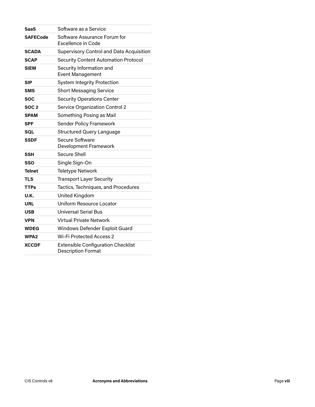| SaaS            | Software as a Service                                                  |
|-----------------|------------------------------------------------------------------------|
| <b>SAFECode</b> | Software Assurance Forum for<br>Excellence in Code                     |
| <b>SCADA</b>    | <b>Supervisory Control and Data Acquisition</b>                        |
| <b>SCAP</b>     | <b>Security Content Automation Protocol</b>                            |
| <b>SIEM</b>     | Security Information and<br><b>Event Management</b>                    |
| SIP             | <b>System Integrity Protection</b>                                     |
| SMS             | <b>Short Messaging Service</b>                                         |
| <b>SOC</b>      | <b>Security Operations Center</b>                                      |
| <b>SOC 2</b>    | <b>Service Organization Control 2</b>                                  |
| <b>SPAM</b>     | Something Posing as Mail                                               |
| <b>SPF</b>      | <b>Sender Policy Framework</b>                                         |
| SQL             | <b>Structured Query Language</b>                                       |
| SSDF            | Secure Software<br>Development Framework                               |
| SSH             | Secure Shell                                                           |
| SSO             | Single Sign-On                                                         |
| <b>Telnet</b>   | Teletype Network                                                       |
| <b>TLS</b>      | <b>Transport Layer Security</b>                                        |
| <b>TTPs</b>     | Tactics, Techniques, and Procedures                                    |
| U.K.            | United Kingdom                                                         |
| URL             | Uniform Resource Locator                                               |
| USB             | Universal Serial Bus                                                   |
| <b>VPN</b>      | <b>Virtual Private Network</b>                                         |
| <b>WDEG</b>     | Windows Defender Exploit Guard                                         |
| WPA2            | Wi-Fi Protected Access 2                                               |
| <b>XCCDF</b>    | <b>Extensible Configuration Checklist</b><br><b>Description Format</b> |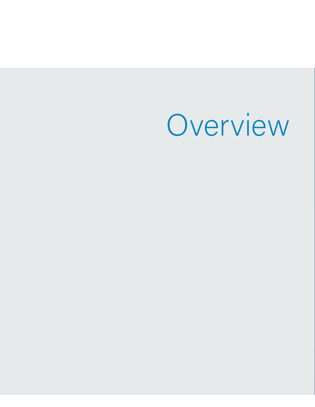Overview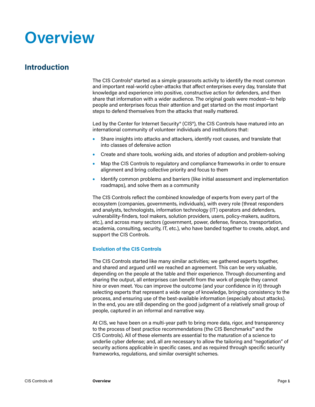### <span id="page-12-0"></span>**Overview**

#### **Introduction**

The CIS Controls® started as a simple grassroots activity to identify the most common and important real-world cyber-attacks that affect enterprises every day, translate that knowledge and experience into positive, constructive action for defenders, and then share that information with a wider audience. The original goals were modest—to help people and enterprises focus their attention and get started on the most important steps to defend themselves from the attacks that really mattered.

Led by the Center for Internet Security® (CIS®), the CIS Controls have matured into an international community of volunteer individuals and institutions that:

- **•** Share insights into attacks and attackers, identify root causes, and translate that into classes of defensive action
- **•** Create and share tools, working aids, and stories of adoption and problem-solving
- **•** Map the CIS Controls to regulatory and compliance frameworks in order to ensure alignment and bring collective priority and focus to them
- **•** Identify common problems and barriers (like initial assessment and implementation roadmaps), and solve them as a community

The CIS Controls reflect the combined knowledge of experts from every part of the ecosystem (companies, governments, individuals), with every role (threat responders and analysts, technologists, information technology (IT) operators and defenders, vulnerability-finders, tool makers, solution providers, users, policy-makers, auditors, etc.), and across many sectors (government, power, defense, finance, transportation, academia, consulting, security, IT, etc.), who have banded together to create, adopt, and support the CIS Controls.

#### **Evolution of the CIS Controls**

The CIS Controls started like many similar activities; we gathered experts together, and shared and argued until we reached an agreement. This can be very valuable, depending on the people at the table and their experience. Through documenting and sharing the output, all enterprises can benefit from the work of people they cannot hire or even meet. You can improve the outcome (and your confidence in it) through selecting experts that represent a wide range of knowledge, bringing consistency to the process, and ensuring use of the best-available information (especially about attacks). In the end, you are still depending on the good judgment of a relatively small group of people, captured in an informal and narrative way.

At CIS, we have been on a multi-year path to bring more data, rigor, and transparency to the process of best practice recommendations (the CIS Benchmarks™ and the CIS Controls). All of these elements are essential to the maturation of a science to underlie cyber defense; and, all are necessary to allow the tailoring and "negotiation" of security actions applicable in specific cases, and as required through specific security frameworks, regulations, and similar oversight schemes.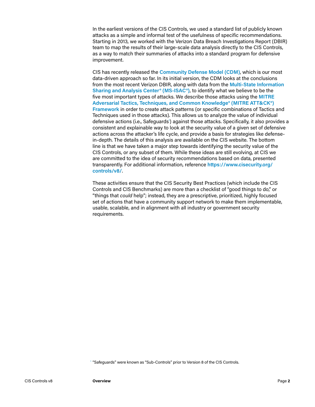In the earliest versions of the CIS Controls, we used a standard list of publicly known attacks as a simple and informal test of the usefulness of specific recommendations. Starting in 2013, we worked with the Verizon Data Breach Investigations Report (DBIR) team to map the results of their large-scale data analysis directly to the CIS Controls, as a way to match their summaries of attacks into a standard program for defensive improvement.

CIS has recently released the **[Community Defense Model \(CDM\)](https://www.cisecurity.org/white-papers/cis-community-defense-model/)**, which is our most data-driven approach so far. In its initial version, the CDM looks at the conclusions from the most recent Verizon DBIR, along with data from the **[Multi-State Information](https://www.cisecurity.org/ms-isac/)  [Sharing and Analysis Center®](https://www.cisecurity.org/ms-isac/) (MS-ISAC®)**, to identify what we believe to be the five most important types of attacks. We describe those attacks using the **[MITRE](https://attack.mitre.org/)  [Adversarial Tactics, Techniques, and Common Knowledge® \(MITRE ATT&CK®\)](https://attack.mitre.org/)  [Framewor](https://attack.mitre.org/)k** in order to create attack patterns (or specific combinations of Tactics and Techniques used in those attacks). This allows us to analyze the value of individual defensive actions (i.e., Safeguards**<sup>1</sup>** ) against those attacks. Specifically, it also provides a consistent and explainable way to look at the security value of a given set of defensive actions across the attacker's life cycle, and provide a basis for strategies like defensein-depth. The details of this analysis are available on the CIS website. The bottom line is that we have taken a major step towards identifying the security value of the CIS Controls, or any subset of them. While these ideas are still evolving, at CIS we are committed to the idea of security recommendations based on data, presented transparently. For additional information, reference **[https://www.cisecurity.org/](https://www.cisecurity.org/controls/v8/) [controls/v8/](https://www.cisecurity.org/controls/v8/)**.

These activities ensure that the CIS Security Best Practices (which include the CIS Controls and CIS Benchmarks) are more than a checklist of "good things to do," or "things that *could* help"; instead, they are a prescriptive, prioritized, highly focused set of actions that have a community support network to make them implementable, usable, scalable, and in alignment with all industry or government security requirements.

<sup>1</sup> "Safeguards" were known as "Sub-Controls" prior to Version 8 of the CIS Controls.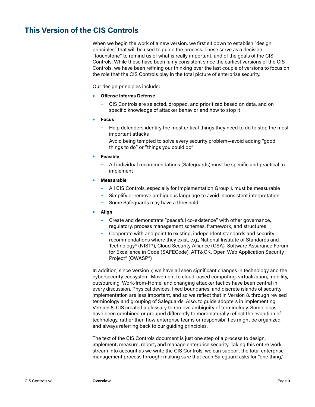#### <span id="page-14-0"></span>**This Version of the CIS Controls**

When we begin the work of a new version, we first sit down to establish "design principles" that will be used to guide the process. These serve as a decision "touchstone" to remind us of what is really important, and of the goals of the CIS Controls. While these have been fairly consistent since the earliest versions of the CIS Controls, we have been refining our thinking over the last couple of versions to focus on the role that the CIS Controls play in the total picture of enterprise security.

Our design principles include:

- **• Offense Informs Defense**
	- CIS Controls are selected, dropped, and prioritized based on data, and on specific knowledge of attacker behavior and how to stop it
- **• Focus**
	- Help defenders identify the most critical things they need to do to stop the most important attacks
	- Avoid being tempted to solve every security problem—avoid adding "good things to do" or "things you could do"
- **• Feasible**
	- All individual recommendations (Safeguards) must be specific and practical to implement
- **• Measurable**
	- All CIS Controls, especially for Implementation Group 1, must be measurable
	- Simplify or remove ambiguous language to avoid inconsistent interpretation
	- Some Safeguards may have a threshold
- **• Align**
	- Create and demonstrate "peaceful co-existence" with other governance, regulatory, process management schemes, framework, and structures
	- Cooperate with and point to existing, independent standards and security recommendations where they exist, e.g., National Institute of Standards and Technology® (NIST®), Cloud Security Alliance (CSA), Software Assurance Forum for Excellence in Code (SAFECode), ATT&CK, Open Web Application Security Project® (OWASP®)

In addition, since Version 7, we have all seen significant changes in technology and the cybersecurity ecosystem. Movement to cloud-based computing, virtualization, mobility, outsourcing, Work-from-Home, and changing attacker tactics have been central in every discussion. Physical devices, fixed boundaries, and discrete islands of security implementation are less important, and so we reflect that in Version 8, through revised terminology and grouping of Safeguards. Also, to guide adopters in implementing Version 8, CIS created a glossary to remove ambiguity of terminology. Some ideas have been combined or grouped differently to more naturally reflect the evolution of technology, rather than how enterprise teams or responsibilities might be organized, and always referring back to our guiding principles.

The text of the CIS Controls document is just one step of a process to design, implement, measure, report, and manage enterprise security. Taking this entire work stream into account as we write the CIS Controls, we can support the total enterprise management process through: making sure that each Safeguard asks for "one thing,"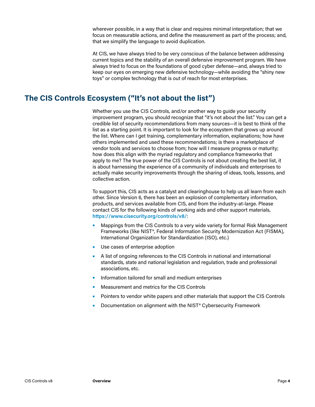<span id="page-15-0"></span>wherever possible, in a way that is clear and requires minimal interpretation; that we focus on measurable actions, and define the measurement as part of the process; and, that we simplify the language to avoid duplication.

At CIS, we have always tried to be very conscious of the balance between addressing current topics and the stability of an overall defensive improvement program. We have always tried to focus on the foundations of good cyber defense—and, always tried to keep our eyes on emerging new defensive technology—while avoiding the "shiny new toys" or complex technology that is out of reach for most enterprises.

#### **The CIS Controls Ecosystem ("It's not about the list")**

Whether you use the CIS Controls, and/or another way to quide your security improvement program, you should recognize that "it's not about the list." You can get a credible list of security recommendations from many sources—it is best to think of the list as a starting point. It is important to look for the ecosystem that grows up around the list. Where can I get training, complementary information, explanations; how have others implemented and used these recommendations; is there a marketplace of vendor tools and services to choose from; how will I measure progress or maturity; how does this align with the myriad regulatory and compliance frameworks that apply to me? The true power of the CIS Controls is not about creating the best list, it is about harnessing the experience of a community of individuals and enterprises to actually make security improvements through the sharing of ideas, tools, lessons, and collective action.

To support this, CIS acts as a catalyst and clearinghouse to help us all learn from each other. Since Version 6, there has been an explosion of complementary information, products, and services available from CIS, and from the industry-at-large. Please contact CIS for the following kinds of working aids and other support materials, **<https://www.cisecurity.org/controls/v8/>**:

- **•** Mappings from the CIS Controls to a very wide variety for formal Risk Management Frameworks (like NIST®, Federal Information Security Modernization Act (FISMA), International Organization for Standardization (ISO), etc.)
- **•** Use cases of enterprise adoption
- **•** A list of ongoing references to the CIS Controls in national and international standards, state and national legislation and regulation, trade and professional associations, etc.
- **•** Information tailored for small and medium enterprises
- **•** Measurement and metrics for the CIS Controls
- **•** Pointers to vendor white papers and other materials that support the CIS Controls
- **•** Documentation on alignment with the NIST® Cybersecurity Framework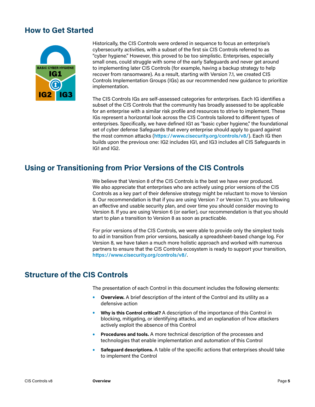#### <span id="page-16-0"></span>**How to Get Started**



Historically, the CIS Controls were ordered in sequence to focus an enterprise's cybersecurity activities, with a subset of the first six CIS Controls referred to as "cyber hygiene." However, this proved to be too simplistic. Enterprises, especially small ones, could struggle with some of the early Safeguards and never get around to implementing later CIS Controls (for example, having a backup strategy to help recover from ransomware). As a result, starting with Version 7.1, we created CIS Controls Implementation Groups (IGs) as our recommended new guidance to prioritize implementation.

The CIS Controls IGs are self-assessed categories for enterprises. Each IG identifies a subset of the CIS Controls that the community has broadly assessed to be applicable for an enterprise with a similar risk profile and resources to strive to implement. These IGs represent a horizontal look across the CIS Controls tailored to different types of enterprises. Specifically, we have defined IG1 as "basic cyber hygiene," the foundational set of cyber defense Safeguards that every enterprise should apply to guard against the most common attacks (**<https://www.cisecurity.org/controls/v8/>**). Each IG then builds upon the previous one: IG2 includes IG1, and IG3 includes all CIS Safeguards in IG1 and IG2.

#### **Using or Transitioning from Prior Versions of the CIS Controls**

We believe that Version 8 of the CIS Controls is the best we have ever produced. We also appreciate that enterprises who are actively using prior versions of the CIS Controls as a key part of their defensive strategy might be reluctant to move to Version 8. Our recommendation is that if you are using Version 7 or Version 7.1, you are following an effective and usable security plan, and over time you should consider moving to Version 8. If you are using Version 6 (or earlier), our recommendation is that you should start to plan a transition to Version 8 as soon as practicable.

For prior versions of the CIS Controls, we were able to provide only the simplest tools to aid in transition from prior versions, basically a spreadsheet-based change log. For Version 8, we have taken a much more holistic approach and worked with numerous partners to ensure that the CIS Controls ecosystem is ready to support your transition, **<https://www.cisecurity.org/controls/v8/>**.

#### **Structure of the CIS Controls**

The presentation of each Control in this document includes the following elements:

- **Overview.** A brief description of the intent of the Control and its utility as a defensive action
- **• Why is this Control critical?** A description of the importance of this Control in blocking, mitigating, or identifying attacks, and an explanation of how attackers actively exploit the absence of this Control
- **• Procedures and tools.** A more technical description of the processes and technologies that enable implementation and automation of this Control
- **• Safeguard descriptions.** A table of the specific actions that enterprises should take to implement the Control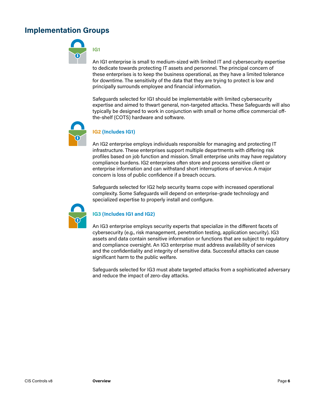#### <span id="page-17-0"></span>**Implementation Groups**



An IG1 enterprise is small to medium-sized with limited IT and cybersecurity expertise to dedicate towards protecting IT assets and personnel. The principal concern of these enterprises is to keep the business operational, as they have a limited tolerance for downtime. The sensitivity of the data that they are trying to protect is low and principally surrounds employee and financial information.

Safeguards selected for IG1 should be implementable with limited cybersecurity expertise and aimed to thwart general, non-targeted attacks. These Safeguards will also typically be designed to work in conjunction with small or home office commercial offthe-shelf (COTS) hardware and software.



#### **IG2 (Includes IG1)**

An IG2 enterprise employs individuals responsible for managing and protecting IT infrastructure. These enterprises support multiple departments with differing risk profiles based on job function and mission. Small enterprise units may have regulatory compliance burdens. IG2 enterprises often store and process sensitive client or enterprise information and can withstand short interruptions of service. A major concern is loss of public confidence if a breach occurs.

Safeguards selected for IG2 help security teams cope with increased operational complexity. Some Safeguards will depend on enterprise-grade technology and specialized expertise to properly install and configure.



#### **IG3 (Includes IG1 and IG2)**

An IG3 enterprise employs security experts that specialize in the different facets of cybersecurity (e.g., risk management, penetration testing, application security). IG3 assets and data contain sensitive information or functions that are subject to regulatory and compliance oversight. An IG3 enterprise must address availability of services and the confidentiality and integrity of sensitive data. Successful attacks can cause significant harm to the public welfare.

Safeguards selected for IG3 must abate targeted attacks from a sophisticated adversary and reduce the impact of zero-day attacks.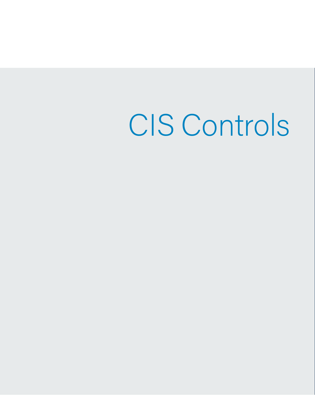CIS Controls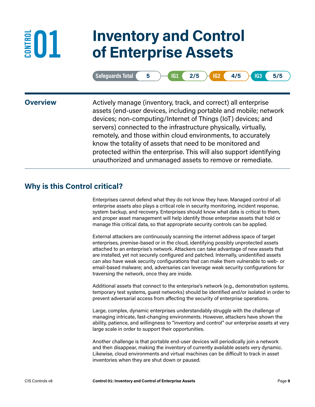### **01 Inventory and Control of Enterprise Assets**

| Safequards lotal |  |  |  | - |  | <b>IG3</b><br>⊢ | 5/5 |
|------------------|--|--|--|---|--|-----------------|-----|
|------------------|--|--|--|---|--|-----------------|-----|

<span id="page-20-0"></span>**CONTROL** 

**Overview** Actively manage (inventory, track, and correct) all enterprise assets (end-user devices, including portable and mobile; network devices; non-computing/Internet of Things (IoT) devices; and servers) connected to the infrastructure physically, virtually, remotely, and those within cloud environments, to accurately know the totality of assets that need to be monitored and protected within the enterprise. This will also support identifying unauthorized and unmanaged assets to remove or remediate.

### **Why is this Control critical?**

Enterprises cannot defend what they do not know they have. Managed control of all enterprise assets also plays a critical role in security monitoring, incident response, system backup, and recovery. Enterprises should know what data is critical to them, and proper asset management will help identify those enterprise assets that hold or manage this critical data, so that appropriate security controls can be applied.

External attackers are continuously scanning the internet address space of target enterprises, premise-based or in the cloud, identifying possibly unprotected assets attached to an enterprise's network. Attackers can take advantage of new assets that are installed, yet not securely configured and patched. Internally, unidentified assets can also have weak security configurations that can make them vulnerable to web- or email-based malware; and, adversaries can leverage weak security configurations for traversing the network, once they are inside.

Additional assets that connect to the enterprise's network (e.g., demonstration systems, temporary test systems, guest networks) should be identified and/or isolated in order to prevent adversarial access from affecting the security of enterprise operations.

Large, complex, dynamic enterprises understandably struggle with the challenge of managing intricate, fast-changing environments. However, attackers have shown the ability, patience, and willingness to "inventory and control" our enterprise assets at very large scale in order to support their opportunities.

Another challenge is that portable end-user devices will periodically join a network and then disappear, making the inventory of currently available assets very dynamic. Likewise, cloud environments and virtual machines can be difficult to track in asset inventories when they are shut down or paused.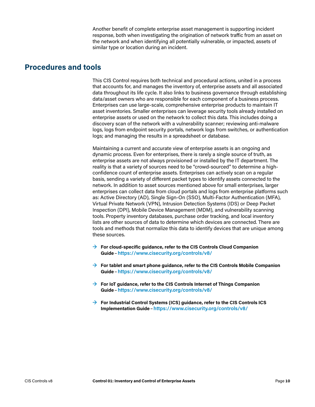Another benefit of complete enterprise asset management is supporting incident response, both when investigating the origination of network traffic from an asset on the network and when identifying all potentially vulnerable, or impacted, assets of similar type or location during an incident.

#### <span id="page-21-0"></span>**Procedures and tools**

This CIS Control requires both technical and procedural actions, united in a process that accounts for, and manages the inventory of, enterprise assets and all associated data throughout its life cycle. It also links to business governance through establishing data/asset owners who are responsible for each component of a business process. Enterprises can use large-scale, comprehensive enterprise products to maintain IT asset inventories. Smaller enterprises can leverage security tools already installed on enterprise assets or used on the network to collect this data. This includes doing a discovery scan of the network with a vulnerability scanner; reviewing anti-malware logs, logs from endpoint security portals, network logs from switches, or authentication logs; and managing the results in a spreadsheet or database.

Maintaining a current and accurate view of enterprise assets is an ongoing and dynamic process. Even for enterprises, there is rarely a single source of truth, as enterprise assets are not always provisioned or installed by the IT department. The reality is that a variety of sources need to be "crowd-sourced" to determine a highconfidence count of enterprise assets. Enterprises can actively scan on a regular basis, sending a variety of different packet types to identify assets connected to the network. In addition to asset sources mentioned above for small enterprises, larger enterprises can collect data from cloud portals and logs from enterprise platforms such as: Active Directory (AD), Single Sign-On (SSO), Multi-Factor Authentication (MFA), Virtual Private Network (VPN), Intrusion Detection Systems (IDS) or Deep Packet Inspection (DPI), Mobile Device Management (MDM), and vulnerability scanning tools. Property inventory databases, purchase order tracking, and local inventory lists are other sources of data to determine which devices are connected. There are tools and methods that normalize this data to identify devices that are unique among these sources.

- **→ For cloud-specific guidance, refer to the CIS Controls Cloud Companion Guide**–**<https://www.cisecurity.org/controls/v8/>**
- **→ For tablet and smart phone guidance, refer to the CIS Controls Mobile Companion Guide**–**<https://www.cisecurity.org/controls/v8/>**
- **→ For IoT guidance, refer to the CIS Controls Internet of Things Companion Guide**–**<https://www.cisecurity.org/controls/v8/>**
- **→ For Industrial Control Systems (ICS) guidance, refer to the CIS Controls ICS Implementation Guide**–**<https://www.cisecurity.org/controls/v8/>**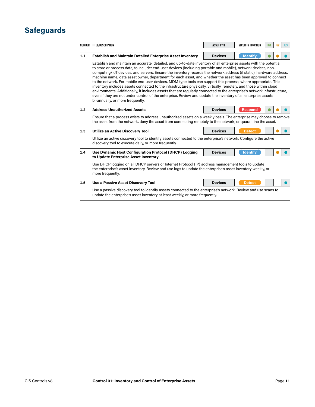### <span id="page-22-0"></span>**Safeguards**

|     | NUMBER TITLE/DESCRIPTION                                                                                                                                                                                                                                                                                                                                                                                                                                                                                                                                                                                                                                                                                                                                                                                                                                                                                                                                                                           | <b>ASSET TYPE</b> | <b>SECURITY FUNCTION</b> | IG1 | IG2 | IG3 |  |  |  |
|-----|----------------------------------------------------------------------------------------------------------------------------------------------------------------------------------------------------------------------------------------------------------------------------------------------------------------------------------------------------------------------------------------------------------------------------------------------------------------------------------------------------------------------------------------------------------------------------------------------------------------------------------------------------------------------------------------------------------------------------------------------------------------------------------------------------------------------------------------------------------------------------------------------------------------------------------------------------------------------------------------------------|-------------------|--------------------------|-----|-----|-----|--|--|--|
|     |                                                                                                                                                                                                                                                                                                                                                                                                                                                                                                                                                                                                                                                                                                                                                                                                                                                                                                                                                                                                    |                   |                          |     |     |     |  |  |  |
| 1.1 | <b>Establish and Maintain Detailed Enterprise Asset Inventory</b>                                                                                                                                                                                                                                                                                                                                                                                                                                                                                                                                                                                                                                                                                                                                                                                                                                                                                                                                  | <b>Devices</b>    | <b>Identify</b>          |     |     |     |  |  |  |
|     | Establish and maintain an accurate, detailed, and up-to-date inventory of all enterprise assets with the potential<br>to store or process data, to include: end-user devices (including portable and mobile), network devices, non-<br>computing/loT devices, and servers. Ensure the inventory records the network address (if static), hardware address,<br>machine name, data asset owner, department for each asset, and whether the asset has been approved to connect<br>to the network. For mobile end-user devices, MDM type tools can support this process, where appropriate. This<br>inventory includes assets connected to the infrastructure physically, virtually, remotely, and those within cloud<br>environments. Additionally, it includes assets that are regularly connected to the enterprise's network infrastructure,<br>even if they are not under control of the enterprise. Review and update the inventory of all enterprise assets<br>bi-annually, or more frequently. |                   |                          |     |     |     |  |  |  |
| 1.2 | <b>Address Unauthorized Assets</b>                                                                                                                                                                                                                                                                                                                                                                                                                                                                                                                                                                                                                                                                                                                                                                                                                                                                                                                                                                 | <b>Devices</b>    | <b>Respond</b>           |     |     |     |  |  |  |
|     | Ensure that a process exists to address unauthorized assets on a weekly basis. The enterprise may choose to remove<br>the asset from the network, deny the asset from connecting remotely to the network, or quarantine the asset.                                                                                                                                                                                                                                                                                                                                                                                                                                                                                                                                                                                                                                                                                                                                                                 |                   |                          |     |     |     |  |  |  |
| 1.3 | <b>Utilize an Active Discovery Tool</b>                                                                                                                                                                                                                                                                                                                                                                                                                                                                                                                                                                                                                                                                                                                                                                                                                                                                                                                                                            | <b>Devices</b>    | <b>Detect</b>            |     |     |     |  |  |  |
|     | Utilize an active discovery tool to identify assets connected to the enterprise's network. Configure the active<br>discovery tool to execute daily, or more frequently.                                                                                                                                                                                                                                                                                                                                                                                                                                                                                                                                                                                                                                                                                                                                                                                                                            |                   |                          |     |     |     |  |  |  |
| 1.4 | Use Dynamic Host Configuration Protocol (DHCP) Logging                                                                                                                                                                                                                                                                                                                                                                                                                                                                                                                                                                                                                                                                                                                                                                                                                                                                                                                                             | <b>Devices</b>    | <b>Identify</b>          |     |     |     |  |  |  |
|     | to Update Enterprise Asset Inventory                                                                                                                                                                                                                                                                                                                                                                                                                                                                                                                                                                                                                                                                                                                                                                                                                                                                                                                                                               |                   |                          |     |     |     |  |  |  |
|     | Use DHCP logging on all DHCP servers or Internet Protocol (IP) address management tools to update<br>the enterprise's asset inventory. Review and use logs to update the enterprise's asset inventory weekly, or<br>more frequently.                                                                                                                                                                                                                                                                                                                                                                                                                                                                                                                                                                                                                                                                                                                                                               |                   |                          |     |     |     |  |  |  |
| 1.5 | Use a Passive Asset Discovery Tool                                                                                                                                                                                                                                                                                                                                                                                                                                                                                                                                                                                                                                                                                                                                                                                                                                                                                                                                                                 | <b>Devices</b>    | <b>Detect</b>            |     |     |     |  |  |  |
|     | Use a passive discovery tool to identify assets connected to the enterprise's network. Review and use scans to<br>update the enterprise's asset inventory at least weekly, or more frequently.                                                                                                                                                                                                                                                                                                                                                                                                                                                                                                                                                                                                                                                                                                                                                                                                     |                   |                          |     |     |     |  |  |  |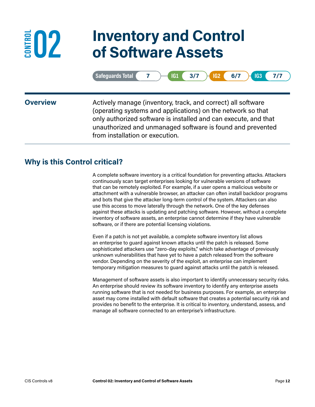### **02 Inventory and Control of Software Assets**

| ds Total (<br><b>100</b> | 3/7<br>---<br>-<br>1 Y L | 6/7<br>102<br>⊢ |  |
|--------------------------|--------------------------|-----------------|--|
|                          |                          |                 |  |

<span id="page-23-0"></span>**ED2** 

**Overview** Actively manage (inventory, track, and correct) all software (operating systems and applications) on the network so that only authorized software is installed and can execute, and that unauthorized and unmanaged software is found and prevented from installation or execution.

### **Why is this Control critical?**

A complete software inventory is a critical foundation for preventing attacks. Attackers continuously scan target enterprises looking for vulnerable versions of software that can be remotely exploited. For example, if a user opens a malicious website or attachment with a vulnerable browser, an attacker can often install backdoor programs and bots that give the attacker long-term control of the system. Attackers can also use this access to move laterally through the network. One of the key defenses against these attacks is updating and patching software. However, without a complete inventory of software assets, an enterprise cannot determine if they have vulnerable software, or if there are potential licensing violations.

Even if a patch is not yet available, a complete software inventory list allows an enterprise to guard against known attacks until the patch is released. Some sophisticated attackers use "zero-day exploits," which take advantage of previously unknown vulnerabilities that have yet to have a patch released from the software vendor. Depending on the severity of the exploit, an enterprise can implement temporary mitigation measures to guard against attacks until the patch is released.

Management of software assets is also important to identify unnecessary security risks. An enterprise should review its software inventory to identify any enterprise assets running software that is not needed for business purposes. For example, an enterprise asset may come installed with default software that creates a potential security risk and provides no benefit to the enterprise. It is critical to inventory, understand, assess, and manage all software connected to an enterprise's infrastructure.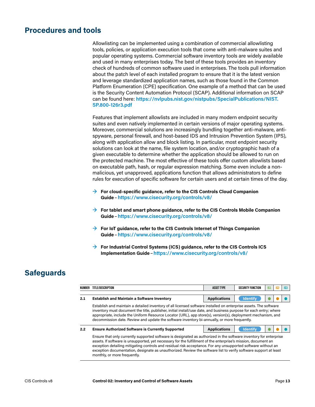#### <span id="page-24-0"></span>**Procedures and tools**

Allowlisting can be implemented using a combination of commercial allowlisting tools, policies, or application execution tools that come with anti-malware suites and popular operating systems. Commercial software inventory tools are widely available and used in many enterprises today. The best of these tools provides an inventory check of hundreds of common software used in enterprises. The tools pull information about the patch level of each installed program to ensure that it is the latest version and leverage standardized application names, such as those found in the Common Platform Enumeration (CPE) specification. One example of a method that can be used is the Security Content Automation Protocol (SCAP). Additional information on SCAP can be found here: **[https://nvlpubs.nist.gov/nistpubs/SpecialPublications/NIST.](https://nvlpubs.nist.gov/nistpubs/SpecialPublications/NIST.SP.800-126r3.pdf) [SP.800-126r3.pdf](https://nvlpubs.nist.gov/nistpubs/SpecialPublications/NIST.SP.800-126r3.pdf)**

Features that implement allowlists are included in many modern endpoint security suites and even natively implemented in certain versions of major operating systems. Moreover, commercial solutions are increasingly bundling together anti-malware, antispyware, personal firewall, and host-based IDS and Intrusion Prevention System (IPS), along with application allow and block listing. In particular, most endpoint security solutions can look at the name, file system location, and/or cryptographic hash of a given executable to determine whether the application should be allowed to run on the protected machine. The most effective of these tools offer custom allowlists based on executable path, hash, or regular expression matching. Some even include a nonmalicious, yet unapproved, applications function that allows administrators to define rules for execution of specific software for certain users and at certain times of the day.

- **→ For cloud-specific guidance, refer to the CIS Controls Cloud Companion Guide**–**<https://www.cisecurity.org/controls/v8/>**
- **→ For tablet and smart phone guidance, refer to the CIS Controls Mobile Companion Guide**–**<https://www.cisecurity.org/controls/v8/>**
- **→ For IoT guidance, refer to the CIS Controls Internet of Things Companion Guide**–**<https://www.cisecurity.org/controls/v8/>**
- **→ For Industrial Control Systems (ICS) guidance, refer to the CIS Controls ICS Implementation Guide**–**<https://www.cisecurity.org/controls/v8/>**

#### **Safeguards**

| NUMBER | TITLE/DESCRIPTION                                                                                                                                                                                                                                                                                                                                                                                                                                                                                         | <b>ASSET TYPE</b>   | <b>SECURITY FUNCTION</b> | 161 | 162 | IG <sub>3</sub> |  |  |  |
|--------|-----------------------------------------------------------------------------------------------------------------------------------------------------------------------------------------------------------------------------------------------------------------------------------------------------------------------------------------------------------------------------------------------------------------------------------------------------------------------------------------------------------|---------------------|--------------------------|-----|-----|-----------------|--|--|--|
| 2.1    | <b>Establish and Maintain a Software Inventory</b>                                                                                                                                                                                                                                                                                                                                                                                                                                                        | <b>Applications</b> | <b>Identify</b>          |     |     |                 |  |  |  |
|        | Establish and maintain a detailed inventory of all licensed software installed on enterprise assets. The software<br>inventory must document the title, publisher, initial install/use date, and business purpose for each entry; where<br>appropriate, include the Uniform Resource Locator (URL), app store(s), version(s), deployment mechanism, and<br>decommission date. Review and update the software inventory bi-annually, or more frequently.                                                   |                     |                          |     |     |                 |  |  |  |
| 2.2    | <b>Ensure Authorized Software is Currently Supported</b>                                                                                                                                                                                                                                                                                                                                                                                                                                                  | <b>Applications</b> | <b>Identify</b>          |     |     |                 |  |  |  |
|        | Ensure that only currently supported software is designated as authorized in the software inventory for enterprise<br>assets. If software is unsupported, yet necessary for the fulfillment of the enterprise's mission, document an<br>exception detailing mitigating controls and residual risk acceptance. For any unsupported software without an<br>exception documentation, designate as unauthorized. Review the software list to verify software support at least<br>monthly, or more frequently. |                     |                          |     |     |                 |  |  |  |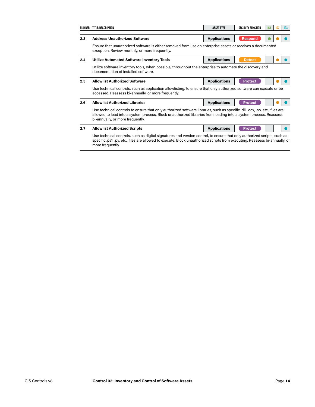|     | NUMBER TITLE/DESCRIPTION                                                                                                                                                                                                                                                           | <b>ASSET TYPE</b>   | <b>SECURITY FUNCTION</b> | IG1 | IG <sub>2</sub> | IG3 |  |
|-----|------------------------------------------------------------------------------------------------------------------------------------------------------------------------------------------------------------------------------------------------------------------------------------|---------------------|--------------------------|-----|-----------------|-----|--|
|     |                                                                                                                                                                                                                                                                                    |                     |                          |     |                 |     |  |
| 2.3 | <b>Address Unauthorized Software</b>                                                                                                                                                                                                                                               | <b>Applications</b> | <b>Respond</b>           |     |                 |     |  |
|     | Ensure that unauthorized software is either removed from use on enterprise assets or receives a documented<br>exception. Review monthly, or more frequently.                                                                                                                       |                     |                          |     |                 |     |  |
| 2.4 | Utilize Automated Software Inventory Tools                                                                                                                                                                                                                                         | <b>Applications</b> | <b>Detect</b>            |     |                 |     |  |
|     | Utilize software inventory tools, when possible, throughout the enterprise to automate the discovery and<br>documentation of installed software.                                                                                                                                   |                     |                          |     |                 |     |  |
| 2.5 | <b>Allowlist Authorized Software</b>                                                                                                                                                                                                                                               | <b>Applications</b> | <b>Protect</b>           |     |                 |     |  |
|     | Use technical controls, such as application allowlisting, to ensure that only authorized software can execute or be<br>accessed. Reassess bi-annually, or more frequently.                                                                                                         |                     |                          |     |                 |     |  |
| 2.6 | <b>Allowlist Authorized Libraries</b>                                                                                                                                                                                                                                              | <b>Applications</b> | <b>Protect</b>           |     |                 |     |  |
|     | Use technical controls to ensure that only authorized software libraries, such as specific dll, .ocx, .so, etc., files are<br>allowed to load into a system process. Block unauthorized libraries from loading into a system process. Reassess<br>bi-annually, or more frequently. |                     |                          |     |                 |     |  |
| 2.7 | <b>Allowlist Authorized Scripts</b>                                                                                                                                                                                                                                                | <b>Applications</b> | <b>Protect</b>           |     |                 |     |  |
|     | Use technical controls, such as digital signatures and version control, to ensure that only authorized scripts, such as<br>specific .ps1, .py, etc., files are allowed to execute. Block unauthorized scripts from executing. Reassess bi-annually, or<br>more frequently.         |                     |                          |     |                 |     |  |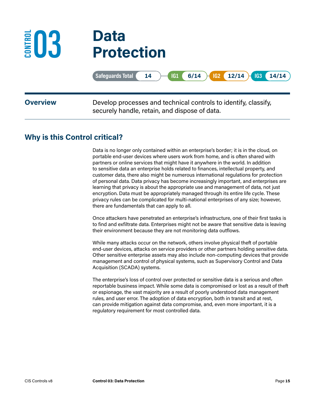### <span id="page-26-0"></span>**03 Data Protection CONTROL**

|                 | Safeguards Total ( 14 ) [61 ( 6/14 ) 62 ( 12/14 ) 63 ( 14/14                                                     |
|-----------------|------------------------------------------------------------------------------------------------------------------|
| <b>Overview</b> | Develop processes and technical controls to identify, classify,<br>securely handle, retain, and dispose of data. |

### **Why is this Control critical?**

Data is no longer only contained within an enterprise's border; it is in the cloud, on portable end-user devices where users work from home, and is often shared with partners or online services that might have it anywhere in the world. In addition to sensitive data an enterprise holds related to finances, intellectual property, and customer data, there also might be numerous international regulations for protection of personal data. Data privacy has become increasingly important, and enterprises are learning that privacy is about the appropriate use and management of data, not just encryption. Data must be appropriately managed through its entire life cycle. These privacy rules can be complicated for multi-national enterprises of any size; however, there are fundamentals that can apply to all.

Once attackers have penetrated an enterprise's infrastructure, one of their first tasks is to find and exfiltrate data. Enterprises might not be aware that sensitive data is leaving their environment because they are not monitoring data outflows.

While many attacks occur on the network, others involve physical theft of portable end-user devices, attacks on service providers or other partners holding sensitive data. Other sensitive enterprise assets may also include non-computing devices that provide management and control of physical systems, such as Supervisory Control and Data Acquisition (SCADA) systems.

The enterprise's loss of control over protected or sensitive data is a serious and often reportable business impact. While some data is compromised or lost as a result of theft or espionage, the vast majority are a result of poorly understood data management rules, and user error. The adoption of data encryption, both in transit and at rest, can provide mitigation against data compromise, and, even more important, it is a regulatory requirement for most controlled data.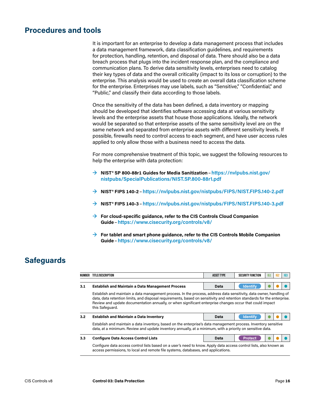#### <span id="page-27-0"></span>**Procedures and tools**

It is important for an enterprise to develop a data management process that includes a data management framework, data classification guidelines, and requirements for protection, handling, retention, and disposal of data. There should also be a data breach process that plugs into the incident response plan, and the compliance and communication plans. To derive data sensitivity levels, enterprises need to catalog their key types of data and the overall criticality (impact to its loss or corruption) to the enterprise. This analysis would be used to create an overall data classification scheme for the enterprise. Enterprises may use labels, such as "Sensitive," "Confidential," and "Public," and classify their data according to those labels.

Once the sensitivity of the data has been defined, a data inventory or mapping should be developed that identifies software accessing data at various sensitivity levels and the enterprise assets that house those applications. Ideally, the network would be separated so that enterprise assets of the same sensitivity level are on the same network and separated from enterprise assets with different sensitivity levels. If possible, firewalls need to control access to each segment, and have user access rules applied to only allow those with a business need to access the data.

For more comprehensive treatment of this topic, we suggest the following resources to help the enterprise with data protection:

- **→ NIST® SP 800-88r1 Guides for Media Sanitization**–**[https://nvlpubs.nist.gov/](https://nvlpubs.nist.gov/nistpubs/SpecialPublications/NIST.SP.800-88r1.pdf) [nistpubs/SpecialPublications/NIST.SP.800-88r1.pdf](https://nvlpubs.nist.gov/nistpubs/SpecialPublications/NIST.SP.800-88r1.pdf)**
- **→ NIST® FIPS 140-2**–**<https://nvlpubs.nist.gov/nistpubs/FIPS/NIST.FIPS.140-2.pdf>**
- **→ NIST® FIPS 140-3**–**<https://nvlpubs.nist.gov/nistpubs/FIPS/NIST.FIPS.140-3.pdf>**
- **→ For cloud-specific guidance, refer to the CIS Controls Cloud Companion Guide**–**<https://www.cisecurity.org/controls/v8/>**
- **→ For tablet and smart phone guidance, refer to the CIS Controls Mobile Companion Guide**–**<https://www.cisecurity.org/controls/v8/>**

#### **Safeguards**

| NUMBER | TITLE/DESCRIPTION                                                                                                                                                                                                                                                                                                                                                              | <b>ASSET TYPE</b> | <b>SECURITY FUNCTION</b> | 161 | IG <sub>2</sub> | 163 |  |  |
|--------|--------------------------------------------------------------------------------------------------------------------------------------------------------------------------------------------------------------------------------------------------------------------------------------------------------------------------------------------------------------------------------|-------------------|--------------------------|-----|-----------------|-----|--|--|
|        |                                                                                                                                                                                                                                                                                                                                                                                |                   |                          |     |                 |     |  |  |
| 3.1    | <b>Establish and Maintain a Data Management Process</b>                                                                                                                                                                                                                                                                                                                        | Data              | <b>Identify</b>          |     |                 |     |  |  |
|        | Establish and maintain a data management process. In the process, address data sensitivity, data owner, handling of<br>data, data retention limits, and disposal requirements, based on sensitivity and retention standards for the enterprise.<br>Review and update documentation annually, or when significant enterprise changes occur that could impact<br>this Safeguard. |                   |                          |     |                 |     |  |  |
| 3.2    | <b>Establish and Maintain a Data Inventory</b>                                                                                                                                                                                                                                                                                                                                 | Data              | <b>Identify</b>          |     |                 |     |  |  |
|        | Establish and maintain a data inventory, based on the enterprise's data management process. Inventory sensitive<br>data, at a minimum. Review and update inventory annually, at a minimum, with a priority on sensitive data.                                                                                                                                                  |                   |                          |     |                 |     |  |  |
| 3.3    | <b>Configure Data Access Control Lists</b>                                                                                                                                                                                                                                                                                                                                     | Data              | Protect                  |     |                 |     |  |  |
|        | Configure data access control lists based on a user's need to know. Apply data access control lists, also known as<br>access permissions, to local and remote file systems, databases, and applications.                                                                                                                                                                       |                   |                          |     |                 |     |  |  |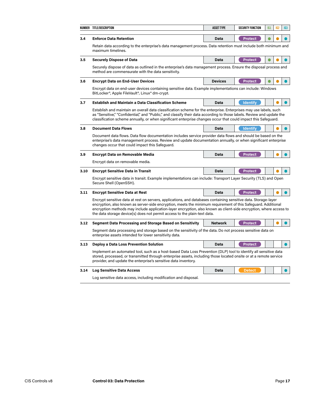|                                                                                                                                                                                                                                                                                                                                                                                                                                     | NUMBER TITLE/DESCRIPTION                                                                                                                                                                                                                                                                                  | <b>ASSET TYPE</b><br><b>SECURITY FUNCTION</b><br>IG1 |                 | 162 | 163 |  |
|-------------------------------------------------------------------------------------------------------------------------------------------------------------------------------------------------------------------------------------------------------------------------------------------------------------------------------------------------------------------------------------------------------------------------------------|-----------------------------------------------------------------------------------------------------------------------------------------------------------------------------------------------------------------------------------------------------------------------------------------------------------|------------------------------------------------------|-----------------|-----|-----|--|
| 3.4                                                                                                                                                                                                                                                                                                                                                                                                                                 | <b>Enforce Data Retention</b>                                                                                                                                                                                                                                                                             | Data                                                 | <b>Protect</b>  |     |     |  |
|                                                                                                                                                                                                                                                                                                                                                                                                                                     | Retain data according to the enterprise's data management process. Data retention must include both minimum and<br>maximum timelines.                                                                                                                                                                     |                                                      |                 |     |     |  |
| 3.5                                                                                                                                                                                                                                                                                                                                                                                                                                 | <b>Securely Dispose of Data</b>                                                                                                                                                                                                                                                                           | Data                                                 | <b>Protect</b>  |     |     |  |
|                                                                                                                                                                                                                                                                                                                                                                                                                                     | Securely dispose of data as outlined in the enterprise's data management process. Ensure the disposal process and<br>method are commensurate with the data sensitivity.                                                                                                                                   |                                                      |                 |     |     |  |
| 3.6                                                                                                                                                                                                                                                                                                                                                                                                                                 | <b>Encrypt Data on End-User Devices</b>                                                                                                                                                                                                                                                                   | <b>Devices</b>                                       | <b>Protect</b>  |     |     |  |
|                                                                                                                                                                                                                                                                                                                                                                                                                                     | Encrypt data on end-user devices containing sensitive data. Example implementations can include: Windows<br>BitLocker®, Apple FileVault®, Linux® dm-crypt.                                                                                                                                                |                                                      |                 |     |     |  |
| 3.7                                                                                                                                                                                                                                                                                                                                                                                                                                 | <b>Establish and Maintain a Data Classification Scheme</b>                                                                                                                                                                                                                                                | Data                                                 | <b>Identify</b> |     |     |  |
| Establish and maintain an overall data classification scheme for the enterprise. Enterprises may use labels, such<br>as "Sensitive," "Confidential," and "Public," and classify their data according to those labels. Review and update the<br>classification scheme annually, or when significant enterprise changes occur that could impact this Safeguard.                                                                       |                                                                                                                                                                                                                                                                                                           |                                                      |                 |     |     |  |
| 3.8                                                                                                                                                                                                                                                                                                                                                                                                                                 | <b>Document Data Flows</b>                                                                                                                                                                                                                                                                                | Data                                                 | <b>Identify</b> |     |     |  |
| Document data flows. Data flow documentation includes service provider data flows and should be based on the<br>enterprise's data management process. Review and update documentation annually, or when significant enterprise<br>changes occur that could impact this Safeguard.                                                                                                                                                   |                                                                                                                                                                                                                                                                                                           |                                                      |                 |     |     |  |
| 3.9                                                                                                                                                                                                                                                                                                                                                                                                                                 | <b>Encrypt Data on Removable Media</b>                                                                                                                                                                                                                                                                    | Data                                                 | <b>Protect</b>  |     |     |  |
|                                                                                                                                                                                                                                                                                                                                                                                                                                     | Encrypt data on removable media.                                                                                                                                                                                                                                                                          |                                                      |                 |     |     |  |
| 3.10                                                                                                                                                                                                                                                                                                                                                                                                                                | <b>Encrypt Sensitive Data in Transit</b>                                                                                                                                                                                                                                                                  | Data                                                 | <b>Protect</b>  |     |     |  |
|                                                                                                                                                                                                                                                                                                                                                                                                                                     | Encrypt sensitive data in transit. Example implementations can include: Transport Layer Security (TLS) and Open<br>Secure Shell (OpenSSH).                                                                                                                                                                |                                                      |                 |     |     |  |
| 3.11                                                                                                                                                                                                                                                                                                                                                                                                                                | <b>Encrypt Sensitive Data at Rest</b>                                                                                                                                                                                                                                                                     | Data                                                 | <b>Protect</b>  |     |     |  |
| Encrypt sensitive data at rest on servers, applications, and databases containing sensitive data. Storage-layer<br>encryption, also known as server-side encryption, meets the minimum requirement of this Safeguard. Additional<br>encryption methods may include application-layer encryption, also known as client-side encryption, where access to<br>the data storage device(s) does not permit access to the plain-text data. |                                                                                                                                                                                                                                                                                                           |                                                      |                 |     |     |  |
| 3.12                                                                                                                                                                                                                                                                                                                                                                                                                                | <b>Segment Data Processing and Storage Based on Sensitivity</b>                                                                                                                                                                                                                                           | <b>Network</b>                                       | <b>Protect</b>  |     |     |  |
|                                                                                                                                                                                                                                                                                                                                                                                                                                     | Segment data processing and storage based on the sensitivity of the data. Do not process sensitive data on<br>enterprise assets intended for lower sensitivity data.                                                                                                                                      |                                                      |                 |     |     |  |
| 3.13                                                                                                                                                                                                                                                                                                                                                                                                                                | <b>Deploy a Data Loss Prevention Solution</b>                                                                                                                                                                                                                                                             | Data                                                 | <b>Protect</b>  |     |     |  |
|                                                                                                                                                                                                                                                                                                                                                                                                                                     | Implement an automated tool, such as a host-based Data Loss Prevention (DLP) tool to identify all sensitive data<br>stored, processed, or transmitted through enterprise assets, including those located onsite or at a remote service<br>provider, and update the enterprise's sensitive data inventory. |                                                      |                 |     |     |  |
| 3.14                                                                                                                                                                                                                                                                                                                                                                                                                                | <b>Log Sensitive Data Access</b>                                                                                                                                                                                                                                                                          | Data                                                 | <b>Detect</b>   |     |     |  |
|                                                                                                                                                                                                                                                                                                                                                                                                                                     | Log sensitive data access, including modification and disposal.                                                                                                                                                                                                                                           |                                                      |                 |     |     |  |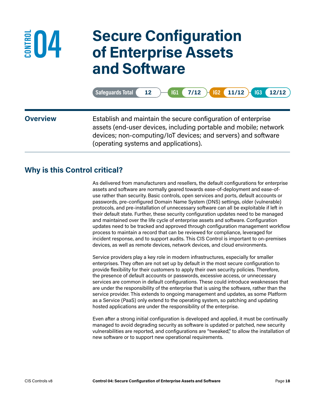<span id="page-29-0"></span>

### **04 Secure Configuration of Enterprise Assets and Software**

**Safeguards Total• 12 IG1• 7/12 IG2• 11/12 IG3• 12/12**

**Overview** Establish and maintain the secure configuration of enterprise assets (end-user devices, including portable and mobile; network devices; non-computing/IoT devices; and servers) and software (operating systems and applications).

#### **Why is this Control critical?**

As delivered from manufacturers and resellers, the default configurations for enterprise assets and software are normally geared towards ease-of-deployment and ease-ofuse rather than security. Basic controls, open services and ports, default accounts or passwords, pre-configured Domain Name System (DNS) settings, older (vulnerable) protocols, and pre-installation of unnecessary software can all be exploitable if left in their default state. Further, these security configuration updates need to be managed and maintained over the life cycle of enterprise assets and software. Configuration updates need to be tracked and approved through configuration management workflow process to maintain a record that can be reviewed for compliance, leveraged for incident response, and to support audits. This CIS Control is important to on-premises devices, as well as remote devices, network devices, and cloud environments.

Service providers play a key role in modern infrastructures, especially for smaller enterprises. They often are not set up by default in the most secure configuration to provide flexibility for their customers to apply their own security policies. Therefore, the presence of default accounts or passwords, excessive access, or unnecessary services are common in default configurations. These could introduce weaknesses that are under the responsibility of the enterprise that is using the software, rather than the service provider. This extends to ongoing management and updates, as some Platform as a Service (PaaS) only extend to the operating system, so patching and updating hosted applications are under the responsibility of the enterprise.

Even after a strong initial configuration is developed and applied, it must be continually managed to avoid degrading security as software is updated or patched, new security vulnerabilities are reported, and configurations are "tweaked," to allow the installation of new software or to support new operational requirements.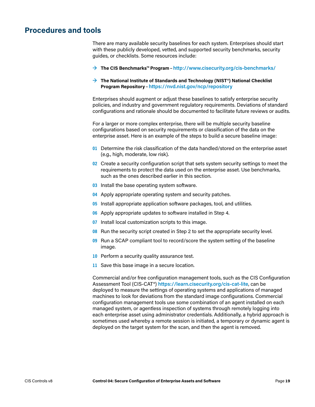#### <span id="page-30-0"></span>**Procedures and tools**

There are many available security baselines for each system. Enterprises should start with these publicly developed, vetted, and supported security benchmarks, security guides, or checklists. Some resources include:

**→ The CIS Benchmarks™ Program**–**<http://www.cisecurity.org/cis-benchmarks/>**

#### **→ The National Institute of Standards and Technology (NIST®) National Checklist Program Repository** –**<https://nvd.nist.gov/ncp/repository>**

Enterprises should augment or adjust these baselines to satisfy enterprise security policies, and industry and government regulatory requirements. Deviations of standard configurations and rationale should be documented to facilitate future reviews or audits.

For a larger or more complex enterprise, there will be multiple security baseline configurations based on security requirements or classification of the data on the enterprise asset. Here is an example of the steps to build a secure baseline image:

- **01** Determine the risk classification of the data handled/stored on the enterprise asset (e.g., high, moderate, low risk).
- **02** Create a security configuration script that sets system security settings to meet the requirements to protect the data used on the enterprise asset. Use benchmarks, such as the ones described earlier in this section.
- **03** Install the base operating system software.
- **04** Apply appropriate operating system and security patches.
- **05** Install appropriate application software packages, tool, and utilities.
- **06** Apply appropriate updates to software installed in Step 4.
- **07** Install local customization scripts to this image.
- **08** Run the security script created in Step 2 to set the appropriate security level.
- **09** Run a SCAP compliant tool to record/score the system setting of the baseline image.
- **10** Perform a security quality assurance test.
- **11** Save this base image in a secure location.

Commercial and/or free configuration management tools, such as the CIS Configuration Assessment Tool (CIS-CAT®) **<https://learn.cisecurity.org/cis-cat-lite>**, can be deployed to measure the settings of operating systems and applications of managed machines to look for deviations from the standard image configurations. Commercial configuration management tools use some combination of an agent installed on each managed system, or agentless inspection of systems through remotely logging into each enterprise asset using administrator credentials. Additionally, a hybrid approach is sometimes used whereby a remote session is initiated, a temporary or dynamic agent is deployed on the target system for the scan, and then the agent is removed.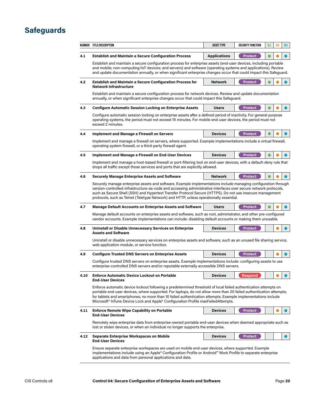### <span id="page-31-0"></span>**Safeguards**

|                                                                                                                                                                                                                                                       | NUMBER TITLE/DESCRIPTION                                                                                                                                                                                                                                                                                                                                                                                                                   | <b>ASSET TYPE</b>   | <b>SECURITY FUNCTION</b> | 161 | 162 | 163 |  |  |
|-------------------------------------------------------------------------------------------------------------------------------------------------------------------------------------------------------------------------------------------------------|--------------------------------------------------------------------------------------------------------------------------------------------------------------------------------------------------------------------------------------------------------------------------------------------------------------------------------------------------------------------------------------------------------------------------------------------|---------------------|--------------------------|-----|-----|-----|--|--|
| 4.1                                                                                                                                                                                                                                                   | <b>Establish and Maintain a Secure Configuration Process</b>                                                                                                                                                                                                                                                                                                                                                                               | <b>Applications</b> | <b>Protect</b>           |     |     |     |  |  |
|                                                                                                                                                                                                                                                       | Establish and maintain a secure configuration process for enterprise assets (end-user devices, including portable<br>and mobile; non-computing/IoT devices; and servers) and software (operating systems and applications). Review<br>and update documentation annually, or when significant enterprise changes occur that could impact this Safeguard.                                                                                    |                     |                          |     |     |     |  |  |
| 4.2                                                                                                                                                                                                                                                   | <b>Establish and Maintain a Secure Configuration Process for</b><br><b>Network Infrastructure</b>                                                                                                                                                                                                                                                                                                                                          | <b>Network</b>      | <b>Protect</b>           |     |     |     |  |  |
|                                                                                                                                                                                                                                                       | Establish and maintain a secure configuration process for network devices. Review and update documentation<br>annually, or when significant enterprise changes occur that could impact this Safeguard.                                                                                                                                                                                                                                     |                     |                          |     |     |     |  |  |
| 4.3                                                                                                                                                                                                                                                   | <b>Configure Automatic Session Locking on Enterprise Assets</b>                                                                                                                                                                                                                                                                                                                                                                            | <b>Users</b>        | <b>Protect</b>           |     |     |     |  |  |
| Configure automatic session locking on enterprise assets after a defined period of inactivity. For general purpose<br>operating systems, the period must not exceed 15 minutes. For mobile end-user devices, the period must not<br>exceed 2 minutes. |                                                                                                                                                                                                                                                                                                                                                                                                                                            |                     |                          |     |     |     |  |  |
| 4.4                                                                                                                                                                                                                                                   | <b>Implement and Manage a Firewall on Servers</b>                                                                                                                                                                                                                                                                                                                                                                                          | <b>Devices</b>      | <b>Protect</b>           |     |     |     |  |  |
|                                                                                                                                                                                                                                                       | Implement and manage a firewall on servers, where supported. Example implementations include a virtual firewall,<br>operating system firewall, or a third-party firewall agent.                                                                                                                                                                                                                                                            |                     |                          |     |     |     |  |  |
| 4.5                                                                                                                                                                                                                                                   | Implement and Manage a Firewall on End-User Devices                                                                                                                                                                                                                                                                                                                                                                                        | <b>Devices</b>      | <b>Protect</b>           |     |     |     |  |  |
|                                                                                                                                                                                                                                                       | Implement and manage a host-based firewall or port-filtering tool on end-user devices, with a default-deny rule that<br>drops all traffic except those services and ports that are explicitly allowed.                                                                                                                                                                                                                                     |                     |                          |     |     |     |  |  |
| 4.6                                                                                                                                                                                                                                                   | <b>Securely Manage Enterprise Assets and Software</b>                                                                                                                                                                                                                                                                                                                                                                                      | <b>Network</b>      | <b>Protect</b>           |     |     |     |  |  |
|                                                                                                                                                                                                                                                       | version-controlled-infrastructure-as-code and accessing administrative interfaces over secure network protocols,<br>such as Secure Shell (SSH) and Hypertext Transfer Protocol Secure (HTTPS). Do not use insecure management<br>protocols, such as Telnet (Teletype Network) and HTTP, unless operationally essential.                                                                                                                    |                     |                          |     |     |     |  |  |
| 4.7                                                                                                                                                                                                                                                   | <b>Manage Default Accounts on Enterprise Assets and Software</b>                                                                                                                                                                                                                                                                                                                                                                           | <b>Users</b>        | <b>Protect</b>           |     |     |     |  |  |
|                                                                                                                                                                                                                                                       | Manage default accounts on enterprise assets and software, such as root, administrator, and other pre-configured<br>vendor accounts. Example implementations can include: disabling default accounts or making them unusable.                                                                                                                                                                                                              |                     |                          |     |     |     |  |  |
| 4.8                                                                                                                                                                                                                                                   | <b>Uninstall or Disable Unnecessary Services on Enterprise</b><br><b>Assets and Software</b>                                                                                                                                                                                                                                                                                                                                               | <b>Devices</b>      | <b>Protect</b>           |     |     |     |  |  |
|                                                                                                                                                                                                                                                       | Uninstall or disable unnecessary services on enterprise assets and software, such as an unused file sharing service,<br>web application module, or service function.                                                                                                                                                                                                                                                                       |                     |                          |     |     |     |  |  |
| 4.9                                                                                                                                                                                                                                                   | <b>Configure Trusted DNS Servers on Enterprise Assets</b>                                                                                                                                                                                                                                                                                                                                                                                  | <b>Devices</b>      | <b>Protect</b>           |     |     |     |  |  |
|                                                                                                                                                                                                                                                       | Configure trusted DNS servers on enterprise assets. Example implementations include: configuring assets to use<br>enterprise-controlled DNS servers and/or reputable externally accessible DNS servers.                                                                                                                                                                                                                                    |                     |                          |     |     |     |  |  |
| 4.10                                                                                                                                                                                                                                                  | <b>Enforce Automatic Device Lockout on Portable</b><br><b>End-User Devices</b>                                                                                                                                                                                                                                                                                                                                                             | <b>Devices</b>      | <b>Respond</b>           |     |     |     |  |  |
|                                                                                                                                                                                                                                                       | Enforce automatic device lockout following a predetermined threshold of local failed authentication attempts on<br>portable end-user devices, where supported. For laptops, do not allow more than 20 failed authentication attempts;<br>for tablets and smartphones, no more than 10 failed authentication attempts. Example implementations include<br>Microsoft® InTune Device Lock and Apple® Configuration Profile maxFailedAttempts. |                     |                          |     |     |     |  |  |
| 4.11                                                                                                                                                                                                                                                  | <b>Enforce Remote Wipe Capability on Portable</b><br><b>End-User Devices</b>                                                                                                                                                                                                                                                                                                                                                               | <b>Devices</b>      | <b>Protect</b>           |     |     |     |  |  |
|                                                                                                                                                                                                                                                       | Remotely wipe enterprise data from enterprise-owned portable end-user devices when deemed appropriate such as<br>lost or stolen devices, or when an individual no longer supports the enterprise.                                                                                                                                                                                                                                          |                     |                          |     |     |     |  |  |
| 4.12                                                                                                                                                                                                                                                  | Separate Enterprise Workspaces on Mobile<br><b>End-User Devices</b>                                                                                                                                                                                                                                                                                                                                                                        | <b>Devices</b>      | <b>Protect</b>           |     |     |     |  |  |
|                                                                                                                                                                                                                                                       | Ensure separate enterprise workspaces are used on mobile end-user devices, where supported. Example<br>implementations include using an Apple® Configuration Profile or Android™ Work Profile to separate enterprise<br>applications and data from personal applications and data.                                                                                                                                                         |                     |                          |     |     |     |  |  |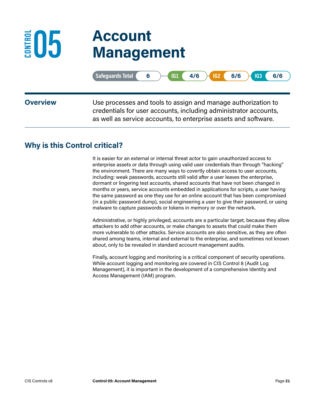### <span id="page-32-0"></span>**05 Account Management ED5**

|                 | $\begin{array}{ c c c c c c c c c } \hline \text{IG1} & 4/6 & \text{IG2} & 6/6 \ \hline \end{array}$<br>Safeguards Total $\left( 6 \right)$<br><b>IG3</b><br>6/6                                     |
|-----------------|------------------------------------------------------------------------------------------------------------------------------------------------------------------------------------------------------|
| <b>Overview</b> | Use processes and tools to assign and manage authorization to<br>credentials for user accounts, including administrator accounts,<br>as well as service accounts, to enterprise assets and software. |

#### **Why is this Control critical?**

It is easier for an external or internal threat actor to gain unauthorized access to enterprise assets or data through using valid user credentials than through "hacking" the environment. There are many ways to covertly obtain access to user accounts, including: weak passwords, accounts still valid after a user leaves the enterprise, dormant or lingering test accounts, shared accounts that have not been changed in months or years, service accounts embedded in applications for scripts, a user having the same password as one they use for an online account that has been compromised (in a public password dump), social engineering a user to give their password, or using malware to capture passwords or tokens in memory or over the network.

Administrative, or highly privileged, accounts are a particular target, because they allow attackers to add other accounts, or make changes to assets that could make them more vulnerable to other attacks. Service accounts are also sensitive, as they are often shared among teams, internal and external to the enterprise, and sometimes not known about, only to be revealed in standard account management audits.

Finally, account logging and monitoring is a critical component of security operations. While account logging and monitoring are covered in CIS Control 8 (Audit Log Management), it is important in the development of a comprehensive Identity and Access Management (IAM) program.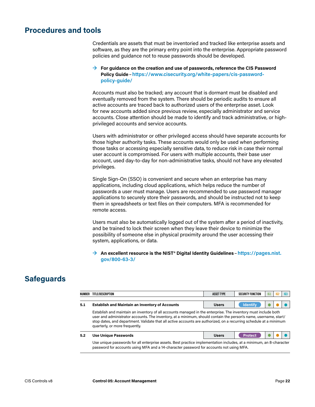#### <span id="page-33-0"></span>**Procedures and tools**

Credentials are assets that must be inventoried and tracked like enterprise assets and software, as they are the primary entry point into the enterprise. Appropriate password policies and guidance not to reuse passwords should be developed.

#### **→ For guidance on the creation and use of passwords, reference the CIS Password Policy Guide**–**[https://www.cisecurity.org/white-papers/cis-password](https://www.cisecurity.org/white-papers/cis-password-policy-guide/)[policy-guide/](https://www.cisecurity.org/white-papers/cis-password-policy-guide/)**

Accounts must also be tracked; any account that is dormant must be disabled and eventually removed from the system. There should be periodic audits to ensure all active accounts are traced back to authorized users of the enterprise asset. Look for new accounts added since previous review, especially administrator and service accounts. Close attention should be made to identify and track administrative, or highprivileged accounts and service accounts.

Users with administrator or other privileged access should have separate accounts for those higher authority tasks. These accounts would only be used when performing those tasks or accessing especially sensitive data, to reduce risk in case their normal user account is compromised. For users with multiple accounts, their base user account, used day-to-day for non-administrative tasks, should not have any elevated privileges.

Single Sign-On (SSO) is convenient and secure when an enterprise has many applications, including cloud applications, which helps reduce the number of passwords a user must manage. Users are recommended to use password manager applications to securely store their passwords, and should be instructed not to keep them in spreadsheets or text files on their computers. MFA is recommended for remote access.

Users must also be automatically logged out of the system after a period of inactivity, and be trained to lock their screen when they leave their device to minimize the possibility of someone else in physical proximity around the user accessing their system, applications, or data.

#### **→ An excellent resource is the NIST® Digital Identity Guidelines** –**[https://pages.nist.](https://pages.nist.gov/800-63-3/) [gov/800-63-3/](https://pages.nist.gov/800-63-3/)**

### **Safeguards**

| NUMBER                                                                                                                                                                                                                                                                                                                                                                                     | TITLE/DESCRIPTION                                      | <b>ASSET TYPE</b> | SECURITY FUNCTION | 161 | IG <sub>2</sub> | 163 |
|--------------------------------------------------------------------------------------------------------------------------------------------------------------------------------------------------------------------------------------------------------------------------------------------------------------------------------------------------------------------------------------------|--------------------------------------------------------|-------------------|-------------------|-----|-----------------|-----|
| 5.1                                                                                                                                                                                                                                                                                                                                                                                        | <b>Establish and Maintain an Inventory of Accounts</b> | <b>Users</b>      | <b>Identify</b>   |     |                 |     |
| Establish and maintain an inventory of all accounts managed in the enterprise. The inventory must include both<br>user and administrator accounts. The inventory, at a minimum, should contain the person's name, username, start/<br>stop dates, and department. Validate that all active accounts are authorized, on a recurring schedule at a minimum<br>quarterly, or more frequently. |                                                        |                   |                   |     |                 |     |

| 5.2 | <b>Use Unique Passwords</b>                                                                                         | <b>Users</b> |  |  |
|-----|---------------------------------------------------------------------------------------------------------------------|--------------|--|--|
|     | Use unique passwords for all enterprise assets. Best practice implementation includes, at a minimum, an 8-character |              |  |  |

password for accounts using MFA and a 14-character password for accounts not using MFA.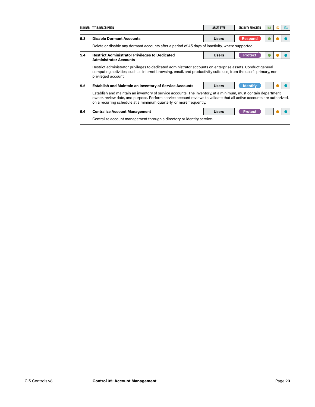| NUMBER                                                                                                                                                                                                                                                                                                        | TITLE/DESCRIPTION                                                                                                                                                                                                                                       | <b>ASSET TYPE</b> | <b>SECURITY FUNCTION</b> | 161 | IG <sub>2</sub> | IG3 |  |  |  |  |  |
|---------------------------------------------------------------------------------------------------------------------------------------------------------------------------------------------------------------------------------------------------------------------------------------------------------------|---------------------------------------------------------------------------------------------------------------------------------------------------------------------------------------------------------------------------------------------------------|-------------------|--------------------------|-----|-----------------|-----|--|--|--|--|--|
| 5.3                                                                                                                                                                                                                                                                                                           | <b>Disable Dormant Accounts</b>                                                                                                                                                                                                                         | <b>Users</b>      | <b>Respond</b>           |     |                 |     |  |  |  |  |  |
|                                                                                                                                                                                                                                                                                                               | Delete or disable any dormant accounts after a period of 45 days of inactivity, where supported.                                                                                                                                                        |                   |                          |     |                 |     |  |  |  |  |  |
| 5.4                                                                                                                                                                                                                                                                                                           | <b>Restrict Administrator Privileges to Dedicated</b><br><b>Administrator Accounts</b>                                                                                                                                                                  | <b>Users</b>      | <b>Protect</b>           |     |                 |     |  |  |  |  |  |
|                                                                                                                                                                                                                                                                                                               |                                                                                                                                                                                                                                                         |                   |                          |     |                 |     |  |  |  |  |  |
|                                                                                                                                                                                                                                                                                                               | Restrict administrator privileges to dedicated administrator accounts on enterprise assets. Conduct general<br>computing activities, such as internet browsing, email, and productivity suite use, from the user's primary, non-<br>privileged account. |                   |                          |     |                 |     |  |  |  |  |  |
| 5.5                                                                                                                                                                                                                                                                                                           | <b>Establish and Maintain an Inventory of Service Accounts</b>                                                                                                                                                                                          | <b>Users</b>      | <b>Identify</b>          |     |                 |     |  |  |  |  |  |
| Establish and maintain an inventory of service accounts. The inventory, at a minimum, must contain department<br>owner, review date, and purpose. Perform service account reviews to validate that all active accounts are authorized,<br>on a recurring schedule at a minimum quarterly, or more frequently. |                                                                                                                                                                                                                                                         |                   |                          |     |                 |     |  |  |  |  |  |
| 5.6                                                                                                                                                                                                                                                                                                           | <b>Centralize Account Management</b>                                                                                                                                                                                                                    | <b>Users</b>      | <b>Protect</b>           |     |                 |     |  |  |  |  |  |
|                                                                                                                                                                                                                                                                                                               | Centralize account management through a directory or identity service.                                                                                                                                                                                  |                   |                          |     |                 |     |  |  |  |  |  |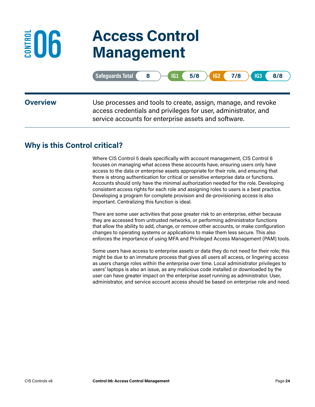## **06 Access Control Management**

|                 | Safeguards Total<br>$IG2$ 7/8 $H$<br>$5/8$ $\rightarrow$<br>IG1<br>IG3<br>8/8<br>8                                                                                                      |
|-----------------|-----------------------------------------------------------------------------------------------------------------------------------------------------------------------------------------|
| <b>Overview</b> | Use processes and tools to create, assign, manage, and revoke<br>access credentials and privileges for user, administrator, and<br>service accounts for enterprise assets and software. |

#### **Why is this Control critical?**

<span id="page-35-0"></span>**ED6** 

Where CIS Control 5 deals specifically with account management, CIS Control 6 focuses on managing what access these accounts have, ensuring users only have access to the data or enterprise assets appropriate for their role, and ensuring that there is strong authentication for critical or sensitive enterprise data or functions. Accounts should only have the minimal authorization needed for the role. Developing consistent access rights for each role and assigning roles to users is a best practice. Developing a program for complete provision and de-provisioning access is also important. Centralizing this function is ideal.

There are some user activities that pose greater risk to an enterprise, either because they are accessed from untrusted networks, or performing administrator functions that allow the ability to add, change, or remove other accounts, or make configuration changes to operating systems or applications to make them less secure. This also enforces the importance of using MFA and Privileged Access Management (PAM) tools.

Some users have access to enterprise assets or data they do not need for their role; this might be due to an immature process that gives all users all access, or lingering access as users change roles within the enterprise over time. Local administrator privileges to users' laptops is also an issue, as any malicious code installed or downloaded by the user can have greater impact on the enterprise asset running as administrator. User, administrator, and service account access should be based on enterprise role and need.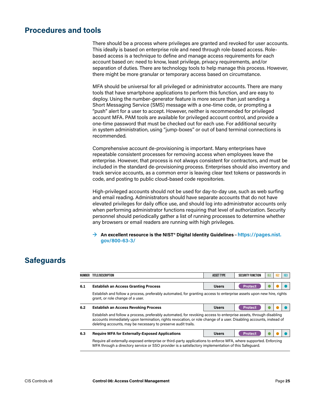#### **Procedures and tools**

There should be a process where privileges are granted and revoked for user accounts. This ideally is based on enterprise role and need through role-based access. Rolebased access is a technique to define and manage access requirements for each account based on: need to know, least privilege, privacy requirements, and/or separation of duties. There are technology tools to help manage this process. However, there might be more granular or temporary access based on circumstance.

MFA should be universal for all privileged or administrator accounts. There are many tools that have smartphone applications to perform this function, and are easy to deploy. Using the number-generator feature is more secure than just sending a Short Messaging Service (SMS) message with a one-time code, or prompting a "push" alert for a user to accept. However, neither is recommended for privileged account MFA. PAM tools are available for privileged account control, and provide a one-time password that must be checked out for each use. For additional security in system administration, using "jump-boxes" or out of band terminal connections is recommended.

Comprehensive account de-provisioning is important. Many enterprises have repeatable consistent processes for removing access when employees leave the enterprise. However, that process is not always consistent for contractors, and must be included in the standard de-provisioning process. Enterprises should also inventory and track service accounts, as a common error is leaving clear text tokens or passwords in code, and posting to public cloud-based code repositories.

High-privileged accounts should not be used for day-to-day use, such as web surfing and email reading. Administrators should have separate accounts that do not have elevated privileges for daily office use, and should log into administrator accounts only when performing administrator functions requiring that level of authorization. Security personnel should periodically gather a list of running processes to determine whether any browsers or email readers are running with high privileges.

**→ An excellent resource is the NIST® Digital Identity Guidelines** –**[https://pages.nist.](https://pages.nist.gov/800-63-3/) [gov/800-63-3/](https://pages.nist.gov/800-63-3/)**

| NUMBER                                                                                                                                                   | TITLE/DESCRIPTION                                                                                                                                                                                                                                                                                        | <b>ASSET TYPE</b> | SECURITY FUNCTION | IG1 | IG <sub>2</sub> | IG3 |  |
|----------------------------------------------------------------------------------------------------------------------------------------------------------|----------------------------------------------------------------------------------------------------------------------------------------------------------------------------------------------------------------------------------------------------------------------------------------------------------|-------------------|-------------------|-----|-----------------|-----|--|
| 6.1                                                                                                                                                      | <b>Establish an Access Granting Process</b>                                                                                                                                                                                                                                                              | <b>Users</b>      | <b>Protect</b>    |     |                 |     |  |
| Establish and follow a process, preferably automated, for granting access to enterprise assets upon new hire, rights<br>grant, or role change of a user. |                                                                                                                                                                                                                                                                                                          |                   |                   |     |                 |     |  |
| 6.2                                                                                                                                                      | <b>Establish an Access Revoking Process</b>                                                                                                                                                                                                                                                              | <b>Users</b>      | <b>Protect</b>    |     |                 |     |  |
|                                                                                                                                                          | Establish and follow a process, preferably automated, for revoking access to enterprise assets, through disabling<br>accounts immediately upon termination, rights revocation, or role change of a user. Disabling accounts, instead of<br>deleting accounts, may be necessary to preserve audit trails. |                   |                   |     |                 |     |  |
| 6.3                                                                                                                                                      | <b>Require MFA for Externally-Exposed Applications</b>                                                                                                                                                                                                                                                   | <b>Users</b>      | <b>Protect</b>    |     |                 |     |  |
|                                                                                                                                                          | Require all externally-exposed enterprise or third-party applications to enforce MFA, where supported. Enforcing<br>MFA through a directory service or SSO provider is a satisfactory implementation of this Safequard.                                                                                  |                   |                   |     |                 |     |  |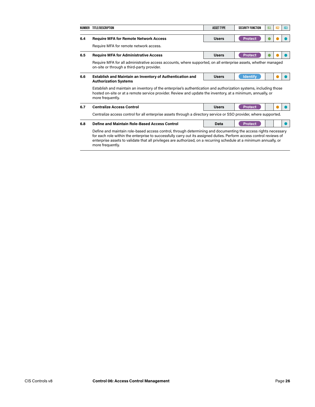|     | NUMBER TITLE/DESCRIPTION                                                                                                                                                                                                                                                                                                                                                          | <b>ASSET TYPE</b> | <b>SECURITY FUNCTION</b> | 161 | 162 | IG3 |  |  |
|-----|-----------------------------------------------------------------------------------------------------------------------------------------------------------------------------------------------------------------------------------------------------------------------------------------------------------------------------------------------------------------------------------|-------------------|--------------------------|-----|-----|-----|--|--|
| 6.4 | <b>Require MFA for Remote Network Access</b>                                                                                                                                                                                                                                                                                                                                      | <b>Users</b>      | <b>Protect</b>           |     |     |     |  |  |
|     | Require MFA for remote network access.                                                                                                                                                                                                                                                                                                                                            |                   |                          |     |     |     |  |  |
| 6.5 | <b>Require MFA for Administrative Access</b>                                                                                                                                                                                                                                                                                                                                      | <b>Users</b>      | <b>Protect</b>           |     |     |     |  |  |
|     | Require MFA for all administrative access accounts, where supported, on all enterprise assets, whether managed<br>on-site or through a third-party provider.                                                                                                                                                                                                                      |                   |                          |     |     |     |  |  |
| 6.6 | Establish and Maintain an Inventory of Authentication and                                                                                                                                                                                                                                                                                                                         | <b>Users</b>      | <b>Identify</b>          |     |     |     |  |  |
|     | <b>Authorization Systems</b>                                                                                                                                                                                                                                                                                                                                                      |                   |                          |     |     |     |  |  |
|     | Establish and maintain an inventory of the enterprise's authentication and authorization systems, including those<br>hosted on-site or at a remote service provider. Review and update the inventory, at a minimum, annually, or<br>more frequently.                                                                                                                              |                   |                          |     |     |     |  |  |
| 6.7 | <b>Centralize Access Control</b>                                                                                                                                                                                                                                                                                                                                                  | <b>Users</b>      | <b>Protect</b>           |     |     |     |  |  |
|     | Centralize access control for all enterprise assets through a directory service or SSO provider, where supported.                                                                                                                                                                                                                                                                 |                   |                          |     |     |     |  |  |
| 6.8 | Define and Maintain Role-Based Access Control                                                                                                                                                                                                                                                                                                                                     | Data              | <b>Protect</b>           |     |     |     |  |  |
|     | Define and maintain role-based access control, through determining and documenting the access rights necessary<br>for each role within the enterprise to successfully carry out its assigned duties. Perform access control reviews of<br>enterprise assets to validate that all privileges are authorized, on a recurring schedule at a minimum annually, or<br>more frequently. |                   |                          |     |     |     |  |  |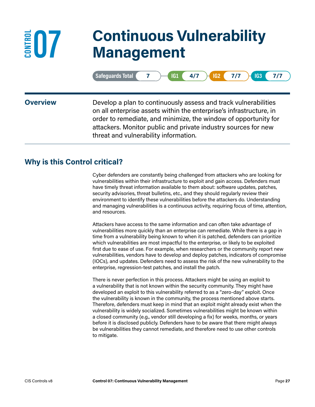## **07 Continuous Vulnerability Management**

| rds Total<br>וגווחםזג<br>AN HO |  |  |  | $\mathbf{A}$<br>⊢ | 7- |
|--------------------------------|--|--|--|-------------------|----|
|--------------------------------|--|--|--|-------------------|----|

**ED7** 

**Overview** Develop a plan to continuously assess and track vulnerabilities on all enterprise assets within the enterprise's infrastructure, in order to remediate, and minimize, the window of opportunity for attackers. Monitor public and private industry sources for new threat and vulnerability information.

#### **Why is this Control critical?**

Cyber defenders are constantly being challenged from attackers who are looking for vulnerabilities within their infrastructure to exploit and gain access. Defenders must have timely threat information available to them about: software updates, patches, security advisories, threat bulletins, etc., and they should regularly review their environment to identify these vulnerabilities before the attackers do. Understanding and managing vulnerabilities is a continuous activity, requiring focus of time, attention, and resources.

Attackers have access to the same information and can often take advantage of vulnerabilities more quickly than an enterprise can remediate. While there is a gap in time from a vulnerability being known to when it is patched, defenders can prioritize which vulnerabilities are most impactful to the enterprise, or likely to be exploited first due to ease of use. For example, when researchers or the community report new vulnerabilities, vendors have to develop and deploy patches, indicators of compromise (IOCs), and updates. Defenders need to assess the risk of the new vulnerability to the enterprise, regression-test patches, and install the patch.

There is never perfection in this process. Attackers might be using an exploit to a vulnerability that is not known within the security community. They might have developed an exploit to this vulnerability referred to as a "zero-day" exploit. Once the vulnerability is known in the community, the process mentioned above starts. Therefore, defenders must keep in mind that an exploit might already exist when the vulnerability is widely socialized. Sometimes vulnerabilities might be known within a closed community (e.g., vendor still developing a fix) for weeks, months, or years before it is disclosed publicly. Defenders have to be aware that there might always be vulnerabilities they cannot remediate, and therefore need to use other controls to mitigate.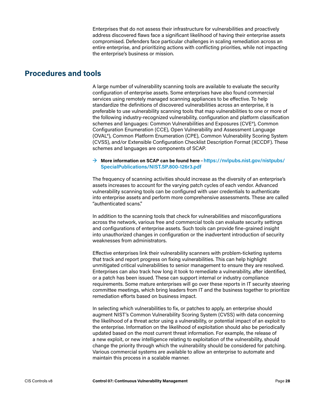Enterprises that do not assess their infrastructure for vulnerabilities and proactively address discovered flaws face a significant likelihood of having their enterprise assets compromised. Defenders face particular challenges in scaling remediation across an entire enterprise, and prioritizing actions with conflicting priorities, while not impacting the enterprise's business or mission.

#### **Procedures and tools**

A large number of vulnerability scanning tools are available to evaluate the security configuration of enterprise assets. Some enterprises have also found commercial services using remotely managed scanning appliances to be effective. To help standardize the definitions of discovered vulnerabilities across an enterprise, it is preferable to use vulnerability scanning tools that map vulnerabilities to one or more of the following industry-recognized vulnerability, configuration and platform classification schemes and languages: Common Vulnerabilities and Exposures (CVE®), Common Configuration Enumeration (CCE), Open Vulnerability and Assessment Language (OVAL®), Common Platform Enumeration (CPE), Common Vulnerability Scoring System (CVSS), and/or Extensible Configuration Checklist Description Format (XCCDF). These schemes and languages are components of SCAP.

#### **→ More information on SCAP can be found here**–**[https://nvlpubs.nist.gov/nistpubs/](https://nvlpubs.nist.gov/nistpubs/SpecialPublications/NIST.SP.800-126r3.pdf) [SpecialPublications/NIST.SP.800-126r3.pdf](https://nvlpubs.nist.gov/nistpubs/SpecialPublications/NIST.SP.800-126r3.pdf)**

The frequency of scanning activities should increase as the diversity of an enterprise's assets increases to account for the varying patch cycles of each vendor. Advanced vulnerability scanning tools can be configured with user credentials to authenticate into enterprise assets and perform more comprehensive assessments. These are called "authenticated scans."

In addition to the scanning tools that check for vulnerabilities and misconfigurations across the network, various free and commercial tools can evaluate security settings and configurations of enterprise assets. Such tools can provide fine-grained insight into unauthorized changes in configuration or the inadvertent introduction of security weaknesses from administrators.

Effective enterprises link their vulnerability scanners with problem-ticketing systems that track and report progress on fixing vulnerabilities. This can help highlight unmitigated critical vulnerabilities to senior management to ensure they are resolved. Enterprises can also track how long it took to remediate a vulnerability, after identified, or a patch has been issued. These can support internal or industry compliance requirements. Some mature enterprises will go over these reports in IT security steering committee meetings, which bring leaders from IT and the business together to prioritize remediation efforts based on business impact.

In selecting which vulnerabilities to fix, or patches to apply, an enterprise should augment NIST's Common Vulnerability Scoring System (CVSS) with data concerning the likelihood of a threat actor using a vulnerability, or potential impact of an exploit to the enterprise. Information on the likelihood of exploitation should also be periodically updated based on the most current threat information. For example, the release of a new exploit, or new intelligence relating to exploitation of the vulnerability, should change the priority through which the vulnerability should be considered for patching. Various commercial systems are available to allow an enterprise to automate and maintain this process in a scalable manner.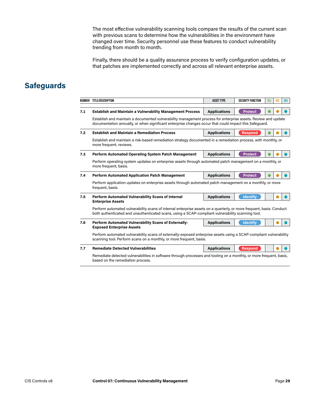The most effective vulnerability scanning tools compare the results of the current scan with previous scans to determine how the vulnerabilities in the environment have changed over time. Security personnel use these features to conduct vulnerability trending from month to month.

Finally, there should be a quality assurance process to verify configuration updates, or that patches are implemented correctly and across all relevant enterprise assets.

|     | NUMBER TITLE/DESCRIPTION                                                                                                                                                                                                  | <b>ASSET TYPE</b>   | <b>SECURITY FUNCTION</b> | IG1 | IG2 | IG3 |  |  |  |  |
|-----|---------------------------------------------------------------------------------------------------------------------------------------------------------------------------------------------------------------------------|---------------------|--------------------------|-----|-----|-----|--|--|--|--|
|     |                                                                                                                                                                                                                           |                     |                          |     |     |     |  |  |  |  |
| 7.1 | <b>Establish and Maintain a Vulnerability Management Process</b>                                                                                                                                                          | <b>Applications</b> | <b>Protect</b>           |     |     |     |  |  |  |  |
|     | Establish and maintain a documented vulnerability management process for enterprise assets. Review and update<br>documentation annually, or when significant enterprise changes occur that could impact this Safeguard.   |                     |                          |     |     |     |  |  |  |  |
| 7.2 | <b>Establish and Maintain a Remediation Process</b>                                                                                                                                                                       | <b>Applications</b> | <b>Respond</b>           |     |     |     |  |  |  |  |
|     | Establish and maintain a risk-based remediation strategy documented in a remediation process, with monthly, or<br>more frequent, reviews.                                                                                 |                     |                          |     |     |     |  |  |  |  |
| 7.3 | <b>Perform Automated Operating System Patch Management</b>                                                                                                                                                                | <b>Applications</b> | <b>Protect</b>           |     |     |     |  |  |  |  |
|     | Perform operating system updates on enterprise assets through automated patch management on a monthly, or<br>more frequent, basis.                                                                                        |                     |                          |     |     |     |  |  |  |  |
| 7.4 | <b>Perform Automated Application Patch Management</b>                                                                                                                                                                     | <b>Applications</b> | <b>Protect</b>           |     |     |     |  |  |  |  |
|     | Perform application updates on enterprise assets through automated patch management on a monthly, or more<br>frequent, basis.                                                                                             |                     |                          |     |     |     |  |  |  |  |
| 7.5 | Perform Automated Vulnerability Scans of Internal<br><b>Enterprise Assets</b>                                                                                                                                             | <b>Applications</b> | <b>Identify</b>          |     |     |     |  |  |  |  |
|     | Perform automated vulnerability scans of internal enterprise assets on a quarterly, or more frequent, basis. Conduct<br>both authenticated and unauthenticated scans, using a SCAP-compliant vulnerability scanning tool. |                     |                          |     |     |     |  |  |  |  |
| 7.6 | Perform Automated Vulnerability Scans of Externally-<br><b>Exposed Enterprise Assets</b>                                                                                                                                  | <b>Applications</b> | <b>Identify</b>          |     |     |     |  |  |  |  |
|     | Perform automated vulnerability scans of externally-exposed enterprise assets using a SCAP-compliant vulnerability<br>scanning tool. Perform scans on a monthly, or more frequent, basis.                                 |                     |                          |     |     |     |  |  |  |  |
| 7.7 | <b>Remediate Detected Vulnerabilities</b>                                                                                                                                                                                 | <b>Applications</b> | <b>Respond</b>           |     |     |     |  |  |  |  |
|     | Remediate detected vulnerabilities in software through processes and tooling on a monthly, or more frequent, basis,<br>based on the remediation process.                                                                  |                     |                          |     |     |     |  |  |  |  |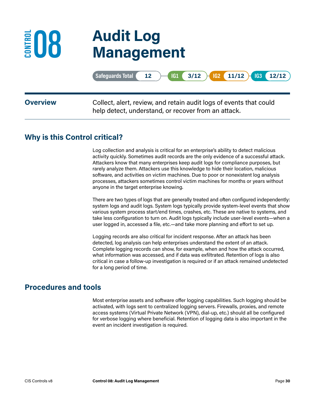

# **08 Audit Log Management**

|                 | Safeguards Total ( 12 ) (G1 ( 3/12 ) G2 ( 11/12 ) G3 ( 12/12 )                                                            |
|-----------------|---------------------------------------------------------------------------------------------------------------------------|
| <b>Overview</b> | Collect, alert, review, and retain audit logs of events that could<br>help detect, understand, or recover from an attack. |

#### **Why is this Control critical?**

Log collection and analysis is critical for an enterprise's ability to detect malicious activity quickly. Sometimes audit records are the only evidence of a successful attack. Attackers know that many enterprises keep audit logs for compliance purposes, but rarely analyze them. Attackers use this knowledge to hide their location, malicious software, and activities on victim machines. Due to poor or nonexistent log analysis processes, attackers sometimes control victim machines for months or years without anyone in the target enterprise knowing.

There are two types of logs that are generally treated and often configured independently: system logs and audit logs. System logs typically provide system-level events that show various system process start/end times, crashes, etc. These are native to systems, and take less configuration to turn on. Audit logs typically include user-level events—when a user logged in, accessed a file, etc.—and take more planning and effort to set up.

Logging records are also critical for incident response. After an attack has been detected, log analysis can help enterprises understand the extent of an attack. Complete logging records can show, for example, when and how the attack occurred, what information was accessed, and if data was exfiltrated. Retention of logs is also critical in case a follow-up investigation is required or if an attack remained undetected for a long period of time.

#### **Procedures and tools**

Most enterprise assets and software offer logging capabilities. Such logging should be activated, with logs sent to centralized logging servers. Firewalls, proxies, and remote access systems (Virtual Private Network (VPN), dial-up, etc.) should all be configured for verbose logging where beneficial. Retention of logging data is also important in the event an incident investigation is required.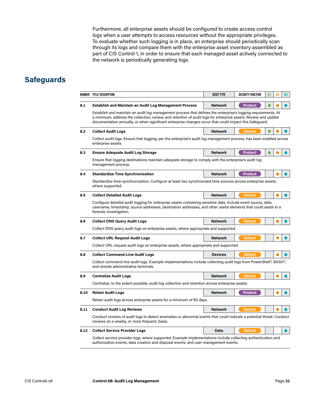Furthermore, all enterprise assets should be configured to create access control logs when a user attempts to access resources without the appropriate privileges. To evaluate whether such logging is in place, an enterprise should periodically scan through its logs and compare them with the enterprise asset inventory assembled as part of CIS Control 1, in order to ensure that each managed asset actively connected to the network is periodically generating logs.

|      | NUMBER TITLE/ DESCRIPTION                                                                                                                                                                                                                                                                                                                  | <b>ASSET TYPE</b>                                                                     | <b>SECURITY FUNCTION</b> | IG1 | IG <sub>2</sub> | IG <sub>3</sub> |  |
|------|--------------------------------------------------------------------------------------------------------------------------------------------------------------------------------------------------------------------------------------------------------------------------------------------------------------------------------------------|---------------------------------------------------------------------------------------|--------------------------|-----|-----------------|-----------------|--|
| 8.1  | <b>Establish and Maintain an Audit Log Management Process</b>                                                                                                                                                                                                                                                                              | <b>Network</b>                                                                        | <b>Protect</b>           |     |                 |                 |  |
|      | Establish and maintain an audit log management process that defines the enterprise's logging requirements. At<br>a minimum, address the collection, review, and retention of audit logs for enterprise assets. Review and update<br>documentation annually, or when significant enterprise changes occur that could impact this Safeguard. |                                                                                       |                          |     |                 |                 |  |
| 8.2  | <b>Collect Audit Logs</b>                                                                                                                                                                                                                                                                                                                  | <b>Network</b>                                                                        | <b>Detect</b>            |     |                 |                 |  |
|      | Collect audit logs. Ensure that logging, per the enterprise's audit log management process, has been enabled across<br>enterprise assets.                                                                                                                                                                                                  |                                                                                       |                          |     |                 |                 |  |
| 8.3  | <b>Ensure Adequate Audit Log Storage</b>                                                                                                                                                                                                                                                                                                   | <b>Network</b>                                                                        | <b>Protect</b>           |     |                 |                 |  |
|      | Ensure that logging destinations maintain adequate storage to comply with the enterprise's audit log<br>management process.                                                                                                                                                                                                                |                                                                                       |                          |     |                 |                 |  |
| 8.4  | <b>Standardize Time Synchronization</b>                                                                                                                                                                                                                                                                                                    | <b>Network</b>                                                                        | <b>Protect</b>           |     |                 |                 |  |
|      | Standardize time synchronization. Configure at least two synchronized time sources across enterprise assets,<br>where supported.                                                                                                                                                                                                           |                                                                                       |                          |     |                 |                 |  |
| 8.5  | <b>Collect Detailed Audit Logs</b>                                                                                                                                                                                                                                                                                                         | <b>Network</b>                                                                        | <b>Detect</b>            |     |                 |                 |  |
|      | Configure detailed audit logging for enterprise assets containing sensitive data. Include event source, date,<br>username, timestamp, source addresses, destination addresses, and other useful elements that could assist in a<br>forensic investigation.                                                                                 |                                                                                       |                          |     |                 |                 |  |
| 8.6  | <b>Collect DNS Query Audit Logs</b>                                                                                                                                                                                                                                                                                                        | <b>Network</b>                                                                        | <b>Detect</b>            |     |                 |                 |  |
|      | Collect DNS query audit logs on enterprise assets, where appropriate and supported.                                                                                                                                                                                                                                                        |                                                                                       |                          |     |                 |                 |  |
| 8.7  | <b>Collect URL Request Audit Logs</b>                                                                                                                                                                                                                                                                                                      | <b>Network</b>                                                                        | <b>Detect</b>            |     |                 |                 |  |
|      |                                                                                                                                                                                                                                                                                                                                            | Collect URL request audit logs on enterprise assets, where appropriate and supported. |                          |     |                 |                 |  |
| 8.8  | <b>Collect Command-Line Audit Logs</b>                                                                                                                                                                                                                                                                                                     | <b>Devices</b>                                                                        | <b>Detect</b>            |     |                 |                 |  |
|      | Collect command-line audit logs. Example implementations include collecting audit logs from PowerShell <sup>®</sup> , BASH <sup>™</sup> ,<br>and remote administrative terminals.                                                                                                                                                          |                                                                                       |                          |     |                 |                 |  |
| 8.9  | <b>Centralize Audit Logs</b>                                                                                                                                                                                                                                                                                                               | <b>Network</b>                                                                        | <b>Detect</b>            |     |                 |                 |  |
|      | Centralize, to the extent possible, audit log collection and retention across enterprise assets.                                                                                                                                                                                                                                           |                                                                                       |                          |     |                 |                 |  |
| 8.10 | <b>Retain Audit Logs</b>                                                                                                                                                                                                                                                                                                                   | <b>Network</b>                                                                        | <b>Protect</b>           |     |                 |                 |  |
|      | Retain audit logs across enterprise assets for a minimum of 90 days.                                                                                                                                                                                                                                                                       |                                                                                       |                          |     |                 |                 |  |
| 8.11 | <b>Conduct Audit Log Reviews</b>                                                                                                                                                                                                                                                                                                           | <b>Network</b>                                                                        | <b>Detect</b>            |     |                 |                 |  |
|      | Conduct reviews of audit logs to detect anomalies or abnormal events that could indicate a potential threat. Conduct<br>reviews on a weekly, or more frequent, basis.                                                                                                                                                                      |                                                                                       |                          |     |                 |                 |  |
| 8.12 | <b>Collect Service Provider Logs</b>                                                                                                                                                                                                                                                                                                       | Data                                                                                  | <b>Detect</b>            |     |                 |                 |  |
|      | Collect service provider logs, where supported. Example implementations include collecting authentication and<br>authorization events, data creation and disposal events, and user management events.                                                                                                                                      |                                                                                       |                          |     |                 |                 |  |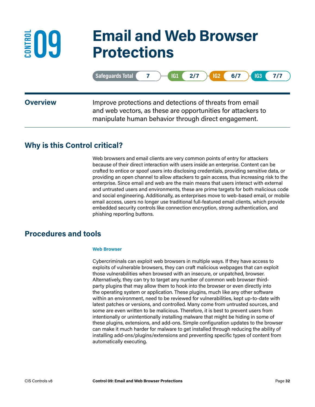## **09 Email and Web Browser Protections**

|                 | Safeguards Total 7<br>$IG1$ $2/7$<br>$IG2$ 6/7<br>IG3<br>7/7                                                                                                                     |
|-----------------|----------------------------------------------------------------------------------------------------------------------------------------------------------------------------------|
| <b>Overview</b> | Improve protections and detections of threats from email<br>and web vectors, as these are opportunities for attackers to<br>manipulate human behavior through direct engagement. |
|                 |                                                                                                                                                                                  |

#### **Why is this Control critical?**

**ED9** 

Web browsers and email clients are very common points of entry for attackers because of their direct interaction with users inside an enterprise. Content can be crafted to entice or spoof users into disclosing credentials, providing sensitive data, or providing an open channel to allow attackers to gain access, thus increasing risk to the enterprise. Since email and web are the main means that users interact with external and untrusted users and environments, these are prime targets for both malicious code and social engineering. Additionally, as enterprises move to web-based email, or mobile email access, users no longer use traditional full-featured email clients, which provide embedded security controls like connection encryption, strong authentication, and phishing reporting buttons.

#### **Procedures and tools**

#### **Web Browser**

Cybercriminals can exploit web browsers in multiple ways. If they have access to exploits of vulnerable browsers, they can craft malicious webpages that can exploit those vulnerabilities when browsed with an insecure, or unpatched, browser. Alternatively, they can try to target any number of common web browser thirdparty plugins that may allow them to hook into the browser or even directly into the operating system or application. These plugins, much like any other software within an environment, need to be reviewed for vulnerabilities, kept up-to-date with latest patches or versions, and controlled. Many come from untrusted sources, and some are even written to be malicious. Therefore, it is best to prevent users from intentionally or unintentionally installing malware that might be hiding in some of these plugins, extensions, and add-ons. Simple configuration updates to the browser can make it much harder for malware to get installed through reducing the ability of installing add-ons/plugins/extensions and preventing specific types of content from automatically executing.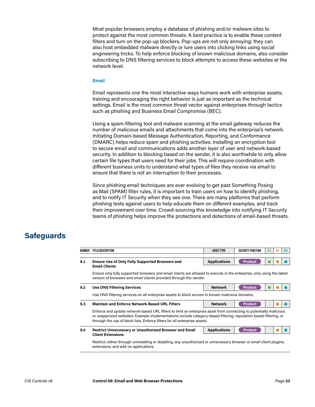Most popular browsers employ a database of phishing and/or malware sites to protect against the most common threats. A best practice is to enable these content filters and turn on the pop-up blockers. Pop-ups are not only annoying; they can also host embedded malware directly or lure users into clicking links using social engineering tricks. To help enforce blocking of known malicious domains, also consider subscribing to DNS filtering services to block attempts to access these websites at the network level.

#### **Email**

Email represents one the most interactive ways humans work with enterprise assets; training and encouraging the right behavior is just as important as the technical settings. Email is the most common threat vector against enterprises through tactics such as phishing and Business Email Compromise (BEC).

Using a spam-filtering tool and malware scanning at the email gateway reduces the number of malicious emails and attachments that come into the enterprise's network. Initiating Domain-based Message Authentication, Reporting, and Conformance (DMARC) helps reduce spam and phishing activities. Installing an encryption tool to secure email and communications adds another layer of user and network-based security. In addition to blocking based on the sender, it is also worthwhile to only allow certain file types that users need for their jobs. This will require coordination with different business units to understand what types of files they receive via email to ensure that there is not an interruption to their processes.

Since phishing email techniques are ever evolving to get past Something Posing as Mail (SPAM) filter rules, it is important to train users on how to identify phishing, and to notify IT Security when they see one. There are many platforms that perform phishing tests against users to help educate them on different examples, and track their improvement over time. Crowd-sourcing this knowledge into notifying IT Security teams of phishing helps improve the protections and detections of email-based threats.

| NUMBER | TITLE/DESCRIPTION                                                                                                                                                                                                                                                                                                    | <b>ASSET TYPE</b>   | <b>SECURITY FUNCTION</b> | 161 |  | 163 |  |  |
|--------|----------------------------------------------------------------------------------------------------------------------------------------------------------------------------------------------------------------------------------------------------------------------------------------------------------------------|---------------------|--------------------------|-----|--|-----|--|--|
| 9.1    | <b>Ensure Use of Only Fully Supported Browsers and</b><br><b>Email Clients</b>                                                                                                                                                                                                                                       | <b>Applications</b> | <b>Protect</b>           |     |  |     |  |  |
|        | Ensure only fully supported browsers and email clients are allowed to execute in the enterprise, only using the latest<br>version of browsers and email clients provided through the vendor.                                                                                                                         |                     |                          |     |  |     |  |  |
| 9.2    | <b>Use DNS Filtering Services</b>                                                                                                                                                                                                                                                                                    | <b>Network</b>      | <b>Protect</b>           |     |  |     |  |  |
|        | Use DNS filtering services on all enterprise assets to block access to known malicious domains.                                                                                                                                                                                                                      |                     |                          |     |  |     |  |  |
| 9.3    | <b>Maintain and Enforce Network-Based URL Filters</b>                                                                                                                                                                                                                                                                | <b>Network</b>      | <b>Protect</b>           |     |  |     |  |  |
|        | Enforce and update network-based URL filters to limit an enterprise asset from connecting to potentially malicious<br>or unapproved websites. Example implementations include category-based filtering, reputation-based filtering, or<br>through the use of block lists. Enforce filters for all enterprise assets. |                     |                          |     |  |     |  |  |
| 9.4    | <b>Restrict Unnecessary or Unauthorized Browser and Email</b><br><b>Client Extensions</b>                                                                                                                                                                                                                            | <b>Applications</b> | <b>Protect</b>           |     |  |     |  |  |
|        | Restrict, either through uninstalling or disabling, any unauthorized or unnecessary browser or email client plugins,<br>extensions, and add-on applications.                                                                                                                                                         |                     |                          |     |  |     |  |  |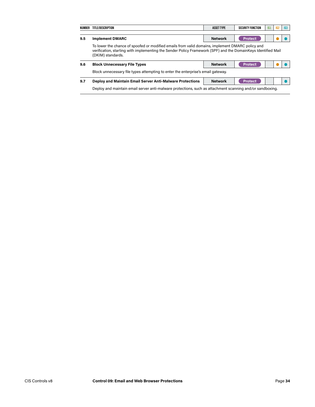| NUMBER                                                                                                                                                                                                                                 | TITLE/DESCRIPTION                                                                                         | <b>ASSET TYPE</b> | <b>SECURITY FUNCTION</b> | IG1 | IG2 | IG3 |  |
|----------------------------------------------------------------------------------------------------------------------------------------------------------------------------------------------------------------------------------------|-----------------------------------------------------------------------------------------------------------|-------------------|--------------------------|-----|-----|-----|--|
| 9.5                                                                                                                                                                                                                                    | <b>Implement DMARC</b>                                                                                    | <b>Network</b>    | <b>Protect</b>           |     |     |     |  |
| To lower the chance of spoofed or modified emails from valid domains, implement DMARC policy and<br>verification, starting with implementing the Sender Policy Framework (SPF) and the DomainKeys Identified Mail<br>(DKIM) standards. |                                                                                                           |                   |                          |     |     |     |  |
| 9.6                                                                                                                                                                                                                                    | <b>Block Unnecessary File Types</b>                                                                       | <b>Network</b>    | <b>Protect</b>           |     |     |     |  |
|                                                                                                                                                                                                                                        | Block unnecessary file types attempting to enter the enterprise's email gateway.                          |                   |                          |     |     |     |  |
| 9.7                                                                                                                                                                                                                                    | <b>Deploy and Maintain Email Server Anti-Malware Protections</b>                                          | <b>Network</b>    | <b>Protect</b>           |     |     |     |  |
|                                                                                                                                                                                                                                        | Deploy and maintain email server anti-malware protections, such as attachment scanning and/or sandboxing. |                   |                          |     |     |     |  |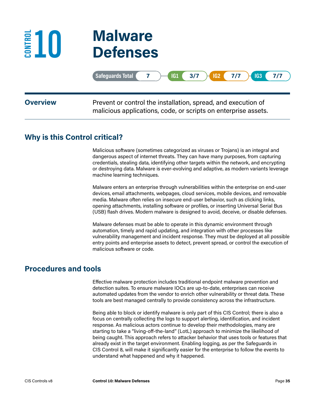

|                 | Safeguards Total ( 7 ) 61 ( 3/7 ) 62 ( 7/7 ) 63 ( 7/7                                                                           |
|-----------------|---------------------------------------------------------------------------------------------------------------------------------|
| <b>Overview</b> | Prevent or control the installation, spread, and execution of<br>malicious applications, code, or scripts on enterprise assets. |

#### **Why is this Control critical?**

Malicious software (sometimes categorized as viruses or Trojans) is an integral and dangerous aspect of internet threats. They can have many purposes, from capturing credentials, stealing data, identifying other targets within the network, and encrypting or destroying data. Malware is ever-evolving and adaptive, as modern variants leverage machine learning techniques.

Malware enters an enterprise through vulnerabilities within the enterprise on end-user devices, email attachments, webpages, cloud services, mobile devices, and removable media. Malware often relies on insecure end-user behavior, such as clicking links, opening attachments, installing software or profiles, or inserting Universal Serial Bus (USB) flash drives. Modern malware is designed to avoid, deceive, or disable defenses.

Malware defenses must be able to operate in this dynamic environment through automation, timely and rapid updating, and integration with other processes like vulnerability management and incident response. They must be deployed at all possible entry points and enterprise assets to detect, prevent spread, or control the execution of malicious software or code.

#### **Procedures and tools**

Effective malware protection includes traditional endpoint malware prevention and detection suites. To ensure malware IOCs are up-to-date, enterprises can receive automated updates from the vendor to enrich other vulnerability or threat data. These tools are best managed centrally to provide consistency across the infrastructure.

Being able to block or identify malware is only part of this CIS Control; there is also a focus on centrally collecting the logs to support alerting, identification, and incident response. As malicious actors continue to develop their methodologies, many are starting to take a "living-off-the-land" (LotL) approach to minimize the likelihood of being caught. This approach refers to attacker behavior that uses tools or features that already exist in the target environment. Enabling logging, as per the Safeguards in CIS Control 8, will make it significantly easier for the enterprise to follow the events to understand what happened and why it happened.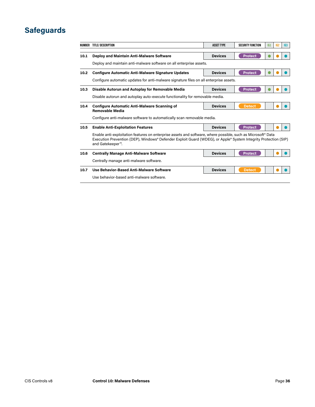|      | NUMBER TITLE/ DESCRIPTION                                                                                                                                                                                                                                       | <b>ASSET TYPE</b> | <b>SECURITY FUNCTION</b> | IG1 | IG2 | IG3 |  |  |
|------|-----------------------------------------------------------------------------------------------------------------------------------------------------------------------------------------------------------------------------------------------------------------|-------------------|--------------------------|-----|-----|-----|--|--|
| 10.1 | <b>Deploy and Maintain Anti-Malware Software</b>                                                                                                                                                                                                                | <b>Devices</b>    | <b>Protect</b>           |     |     |     |  |  |
|      | Deploy and maintain anti-malware software on all enterprise assets.                                                                                                                                                                                             |                   |                          |     |     |     |  |  |
| 10.2 | <b>Configure Automatic Anti-Malware Signature Updates</b>                                                                                                                                                                                                       | <b>Devices</b>    | <b>Protect</b>           |     |     |     |  |  |
|      | Configure automatic updates for anti-malware signature files on all enterprise assets.                                                                                                                                                                          |                   |                          |     |     |     |  |  |
| 10.3 | Disable Autorun and Autoplay for Removable Media                                                                                                                                                                                                                | <b>Devices</b>    | <b>Protect</b>           |     |     |     |  |  |
|      | Disable autorun and autoplay auto-execute functionality for removable media.                                                                                                                                                                                    |                   |                          |     |     |     |  |  |
| 10.4 | <b>Configure Automatic Anti-Malware Scanning of</b><br><b>Removable Media</b>                                                                                                                                                                                   | <b>Devices</b>    | <b>Detect</b>            |     |     |     |  |  |
|      | Configure anti-malware software to automatically scan removable media.                                                                                                                                                                                          |                   |                          |     |     |     |  |  |
| 10.5 | <b>Enable Anti-Exploitation Features</b>                                                                                                                                                                                                                        | <b>Devices</b>    | <b>Protect</b>           |     |     |     |  |  |
|      | Enable anti-exploitation features on enterprise assets and software, where possible, such as Microsoft <sup>®</sup> Data<br>Execution Prevention (DEP), Windows® Defender Exploit Guard (WDEG), or Apple® System Integrity Protection (SIP)<br>and Gatekeeper™. |                   |                          |     |     |     |  |  |
| 10.6 | <b>Centrally Manage Anti-Malware Software</b>                                                                                                                                                                                                                   | <b>Devices</b>    | <b>Protect</b>           |     |     |     |  |  |
|      | Centrally manage anti-malware software.                                                                                                                                                                                                                         |                   |                          |     |     |     |  |  |
| 10.7 | Use Behavior-Based Anti-Malware Software                                                                                                                                                                                                                        | <b>Devices</b>    | <b>Detect</b>            |     |     |     |  |  |
|      | Use behavior-based anti-malware software.                                                                                                                                                                                                                       |                   |                          |     |     |     |  |  |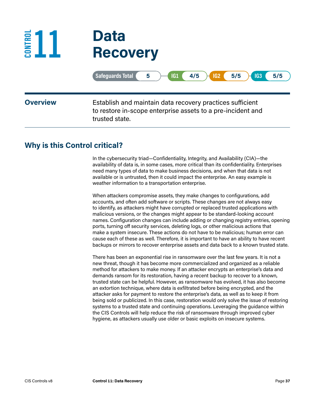

|                 | $\sqrt{ G1 } (4/5)$<br>$IG2$ $5/5$ $+$<br>Safeguards Total<br>IG3<br>5/5<br>5                                                              |
|-----------------|--------------------------------------------------------------------------------------------------------------------------------------------|
| <b>Overview</b> | Establish and maintain data recovery practices sufficient<br>to restore in-scope enterprise assets to a pre-incident and<br>trusted state. |

#### **Why is this Control critical?**

In the cybersecurity triad—Confidentiality, Integrity, and Availability (CIA)—the availability of data is, in some cases, more critical than its confidentiality. Enterprises need many types of data to make business decisions, and when that data is not available or is untrusted, then it could impact the enterprise. An easy example is weather information to a transportation enterprise.

When attackers compromise assets, they make changes to configurations, add accounts, and often add software or scripts. These changes are not always easy to identify, as attackers might have corrupted or replaced trusted applications with malicious versions, or the changes might appear to be standard-looking account names. Configuration changes can include adding or changing registry entries, opening ports, turning off security services, deleting logs, or other malicious actions that make a system insecure. These actions do not have to be malicious; human error can cause each of these as well. Therefore, it is important to have an ability to have recent backups or mirrors to recover enterprise assets and data back to a known trusted state.

There has been an exponential rise in ransomware over the last few years. It is not a new threat, though it has become more commercialized and organized as a reliable method for attackers to make money. If an attacker encrypts an enterprise's data and demands ransom for its restoration, having a recent backup to recover to a known, trusted state can be helpful. However, as ransomware has evolved, it has also become an extortion technique, where data is exfiltrated before being encrypted, and the attacker asks for payment to restore the enterprise's data, as well as to keep it from being sold or publicized. In this case, restoration would only solve the issue of restoring systems to a trusted state and continuing operations. Leveraging the guidance within the CIS Controls will help reduce the risk of ransomware through improved cyber hygiene, as attackers usually use older or basic exploits on insecure systems.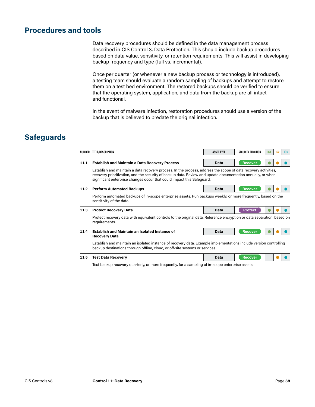### **Procedures and tools**

Data recovery procedures should be defined in the data management process described in CIS Control 3, Data Protection. This should include backup procedures based on data value, sensitivity, or retention requirements. This will assist in developing backup frequency and type (full vs. incremental).

Once per quarter (or whenever a new backup process or technology is introduced), a testing team should evaluate a random sampling of backups and attempt to restore them on a test bed environment. The restored backups should be verified to ensure that the operating system, application, and data from the backup are all intact and functional.

In the event of malware infection, restoration procedures should use a version of the backup that is believed to predate the original infection.

| NUMBER | TITLE/DESCRIPTION                                                                                                                                                                                                                                                                                       | <b>ASSET TYPE</b> | <b>SECURITY FUNCTION</b> | IG1 | 162 | IG3 |  |  |  |
|--------|---------------------------------------------------------------------------------------------------------------------------------------------------------------------------------------------------------------------------------------------------------------------------------------------------------|-------------------|--------------------------|-----|-----|-----|--|--|--|
| 11.1   | <b>Establish and Maintain a Data Recovery Process</b>                                                                                                                                                                                                                                                   | Data              | <b>Recover</b>           |     |     |     |  |  |  |
|        | Establish and maintain a data recovery process. In the process, address the scope of data recovery activities,<br>recovery prioritization, and the security of backup data. Review and update documentation annually, or when<br>significant enterprise changes occur that could impact this Safeguard. |                   |                          |     |     |     |  |  |  |
| 11.2   | <b>Perform Automated Backups</b>                                                                                                                                                                                                                                                                        | Data              | <b>Recover</b>           |     |     |     |  |  |  |
|        | Perform automated backups of in-scope enterprise assets. Run backups weekly, or more frequently, based on the<br>sensitivity of the data.                                                                                                                                                               |                   |                          |     |     |     |  |  |  |
| 11.3   | <b>Protect Recovery Data</b>                                                                                                                                                                                                                                                                            | Data              | <b>Protect</b>           |     |     |     |  |  |  |
|        | Protect recovery data with equivalent controls to the original data. Reference encryption or data separation, based on<br>requirements.                                                                                                                                                                 |                   |                          |     |     |     |  |  |  |
| 11.4   | <b>Establish and Maintain an Isolated Instance of</b><br><b>Recovery Data</b>                                                                                                                                                                                                                           | Data              | <b>Recover</b>           |     |     |     |  |  |  |
|        | Establish and maintain an isolated instance of recovery data. Example implementations include version controlling<br>backup destinations through offline, cloud, or off-site systems or services.                                                                                                       |                   |                          |     |     |     |  |  |  |
| 11.5   | <b>Test Data Recovery</b>                                                                                                                                                                                                                                                                               | Data              | <b>Recover</b>           |     |     |     |  |  |  |
|        | Test backup recovery quarterly, or more frequently, for a sampling of in-scope enterprise assets.                                                                                                                                                                                                       |                   |                          |     |     |     |  |  |  |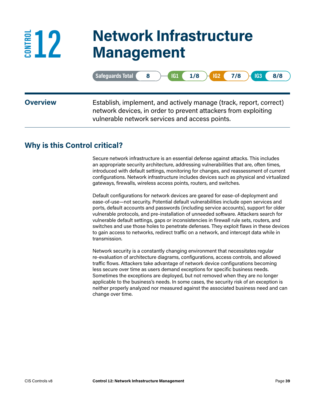## **12 Network Infrastructure Management**

|                 | $IG1$ $1/8$ $)$<br>$IG2$ 7/8 $)$<br>Safeguards Total (8<br><b>IG3</b> (<br>8/8                                                                                                         |
|-----------------|----------------------------------------------------------------------------------------------------------------------------------------------------------------------------------------|
| <b>Overview</b> | Establish, implement, and actively manage (track, report, correct)<br>network devices, in order to prevent attackers from exploiting<br>vulnerable network services and access points. |

#### **Why is this Control critical?**

**EXAMPLE** 

Secure network infrastructure is an essential defense against attacks. This includes an appropriate security architecture, addressing vulnerabilities that are, often times, introduced with default settings, monitoring for changes, and reassessment of current configurations. Network infrastructure includes devices such as physical and virtualized gateways, firewalls, wireless access points, routers, and switches.

Default configurations for network devices are geared for ease-of-deployment and ease-of-use—not security. Potential default vulnerabilities include open services and ports, default accounts and passwords (including service accounts), support for older vulnerable protocols, and pre-installation of unneeded software. Attackers search for vulnerable default settings, gaps or inconsistencies in firewall rule sets, routers, and switches and use those holes to penetrate defenses. They exploit flaws in these devices to gain access to networks, redirect traffic on a network, and intercept data while in transmission.

Network security is a constantly changing environment that necessitates regular re-evaluation of architecture diagrams, configurations, access controls, and allowed traffic flows. Attackers take advantage of network device configurations becoming less secure over time as users demand exceptions for specific business needs. Sometimes the exceptions are deployed, but not removed when they are no longer applicable to the business's needs. In some cases, the security risk of an exception is neither properly analyzed nor measured against the associated business need and can change over time.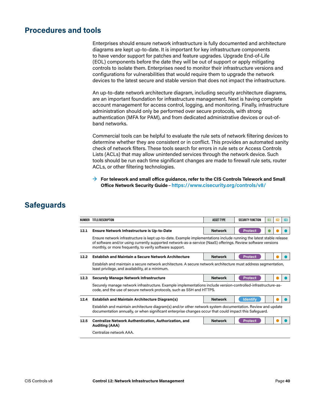#### **Procedures and tools**

Enterprises should ensure network infrastructure is fully documented and architecture diagrams are kept up-to-date. It is important for key infrastructure components to have vendor support for patches and feature upgrades. Upgrade End-of-Life (EOL) components before the date they will be out of support or apply mitigating controls to isolate them. Enterprises need to monitor their infrastructure versions and configurations for vulnerabilities that would require them to upgrade the network devices to the latest secure and stable version that does not impact the infrastructure.

An up-to-date network architecture diagram, including security architecture diagrams, are an important foundation for infrastructure management. Next is having complete account management for access control, logging, and monitoring. Finally, infrastructure administration should only be performed over secure protocols, with strong authentication (MFA for PAM), and from dedicated administrative devices or out-ofband networks.

Commercial tools can be helpful to evaluate the rule sets of network filtering devices to determine whether they are consistent or in conflict. This provides an automated sanity check of network filters. These tools search for errors in rule sets or Access Controls Lists (ACLs) that may allow unintended services through the network device. Such tools should be run each time significant changes are made to firewall rule sets, router ACLs, or other filtering technologies.

**→ For telework and small office guidance, refer to the CIS Controls Telework and Small Office Network Security Guide**–**<https://www.cisecurity.org/controls/v8/>**

| NUMBER | TITLE/DESCRIPTION                                                                                                                                                                                                                                                                               | <b>ASSET TYPE</b> | <b>SECURITY FUNCTION</b> | 161 | IG2 | IG3 |  |  |
|--------|-------------------------------------------------------------------------------------------------------------------------------------------------------------------------------------------------------------------------------------------------------------------------------------------------|-------------------|--------------------------|-----|-----|-----|--|--|
| 12.1   | <b>Ensure Network Infrastructure is Up-to-Date</b>                                                                                                                                                                                                                                              | <b>Network</b>    | <b>Protect</b>           |     |     |     |  |  |
|        | Ensure network infrastructure is kept up-to-date. Example implementations include running the latest stable release<br>of software and/or using currently supported network-as-a-service (NaaS) offerings. Review software versions<br>monthly, or more frequently, to verify software support. |                   |                          |     |     |     |  |  |
| 12.2   | <b>Establish and Maintain a Secure Network Architecture</b>                                                                                                                                                                                                                                     | <b>Network</b>    | <b>Protect</b>           |     |     |     |  |  |
|        | Establish and maintain a secure network architecture. A secure network architecture must address segmentation,<br>least privilege, and availability, at a minimum.                                                                                                                              |                   |                          |     |     |     |  |  |
| 12.3   | <b>Securely Manage Network Infrastructure</b>                                                                                                                                                                                                                                                   | <b>Network</b>    | <b>Protect</b>           |     |     |     |  |  |
|        | Securely manage network infrastructure. Example implementations include version-controlled-infrastructure-as-<br>code, and the use of secure network protocols, such as SSH and HTTPS.                                                                                                          |                   |                          |     |     |     |  |  |
| 12.4   | <b>Establish and Maintain Architecture Diagram(s)</b>                                                                                                                                                                                                                                           | <b>Network</b>    | <b>Identify</b>          |     |     |     |  |  |
|        | Establish and maintain architecture diagram(s) and/or other network system documentation. Review and update<br>documentation annually, or when significant enterprise changes occur that could impact this Safeguard.                                                                           |                   |                          |     |     |     |  |  |
| 12.5   | <b>Centralize Network Authentication, Authorization, and</b><br><b>Auditing (AAA)</b>                                                                                                                                                                                                           | <b>Network</b>    | <b>Protect</b>           |     |     |     |  |  |
|        | Centralize network AAA.                                                                                                                                                                                                                                                                         |                   |                          |     |     |     |  |  |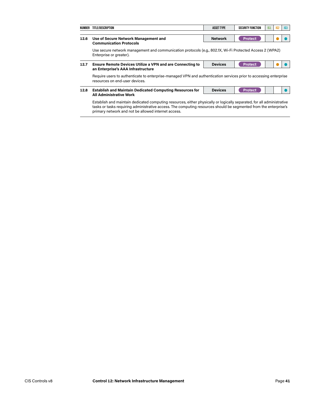| NUMBER | TITLE/DESCRIPTION                                                                                                                                                                                                                                                                                  | <b>ASSET TYPE</b> | <b>SECURITY FUNCTION</b> | 161 | 162 | IG3 |  |  |  |
|--------|----------------------------------------------------------------------------------------------------------------------------------------------------------------------------------------------------------------------------------------------------------------------------------------------------|-------------------|--------------------------|-----|-----|-----|--|--|--|
| 12.6   | Use of Secure Network Management and<br><b>Communication Protocols</b>                                                                                                                                                                                                                             | <b>Network</b>    | <b>Protect</b>           |     |     |     |  |  |  |
|        | Use secure network management and communication protocols (e.g., 802.1X, Wi-Fi Protected Access 2 (WPA2)<br>Enterprise or greater).                                                                                                                                                                |                   |                          |     |     |     |  |  |  |
| 12.7   | <b>Ensure Remote Devices Utilize a VPN and are Connecting to</b><br>an Enterprise's AAA Infrastructure                                                                                                                                                                                             | <b>Devices</b>    | <b>Protect</b>           |     |     |     |  |  |  |
|        | Require users to authenticate to enterprise-managed VPN and authentication services prior to accessing enterprise<br>resources on end-user devices.                                                                                                                                                |                   |                          |     |     |     |  |  |  |
| 12.8   | <b>Establish and Maintain Dedicated Computing Resources for</b><br><b>All Administrative Work</b>                                                                                                                                                                                                  | <b>Devices</b>    | <b>Protect</b>           |     |     |     |  |  |  |
|        | Establish and maintain dedicated computing resources, either physically or logically separated, for all administrative<br>tasks or tasks requiring administrative access. The computing resources should be segmented from the enterprise's<br>primary network and not be allowed internet access. |                   |                          |     |     |     |  |  |  |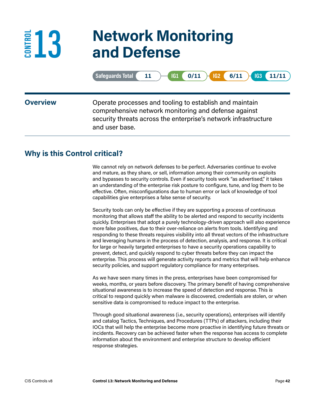### **13 Network Monitoring and Defense**

|                 | $IG2 \t6/11$<br>Safeguards Total<br>$0/11$ $)$<br>11/11<br> IG1 <br>IG3<br>11                                                                                                                        |
|-----------------|------------------------------------------------------------------------------------------------------------------------------------------------------------------------------------------------------|
| <b>Overview</b> | Operate processes and tooling to establish and maintain<br>comprehensive network monitoring and defense against<br>security threats across the enterprise's network infrastructure<br>and user base. |

#### **Why is this Control critical?**

E<sup>E</sup><sup>13</sup>

We cannot rely on network defenses to be perfect. Adversaries continue to evolve and mature, as they share, or sell, information among their community on exploits and bypasses to security controls. Even if security tools work "as advertised," it takes an understanding of the enterprise risk posture to configure, tune, and log them to be effective. Often, misconfigurations due to human error or lack of knowledge of tool capabilities give enterprises a false sense of security.

Security tools can only be effective if they are supporting a process of continuous monitoring that allows staff the ability to be alerted and respond to security incidents quickly. Enterprises that adopt a purely technology-driven approach will also experience more false positives, due to their over-reliance on alerts from tools. Identifying and responding to these threats requires visibility into all threat vectors of the infrastructure and leveraging humans in the process of detection, analysis, and response. It is critical for large or heavily targeted enterprises to have a security operations capability to prevent, detect, and quickly respond to cyber threats before they can impact the enterprise. This process will generate activity reports and metrics that will help enhance security policies, and support regulatory compliance for many enterprises.

As we have seen many times in the press, enterprises have been compromised for weeks, months, or years before discovery. The primary benefit of having comprehensive situational awareness is to increase the speed of detection and response. This is critical to respond quickly when malware is discovered, credentials are stolen, or when sensitive data is compromised to reduce impact to the enterprise.

Through good situational awareness (i.e., security operations), enterprises will identify and catalog Tactics, Techniques, and Procedures (TTPs) of attackers, including their IOCs that will help the enterprise become more proactive in identifying future threats or incidents. Recovery can be achieved faster when the response has access to complete information about the environment and enterprise structure to develop efficient response strategies.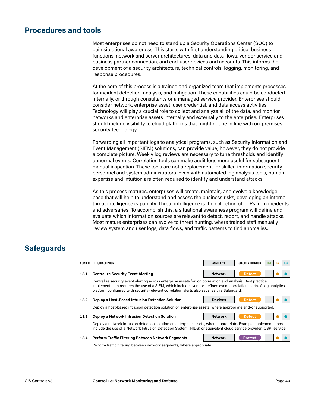#### **Procedures and tools**

Most enterprises do not need to stand up a Security Operations Center (SOC) to gain situational awareness. This starts with first understanding critical business functions, network and server architectures, data and data flows, vendor service and business partner connection, and end-user devices and accounts. This informs the development of a security architecture, technical controls, logging, monitoring, and response procedures.

At the core of this process is a trained and organized team that implements processes for incident detection, analysis, and mitigation. These capabilities could be conducted internally, or through consultants or a managed service provider. Enterprises should consider network, enterprise asset, user credential, and data access activities. Technology will play a crucial role to collect and analyze all of the data, and monitor networks and enterprise assets internally and externally to the enterprise. Enterprises should include visibility to cloud platforms that might not be in line with on-premises security technology.

Forwarding all important logs to analytical programs, such as Security Information and Event Management (SIEM) solutions, can provide value; however, they do not provide a complete picture. Weekly log reviews are necessary to tune thresholds and identify abnormal events. Correlation tools can make audit logs more useful for subsequent manual inspection. These tools are not a replacement for skilled information security personnel and system administrators. Even with automated log analysis tools, human expertise and intuition are often required to identify and understand attacks.

As this process matures, enterprises will create, maintain, and evolve a knowledge base that will help to understand and assess the business risks, developing an internal threat intelligence capability. Threat intelligence is the collection of TTPs from incidents and adversaries. To accomplish this, a situational awareness program will define and evaluate which information sources are relevant to detect, report, and handle attacks. Most mature enterprises can evolve to threat hunting, where trained staff manually review system and user logs, data flows, and traffic patterns to find anomalies.

| NUMBER | TITLE/DESCRIPTION                                                                                                                                                                                                                                                                                                                 | <b>ASSET TYPE</b> | <b>SECURITY FUNCTION</b> | 161 | 162 | IG <sub>3</sub> |  |  |
|--------|-----------------------------------------------------------------------------------------------------------------------------------------------------------------------------------------------------------------------------------------------------------------------------------------------------------------------------------|-------------------|--------------------------|-----|-----|-----------------|--|--|
| 13.1   | <b>Centralize Security Event Alerting</b>                                                                                                                                                                                                                                                                                         | <b>Network</b>    | <b>Detect</b>            |     |     |                 |  |  |
|        | Centralize security event alerting across enterprise assets for log correlation and analysis. Best practice<br>implementation requires the use of a SIEM, which includes vendor-defined event correlation alerts. A log analytics<br>platform configured with security-relevant correlation alerts also satisfies this Safeguard. |                   |                          |     |     |                 |  |  |
| 13.2   | Deploy a Host-Based Intrusion Detection Solution                                                                                                                                                                                                                                                                                  | <b>Devices</b>    | <b>Detect</b>            |     |     |                 |  |  |
|        | Deploy a host-based intrusion detection solution on enterprise assets, where appropriate and/or supported.                                                                                                                                                                                                                        |                   |                          |     |     |                 |  |  |
| 13.3   | Deploy a Network Intrusion Detection Solution                                                                                                                                                                                                                                                                                     | <b>Network</b>    | <b>Detect</b>            |     |     |                 |  |  |
|        | Deploy a network intrusion detection solution on enterprise assets, where appropriate. Example implementations<br>include the use of a Network Intrusion Detection System (NIDS) or equivalent cloud service provider (CSP) service.                                                                                              |                   |                          |     |     |                 |  |  |
| 13.4   | <b>Perform Traffic Filtering Between Network Segments</b>                                                                                                                                                                                                                                                                         | <b>Network</b>    | <b>Protect</b>           |     |     |                 |  |  |
|        | Perform traffic filtering between network segments, where appropriate.                                                                                                                                                                                                                                                            |                   |                          |     |     |                 |  |  |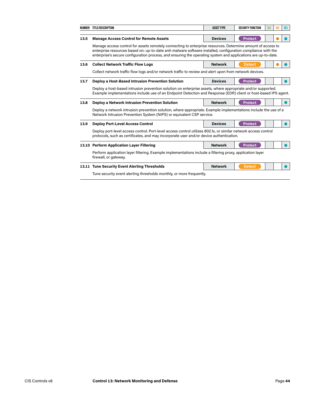|      | NUMBER TITLE/DESCRIPTION                                                                                                                                                                                                                                                                                                                     | <b>ASSET TYPE</b> | <b>SECURITY FUNCTION</b> | IG1 | IG2 | IG3 |  |  |
|------|----------------------------------------------------------------------------------------------------------------------------------------------------------------------------------------------------------------------------------------------------------------------------------------------------------------------------------------------|-------------------|--------------------------|-----|-----|-----|--|--|
|      |                                                                                                                                                                                                                                                                                                                                              |                   |                          |     |     |     |  |  |
| 13.5 | <b>Manage Access Control for Remote Assets</b>                                                                                                                                                                                                                                                                                               | <b>Devices</b>    | <b>Protect</b>           |     |     |     |  |  |
|      | Manage access control for assets remotely connecting to enterprise resources. Determine amount of access to<br>enterprise resources based on: up-to-date anti-malware software installed, configuration compliance with the<br>enterprise's secure configuration process, and ensuring the operating system and applications are up-to-date. |                   |                          |     |     |     |  |  |
| 13.6 | <b>Collect Network Traffic Flow Logs</b>                                                                                                                                                                                                                                                                                                     | <b>Network</b>    | <b>Detect</b>            |     |     |     |  |  |
|      | Collect network traffic flow logs and/or network traffic to review and alert upon from network devices.                                                                                                                                                                                                                                      |                   |                          |     |     |     |  |  |
| 13.7 | Deploy a Host-Based Intrusion Prevention Solution                                                                                                                                                                                                                                                                                            | <b>Devices</b>    | <b>Protect</b>           |     |     |     |  |  |
|      | Deploy a host-based intrusion prevention solution on enterprise assets, where appropriate and/or supported.<br>Example implementations include use of an Endpoint Detection and Response (EDR) client or host-based IPS agent.                                                                                                               |                   |                          |     |     |     |  |  |
| 13.8 | Deploy a Network Intrusion Prevention Solution                                                                                                                                                                                                                                                                                               | <b>Network</b>    | <b>Protect</b>           |     |     |     |  |  |
|      | Deploy a network intrusion prevention solution, where appropriate. Example implementations include the use of a<br>Network Intrusion Prevention System (NIPS) or equivalent CSP service.                                                                                                                                                     |                   |                          |     |     |     |  |  |
| 13.9 | <b>Deploy Port-Level Access Control</b>                                                                                                                                                                                                                                                                                                      | <b>Devices</b>    | <b>Protect</b>           |     |     |     |  |  |
|      | Deploy port-level access control. Port-level access control utilizes 802.1x, or similar network access control<br>protocols, such as certificates, and may incorporate user and/or device authentication.                                                                                                                                    |                   |                          |     |     |     |  |  |
|      | 13.10 Perform Application Layer Filtering                                                                                                                                                                                                                                                                                                    | <b>Network</b>    | <b>Protect</b>           |     |     |     |  |  |
|      | Perform application layer filtering. Example implementations include a filtering proxy, application layer<br>firewall, or gateway.                                                                                                                                                                                                           |                   |                          |     |     |     |  |  |
|      | 13.11 Tune Security Event Alerting Thresholds                                                                                                                                                                                                                                                                                                | <b>Network</b>    | <b>Detect</b>            |     |     |     |  |  |
|      | Tune security event alerting thresholds monthly, or more frequently.                                                                                                                                                                                                                                                                         |                   |                          |     |     |     |  |  |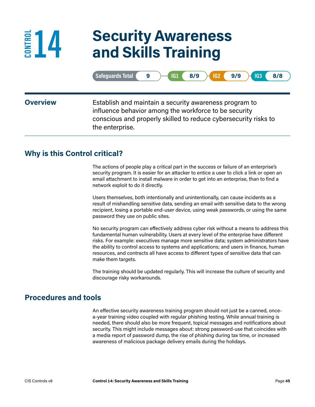# **14 Security Awareness and Skills Training**

|                 | Safeguards Total<br>8/9<br>IG2<br>9/9<br>8/8<br>IG1<br>IG <sub>3</sub><br>9                                                                                                                           |
|-----------------|-------------------------------------------------------------------------------------------------------------------------------------------------------------------------------------------------------|
| <b>Overview</b> | Establish and maintain a security awareness program to<br>influence behavior among the workforce to be security<br>conscious and properly skilled to reduce cybersecurity risks to<br>the enterprise. |

### **Why is this Control critical?**

**EDUA** 

The actions of people play a critical part in the success or failure of an enterprise's security program. It is easier for an attacker to entice a user to click a link or open an email attachment to install malware in order to get into an enterprise, than to find a network exploit to do it directly.

Users themselves, both intentionally and unintentionally, can cause incidents as a result of mishandling sensitive data, sending an email with sensitive data to the wrong recipient, losing a portable end-user device, using weak passwords, or using the same password they use on public sites.

No security program can effectively address cyber risk without a means to address this fundamental human vulnerability. Users at every level of the enterprise have different risks. For example: executives manage more sensitive data; system administrators have the ability to control access to systems and applications; and users in finance, human resources, and contracts all have access to different types of sensitive data that can make them targets.

The training should be updated regularly. This will increase the culture of security and discourage risky workarounds.

#### **Procedures and tools**

An effective security awareness training program should not just be a canned, oncea-year training video coupled with regular phishing testing. While annual training is needed, there should also be more frequent, topical messages and notifications about security. This might include messages about: strong password-use that coincides with a media report of password dump, the rise of phishing during tax time, or increased awareness of malicious package delivery emails during the holidays.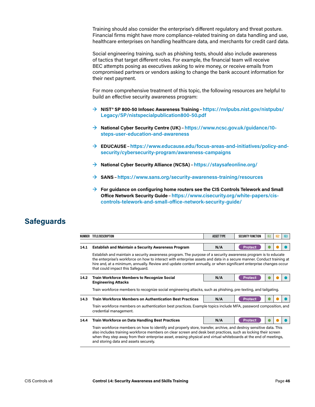Training should also consider the enterprise's different regulatory and threat posture. Financial firms might have more compliance-related training on data handling and use, healthcare enterprises on handling healthcare data, and merchants for credit card data.

Social engineering training, such as phishing tests, should also include awareness of tactics that target different roles. For example, the financial team will receive BEC attempts posing as executives asking to wire money, or receive emails from compromised partners or vendors asking to change the bank account information for their next payment.

For more comprehensive treatment of this topic, the following resources are helpful to build an effective security awareness program:

- **→ NIST® SP 800-50 Infosec Awareness Training**–**[https://nvlpubs.nist.gov/nistpubs/](https://nvlpubs.nist.gov/nistpubs/Legacy/SP/nistspecialpublication800-50.pdf) [Legacy/SP/nistspecialpublication800-50.pdf](https://nvlpubs.nist.gov/nistpubs/Legacy/SP/nistspecialpublication800-50.pdf)**
- **→ National Cyber Security Centre (UK)**–**[https://www.ncsc.gov.uk/guidance/10](https://www.ncsc.gov.uk/guidance/10-steps-user-education-and-awareness) [steps-user-education-and-awareness](https://www.ncsc.gov.uk/guidance/10-steps-user-education-and-awareness)**
- **→ EDUCAUSE**–**[https://www.educause.edu/focus-areas-and-initiatives/policy-and](https://www.educause.edu/focus-areas-and-initiatives/policy-and-security/cybersecurity-program/awareness-campaigns)[security/cybersecurity-program/awareness-campaigns](https://www.educause.edu/focus-areas-and-initiatives/policy-and-security/cybersecurity-program/awareness-campaigns)**
- **→ National Cyber Security Alliance (NCSA)**–**<https://staysafeonline.org/>**
- **→ SANS**–**<https://www.sans.org/security-awareness-training/resources>**
- **→ For guidance on configuring home routers see the CIS Controls Telework and Small Office Network Security Guide**–**[https://www.cisecurity.org/white-papers/cis](https://www.cisecurity.org/white-papers/cis-controls-telework-and-small-office-network-security-guide/)[controls-telework-and-small-office-network-security-guide/](https://www.cisecurity.org/white-papers/cis-controls-telework-and-small-office-network-security-guide/)**

| NUMBER | TITLE/DESCRIPTION                                                                                                                                                                                                                                                                                                                                                                                  | <b>ASSET TYPE</b> | <b>SECURITY FUNCTION</b> | IG1 | 162 | IG3 |  |  |
|--------|----------------------------------------------------------------------------------------------------------------------------------------------------------------------------------------------------------------------------------------------------------------------------------------------------------------------------------------------------------------------------------------------------|-------------------|--------------------------|-----|-----|-----|--|--|
| 14.1   | <b>Establish and Maintain a Security Awareness Program</b>                                                                                                                                                                                                                                                                                                                                         | N/A               | <b>Protect</b>           |     |     |     |  |  |
|        | Establish and maintain a security awareness program. The purpose of a security awareness program is to educate<br>the enterprise's workforce on how to interact with enterprise assets and data in a secure manner. Conduct training at<br>hire and, at a minimum, annually. Review and update content annually, or when significant enterprise changes occur<br>that could impact this Safeguard. |                   |                          |     |     |     |  |  |
| 14.2   | <b>Train Workforce Members to Recognize Social</b><br><b>Engineering Attacks</b>                                                                                                                                                                                                                                                                                                                   | N/A               | <b>Protect</b>           |     |     |     |  |  |
|        | Train workforce members to recognize social engineering attacks, such as phishing, pre-texting, and tailgating.                                                                                                                                                                                                                                                                                    |                   |                          |     |     |     |  |  |
| 14.3   | <b>Train Workforce Members on Authentication Best Practices</b>                                                                                                                                                                                                                                                                                                                                    | N/A               | <b>Protect</b>           |     |     |     |  |  |
|        | Train workforce members on authentication best practices. Example topics include MFA, password composition, and<br>credential management.                                                                                                                                                                                                                                                          |                   |                          |     |     |     |  |  |
| 14.4   | <b>Train Workforce on Data Handling Best Practices</b>                                                                                                                                                                                                                                                                                                                                             | N/A               | <b>Protect</b>           |     |     |     |  |  |
|        | Train workforce members on how to identify and properly store, transfer, archive, and destroy sensitive data. This<br>also includes training workforce members on clear screen and desk best practices, such as locking their screen<br>when they step away from their enterprise asset, erasing physical and virtual whiteboards at the end of meetings,<br>and storing data and assets securely. |                   |                          |     |     |     |  |  |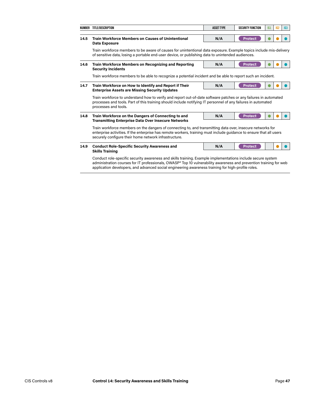|      | NUMBER TITLE/DESCRIPTION                                                                                                                                                                                                                                                                                                                                          | <b>ASSET TYPE</b> | <b>SECURITY FUNCTION</b> | IG1 | IG2 | IG3 |  |  |  |
|------|-------------------------------------------------------------------------------------------------------------------------------------------------------------------------------------------------------------------------------------------------------------------------------------------------------------------------------------------------------------------|-------------------|--------------------------|-----|-----|-----|--|--|--|
| 14.5 | <b>Train Workforce Members on Causes of Unintentional</b><br><b>Data Exposure</b>                                                                                                                                                                                                                                                                                 | N/A               | <b>Protect</b>           |     |     |     |  |  |  |
|      | Train workforce members to be aware of causes for unintentional data exposure. Example topics include mis-delivery<br>of sensitive data, losing a portable end-user device, or publishing data to unintended audiences.                                                                                                                                           |                   |                          |     |     |     |  |  |  |
| 14.6 | Train Workforce Members on Recognizing and Reporting<br><b>Security Incidents</b>                                                                                                                                                                                                                                                                                 | N/A               | <b>Protect</b>           |     |     |     |  |  |  |
|      | Train workforce members to be able to recognize a potential incident and be able to report such an incident.                                                                                                                                                                                                                                                      |                   |                          |     |     |     |  |  |  |
| 14.7 | Train Workforce on How to Identify and Report if Their<br><b>Enterprise Assets are Missing Security Updates</b>                                                                                                                                                                                                                                                   | N/A               | <b>Protect</b>           |     |     |     |  |  |  |
|      | Train workforce to understand how to verify and report out-of-date software patches or any failures in automated<br>processes and tools. Part of this training should include notifying IT personnel of any failures in automated<br>processes and tools.                                                                                                         |                   |                          |     |     |     |  |  |  |
| 14.8 | Train Workforce on the Dangers of Connecting to and<br><b>Transmitting Enterprise Data Over Insecure Networks</b>                                                                                                                                                                                                                                                 | N/A               | <b>Protect</b>           |     |     |     |  |  |  |
|      | Train workforce members on the dangers of connecting to, and transmitting data over, insecure networks for<br>enterprise activities. If the enterprise has remote workers, training must include guidance to ensure that all users<br>securely configure their home network infrastructure.                                                                       |                   |                          |     |     |     |  |  |  |
| 14.9 | <b>Conduct Role-Specific Security Awareness and</b>                                                                                                                                                                                                                                                                                                               | N/A               | <b>Protect</b>           |     |     |     |  |  |  |
|      | <b>Skills Training</b><br>Conduct role-specific security awareness and skills training. Example implementations include secure system<br>administration courses for IT professionals, OWASP® Top 10 vulnerability awareness and prevention training for web<br>application developers, and advanced social engineering awareness training for high-profile roles. |                   |                          |     |     |     |  |  |  |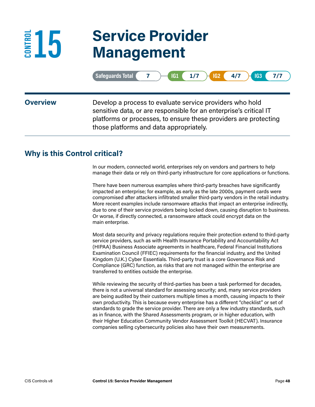## **15 Service Provider Management**

|                 | $1/7$ $\rightarrow$<br>Safeguards Total<br>4/7<br>$IG2$ (<br>IG1<br><b>IG3</b><br>7/7                                                                                                                                                         |
|-----------------|-----------------------------------------------------------------------------------------------------------------------------------------------------------------------------------------------------------------------------------------------|
| <b>Overview</b> | Develop a process to evaluate service providers who hold<br>sensitive data, or are responsible for an enterprise's critical IT<br>platforms or processes, to ensure these providers are protecting<br>those platforms and data appropriately. |

### **Why is this Control critical?**

**CONTROL** 

In our modern, connected world, enterprises rely on vendors and partners to help manage their data or rely on third-party infrastructure for core applications or functions.

There have been numerous examples where third-party breaches have significantly impacted an enterprise; for example, as early as the late 2000s, payment cards were compromised after attackers infiltrated smaller third-party vendors in the retail industry. More recent examples include ransomware attacks that impact an enterprise indirectly, due to one of their service providers being locked down, causing disruption to business. Or worse, if directly connected, a ransomware attack could encrypt data on the main enterprise.

Most data security and privacy regulations require their protection extend to third-party service providers, such as with Health Insurance Portability and Accountability Act (HIPAA) Business Associate agreements in healthcare, Federal Financial Institutions Examination Council (FFIEC) requirements for the financial industry, and the United Kingdom (U.K.) Cyber Essentials. Third-party trust is a core Governance Risk and Compliance (GRC) function, as risks that are not managed within the enterprise are transferred to entities outside the enterprise.

While reviewing the security of third-parties has been a task performed for decades, there is not a universal standard for assessing security; and, many service providers are being audited by their customers multiple times a month, causing impacts to their own productivity. This is because every enterprise has a different "checklist" or set of standards to grade the service provider. There are only a few industry standards, such as in finance, with the Shared Assessments program, or in higher education, with their Higher Education Community Vendor Assessment Toolkit (HECVAT). Insurance companies selling cybersecurity policies also have their own measurements.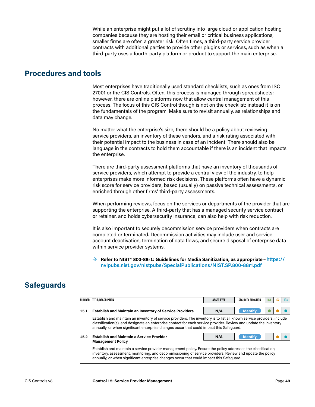While an enterprise might put a lot of scrutiny into large cloud or application hosting companies because they are hosting their email or critical business applications, smaller firms are often a greater risk. Often times, a third-party service provider contracts with additional parties to provide other plugins or services, such as when a third-party uses a fourth-party platform or product to support the main enterprise.

#### **Procedures and tools**

Most enterprises have traditionally used standard checklists, such as ones from ISO 27001 or the CIS Controls. Often, this process is managed through spreadsheets; however, there are online platforms now that allow central management of this process. The focus of this CIS Control though is not on the checklist; instead it is on the fundamentals of the program. Make sure to revisit annually, as relationships and data may change.

No matter what the enterprise's size, there should be a policy about reviewing service providers, an inventory of these vendors, and a risk rating associated with their potential impact to the business in case of an incident. There should also be language in the contracts to hold them accountable if there is an incident that impacts the enterprise.

There are third-party assessment platforms that have an inventory of thousands of service providers, which attempt to provide a central view of the industry, to help enterprises make more informed risk decisions. These platforms often have a dynamic risk score for service providers, based (usually) on passive technical assessments, or enriched through other firms' third-party assessments.

When performing reviews, focus on the services or departments of the provider that are supporting the enterprise. A third-party that has a managed security service contract, or retainer, and holds cybersecurity insurance, can also help with risk reduction.

It is also important to securely decommission service providers when contracts are completed or terminated. Decommission activities may include user and service account deactivation, termination of data flows, and secure disposal of enterprise data within service provider systems.

#### **→ Refer to NIST® 800-88r1: Guidelines for Media Sanitization, as appropriate**–**[https://](https://nvlpubs.nist.gov/nistpubs/SpecialPublications/NIST.SP.800-88r1.pdf) [nvlpubs.nist.gov/nistpubs/SpecialPublications/NIST.SP.800-88r1.pdf](https://nvlpubs.nist.gov/nistpubs/SpecialPublications/NIST.SP.800-88r1.pdf)**

| NUMBER | TITLE/DESCRIPTION                                                                                                                                                                                                                                                                                                                        | <b>ASSET TYPE</b> | <b>SECURITY FUNCTION</b> | IG <sub>1</sub> | 162 | 163 |  |  |  |
|--------|------------------------------------------------------------------------------------------------------------------------------------------------------------------------------------------------------------------------------------------------------------------------------------------------------------------------------------------|-------------------|--------------------------|-----------------|-----|-----|--|--|--|
| 15.1   | <b>Establish and Maintain an Inventory of Service Providers</b>                                                                                                                                                                                                                                                                          | N/A               | <b>Identify</b>          |                 |     |     |  |  |  |
|        | Establish and maintain an inventory of service providers. The inventory is to list all known service providers, include<br>classification(s), and designate an enterprise contact for each service provider. Review and update the inventory<br>annually, or when significant enterprise changes occur that could impact this Safeguard. |                   |                          |                 |     |     |  |  |  |
| 15.2   | <b>Identify</b><br><b>Establish and Maintain a Service Provider</b><br>N/A<br><b>Management Policy</b>                                                                                                                                                                                                                                   |                   |                          |                 |     |     |  |  |  |
|        | Establish and maintain a service provider management policy. Ensure the policy addresses the classification,<br>inventory, assessment, monitoring, and decommissioning of service providers. Review and update the policy<br>annually, or when significant enterprise changes occur that could impact this Safeguard.                    |                   |                          |                 |     |     |  |  |  |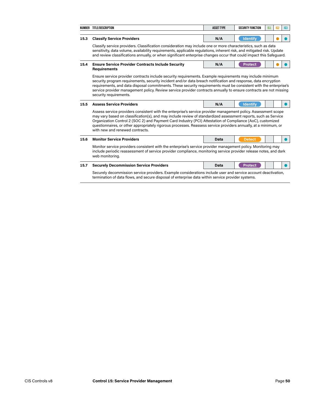|                                                                                                                                                                                                                                                                                                                                                                                                                                                                                                  | NUMBER TITLE/DESCRIPTION                                                                                                                                                                                                                                                                                                                                                                                                                                                                               | <b>ASSET TYPE</b> | <b>SECURITY FUNCTION</b> | <b>IG1</b> | 162 | <b>IG3</b> |
|--------------------------------------------------------------------------------------------------------------------------------------------------------------------------------------------------------------------------------------------------------------------------------------------------------------------------------------------------------------------------------------------------------------------------------------------------------------------------------------------------|--------------------------------------------------------------------------------------------------------------------------------------------------------------------------------------------------------------------------------------------------------------------------------------------------------------------------------------------------------------------------------------------------------------------------------------------------------------------------------------------------------|-------------------|--------------------------|------------|-----|------------|
| 15.3                                                                                                                                                                                                                                                                                                                                                                                                                                                                                             | <b>Classify Service Providers</b>                                                                                                                                                                                                                                                                                                                                                                                                                                                                      | N/A               | <b>Identify</b>          |            |     |            |
|                                                                                                                                                                                                                                                                                                                                                                                                                                                                                                  | Classify service providers. Classification consideration may include one or more characteristics, such as data<br>sensitivity, data volume, availability requirements, applicable regulations, inherent risk, and mitigated risk. Update<br>and review classifications annually, or when significant enterprise changes occur that could impact this Safeguard.                                                                                                                                        |                   |                          |            |     |            |
| 15.4                                                                                                                                                                                                                                                                                                                                                                                                                                                                                             | <b>Ensure Service Provider Contracts Include Security</b><br><b>Requirements</b>                                                                                                                                                                                                                                                                                                                                                                                                                       | N/A               | <b>Protect</b>           |            |     |            |
| Ensure service provider contracts include security requirements. Example requirements may include minimum<br>security program requirements, security incident and/or data breach notification and response, data encryption<br>requirements, and data disposal commitments. These security requirements must be consistent with the enterprise's<br>service provider management policy. Review service provider contracts annually to ensure contracts are not missing<br>security requirements. |                                                                                                                                                                                                                                                                                                                                                                                                                                                                                                        |                   |                          |            |     |            |
| 15.5                                                                                                                                                                                                                                                                                                                                                                                                                                                                                             | <b>Assess Service Providers</b>                                                                                                                                                                                                                                                                                                                                                                                                                                                                        | N/A               | <b>Identify</b>          |            |     |            |
|                                                                                                                                                                                                                                                                                                                                                                                                                                                                                                  | Assess service providers consistent with the enterprise's service provider management policy. Assessment scope<br>may vary based on classification(s), and may include review of standardized assessment reports, such as Service<br>Organization Control 2 (SOC 2) and Payment Card Industry (PCI) Attestation of Compliance (AoC), customized<br>questionnaires, or other appropriately rigorous processes. Reassess service providers annually, at a minimum, or<br>with new and renewed contracts. |                   |                          |            |     |            |
| 15.6                                                                                                                                                                                                                                                                                                                                                                                                                                                                                             | <b>Monitor Service Providers</b>                                                                                                                                                                                                                                                                                                                                                                                                                                                                       | Data              | <b>Detect</b>            |            |     |            |
|                                                                                                                                                                                                                                                                                                                                                                                                                                                                                                  | Monitor service providers consistent with the enterprise's service provider management policy. Monitoring may<br>include periodic reassessment of service provider compliance, monitoring service provider release notes, and dark<br>web monitoring.                                                                                                                                                                                                                                                  |                   |                          |            |     |            |
| 15.7                                                                                                                                                                                                                                                                                                                                                                                                                                                                                             | <b>Securely Decommission Service Providers</b>                                                                                                                                                                                                                                                                                                                                                                                                                                                         | Data              | <b>Protect</b>           |            |     |            |
|                                                                                                                                                                                                                                                                                                                                                                                                                                                                                                  | Securely decommission service providers. Example considerations include user and service account deactivation,<br>termination of data flows, and secure disposal of enterprise data within service provider systems.                                                                                                                                                                                                                                                                                   |                   |                          |            |     |            |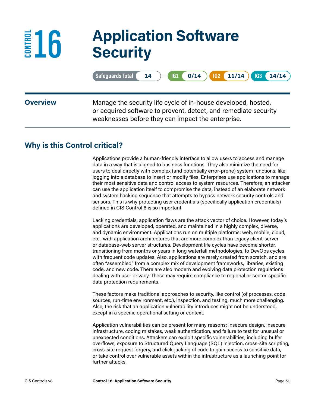## **16 Application Software Security**

| Safeguards Total ( 14 ) G1 ( 0/14 ) G2 ( 11/14 G3 ( 14/14 ) |   |  |   |  |
|-------------------------------------------------------------|---|--|---|--|
|                                                             | . |  | . |  |

**EDU** 

**Overview** Manage the security life cycle of in-house developed, hosted, or acquired software to prevent, detect, and remediate security weaknesses before they can impact the enterprise.

### **Why is this Control critical?**

Applications provide a human-friendly interface to allow users to access and manage data in a way that is aligned to business functions. They also minimize the need for users to deal directly with complex (and potentially error-prone) system functions, like logging into a database to insert or modify files. Enterprises use applications to manage their most sensitive data and control access to system resources. Therefore, an attacker can use the application itself to compromise the data, instead of an elaborate network and system hacking sequence that attempts to bypass network security controls and sensors. This is why protecting user credentials (specifically application credentials) defined in CIS Control 6 is so important.

Lacking credentials, application flaws are the attack vector of choice. However, today's applications are developed, operated, and maintained in a highly complex, diverse, and dynamic environment. Applications run on multiple platforms: web, mobile, cloud, etc., with application architectures that are more complex than legacy client-server or database-web server structures. Development life cycles have become shorter, transitioning from months or years in long waterfall methodologies, to DevOps cycles with frequent code updates. Also, applications are rarely created from scratch, and are often "assembled" from a complex mix of development frameworks, libraries, existing code, and new code. There are also modern and evolving data protection regulations dealing with user privacy. These may require compliance to regional or sector-specific data protection requirements.

These factors make traditional approaches to security, like control (of processes, code sources, run-time environment, etc.), inspection, and testing, much more challenging. Also, the risk that an application vulnerability introduces might not be understood, except in a specific operational setting or context.

Application vulnerabilities can be present for many reasons: insecure design, insecure infrastructure, coding mistakes, weak authentication, and failure to test for unusual or unexpected conditions. Attackers can exploit specific vulnerabilities, including buffer overflows, exposure to Structured Query Language (SQL) injection, cross-site scripting, cross-site request forgery, and click-jacking of code to gain access to sensitive data, or take control over vulnerable assets within the infrastructure as a launching point for further attacks.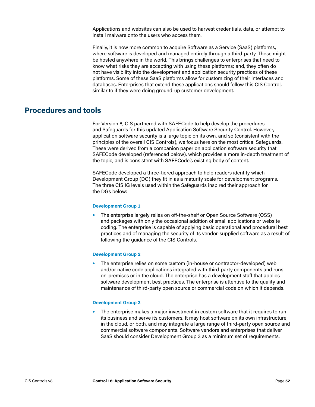Applications and websites can also be used to harvest credentials, data, or attempt to install malware onto the users who access them.

Finally, it is now more common to acquire Software as a Service (SaaS) platforms, where software is developed and managed entirely through a third-party. These might be hosted anywhere in the world. This brings challenges to enterprises that need to know what risks they are accepting with using these platforms; and, they often do not have visibility into the development and application security practices of these platforms. Some of these SaaS platforms allow for customizing of their interfaces and databases. Enterprises that extend these applications should follow this CIS Control, similar to if they were doing ground-up customer development.

#### **Procedures and tools**

For Version 8, CIS partnered with SAFECode to help develop the procedures and Safeguards for this updated Application Software Security Control. However, application software security is a large topic on its own, and so (consistent with the principles of the overall CIS Controls), we focus here on the most critical Safeguards. These were derived from a companion paper on application software security that SAFECode developed (referenced below), which provides a more in-depth treatment of the topic, and is consistent with SAFECode's existing body of content.

SAFECode developed a three-tiered approach to help readers identify which Development Group (DG) they fit in as a maturity scale for development programs. The three CIS IG levels used within the Safeguards inspired their approach for the DGs below:

#### **Development Group 1**

**•** The enterprise largely relies on off-the-shelf or Open Source Software (OSS) and packages with only the occasional addition of small applications or website coding. The enterprise is capable of applying basic operational and procedural best practices and of managing the security of its vendor-supplied software as a result of following the guidance of the CIS Controls.

#### **Development Group 2**

**•** The enterprise relies on some custom (in-house or contractor-developed) web and/or native code applications integrated with third-party components and runs on-premises or in the cloud. The enterprise has a development staff that applies software development best practices. The enterprise is attentive to the quality and maintenance of third-party open source or commercial code on which it depends.

#### **Development Group 3**

**•** The enterprise makes a major investment in custom software that it requires to run its business and serve its customers. It may host software on its own infrastructure, in the cloud, or both, and may integrate a large range of third-party open source and commercial software components. Software vendors and enterprises that deliver SaaS should consider Development Group 3 as a minimum set of requirements.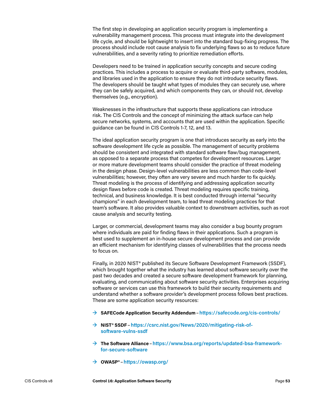The first step in developing an application security program is implementing a vulnerability management process. This process must integrate into the development life cycle, and should be lightweight to insert into the standard bug-fixing progress. The process should include root cause analysis to fix underlying flaws so as to reduce future vulnerabilities, and a severity rating to prioritize remediation efforts.

Developers need to be trained in application security concepts and secure coding practices. This includes a process to acquire or evaluate third-party software, modules, and libraries used in the application to ensure they do not introduce security flaws. The developers should be taught what types of modules they can securely use, where they can be safely acquired, and which components they can, or should not, develop themselves (e.g., encryption).

Weaknesses in the infrastructure that supports these applications can introduce risk. The CIS Controls and the concept of minimizing the attack surface can help secure networks, systems, and accounts that are used within the application. Specific guidance can be found in CIS Controls 1-7, 12, and 13.

The ideal application security program is one that introduces security as early into the software development life cycle as possible. The management of security problems should be consistent and integrated with standard software flaw/bug management, as opposed to a separate process that competes for development resources. Larger or more mature development teams should consider the practice of threat modeling in the design phase. Design-level vulnerabilities are less common than code-level vulnerabilities; however, they often are very severe and much harder to fix quickly. Threat modeling is the process of identifying and addressing application security design flaws before code is created. Threat modeling requires specific training, technical, and business knowledge. It is best conducted through internal "security champions" in each development team, to lead threat modeling practices for that team's software. It also provides valuable context to downstream activities, such as root cause analysis and security testing.

Larger, or commercial, development teams may also consider a bug bounty program where individuals are paid for finding flaws in their applications. Such a program is best used to supplement an in-house secure development process and can provide an efficient mechanism for identifying classes of vulnerabilities that the process needs to focus on.

Finally, in 2020 NIST® published its Secure Software Development Framework (SSDF), which brought together what the industry has learned about software security over the past two decades and created a secure software development framework for planning, evaluating, and communicating about software security activities. Enterprises acquiring software or services can use this framework to build their security requirements and understand whether a software provider's development process follows best practices. These are some application security resources:

- **→ SAFECode Application Security Addendum**–**<https://safecode.org/cis-controls/>**
- **→ NIST® SSDF**–**[https://csrc.nist.gov/News/2020/mitigating-risk-of](https://csrc.nist.gov/News/2020/mitigating-risk-of-software-vulns-ssdf)[software-vulns-ssdf](https://csrc.nist.gov/News/2020/mitigating-risk-of-software-vulns-ssdf)**
- **→ The Software Alliance**–**[https://www.bsa.org/reports/updated-bsa-framework](https://www.bsa.org/reports/updated-bsa-framework-for-secure-software)[for-secure-software](https://www.bsa.org/reports/updated-bsa-framework-for-secure-software)**
- **→ OWASP®**–**<https://owasp.org/>**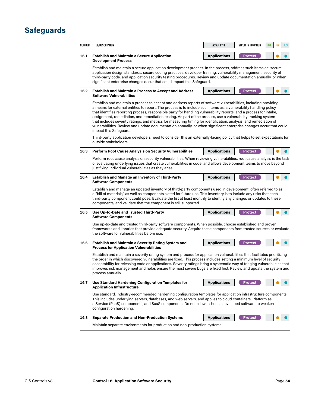|              | NUMBER TITLE/DESCRIPTION                                                                                                                                                                                                                                                                                                                                                                                                                                                                                                                                                                                                                                                                                                                         | <b>ASSET TYPE</b>   | <b>SECURITY FUNCTION</b> | IG <sub>1</sub> | 162 | 163 |  |
|--------------|--------------------------------------------------------------------------------------------------------------------------------------------------------------------------------------------------------------------------------------------------------------------------------------------------------------------------------------------------------------------------------------------------------------------------------------------------------------------------------------------------------------------------------------------------------------------------------------------------------------------------------------------------------------------------------------------------------------------------------------------------|---------------------|--------------------------|-----------------|-----|-----|--|
| 16.1         | <b>Establish and Maintain a Secure Application</b>                                                                                                                                                                                                                                                                                                                                                                                                                                                                                                                                                                                                                                                                                               | <b>Applications</b> | <b>Protect</b>           |                 |     |     |  |
|              | <b>Development Process</b><br>Establish and maintain a secure application development process. In the process, address such items as: secure<br>application design standards, secure coding practices, developer training, vulnerability management, security of<br>third-party code, and application security testing procedures. Review and update documentation annually, or when<br>significant enterprise changes occur that could impact this Safeguard.                                                                                                                                                                                                                                                                                   |                     |                          |                 |     |     |  |
| 16.2         | <b>Establish and Maintain a Process to Accept and Address</b><br><b>Software Vulnerabilities</b>                                                                                                                                                                                                                                                                                                                                                                                                                                                                                                                                                                                                                                                 | <b>Applications</b> | <b>Protect</b>           |                 |     |     |  |
|              | Establish and maintain a process to accept and address reports of software vulnerabilities, including providing<br>a means for external entities to report. The process is to include such items as: a vulnerability handling policy<br>that identifies reporting process, responsible party for handling vulnerability reports, and a process for intake,<br>assignment, remediation, and remediation testing. As part of the process, use a vulnerability tracking system<br>that includes severity ratings, and metrics for measuring timing for identification, analysis, and remediation of<br>vulnerabilities. Review and update documentation annually, or when significant enterprise changes occur that could<br>impact this Safeguard. |                     |                          |                 |     |     |  |
|              | Third-party application developers need to consider this an externally-facing policy that helps to set expectations for<br>outside stakeholders.                                                                                                                                                                                                                                                                                                                                                                                                                                                                                                                                                                                                 |                     |                          |                 |     |     |  |
| 16.3         | <b>Perform Root Cause Analysis on Security Vulnerabilities</b>                                                                                                                                                                                                                                                                                                                                                                                                                                                                                                                                                                                                                                                                                   | <b>Applications</b> | <b>Protect</b>           |                 |     |     |  |
|              | Perform root cause analysis on security vulnerabilities. When reviewing vulnerabilities, root cause analysis is the task<br>of evaluating underlying issues that create vulnerabilities in code, and allows development teams to move beyond<br>just fixing individual vulnerabilities as they arise.                                                                                                                                                                                                                                                                                                                                                                                                                                            |                     |                          |                 |     |     |  |
| 16.4         | <b>Establish and Manage an Inventory of Third-Party</b><br><b>Software Components</b>                                                                                                                                                                                                                                                                                                                                                                                                                                                                                                                                                                                                                                                            | <b>Applications</b> | <b>Protect</b>           |                 |     |     |  |
|              | Establish and manage an updated inventory of third-party components used in development, often referred to as<br>a "bill of materials," as well as components slated for future use. This inventory is to include any risks that each<br>third-party component could pose. Evaluate the list at least monthly to identify any changes or updates to these<br>components, and validate that the component is still supported.                                                                                                                                                                                                                                                                                                                     |                     |                          |                 |     |     |  |
|              |                                                                                                                                                                                                                                                                                                                                                                                                                                                                                                                                                                                                                                                                                                                                                  |                     |                          |                 |     |     |  |
|              | Use Up-to-Date and Trusted Third-Party<br><b>Software Components</b>                                                                                                                                                                                                                                                                                                                                                                                                                                                                                                                                                                                                                                                                             | <b>Applications</b> | <b>Protect</b>           |                 |     |     |  |
|              | Use up-to-date and trusted third-party software components. When possible, choose established and proven<br>frameworks and libraries that provide adequate security. Acquire these components from trusted sources or evaluate<br>the software for vulnerabilities before use.                                                                                                                                                                                                                                                                                                                                                                                                                                                                   |                     |                          |                 |     |     |  |
| 16.5<br>16.6 | <b>Establish and Maintain a Severity Rating System and</b><br><b>Process for Application Vulnerabilities</b>                                                                                                                                                                                                                                                                                                                                                                                                                                                                                                                                                                                                                                     | <b>Applications</b> | <b>Protect</b>           |                 |     |     |  |
|              | Establish and maintain a severity rating system and process for application vulnerabilities that facilitates prioritizing<br>the order in which discovered vulnerabilities are fixed. This process includes setting a minimum level of security<br>acceptability for releasing code or applications. Severity ratings bring a systematic way of triaging vulnerabilities that<br>improves risk management and helps ensure the most severe bugs are fixed first. Review and update the system and<br>process annually.                                                                                                                                                                                                                           |                     |                          |                 |     |     |  |
|              | Use Standard Hardening Configuration Templates for<br><b>Application Infrastructure</b>                                                                                                                                                                                                                                                                                                                                                                                                                                                                                                                                                                                                                                                          | <b>Applications</b> | <b>Protect</b>           |                 |     |     |  |
| 16.7         | Use standard, industry-recommended hardening configuration templates for application infrastructure components.<br>This includes underlying servers, databases, and web servers, and applies to cloud containers, Platform as<br>a Service (PaaS) components, and SaaS components. Do not allow in-house developed software to weaken<br>configuration hardening.                                                                                                                                                                                                                                                                                                                                                                                |                     |                          |                 |     |     |  |
| 16.8         | <b>Separate Production and Non-Production Systems</b>                                                                                                                                                                                                                                                                                                                                                                                                                                                                                                                                                                                                                                                                                            | <b>Applications</b> | <b>Protect</b>           |                 |     |     |  |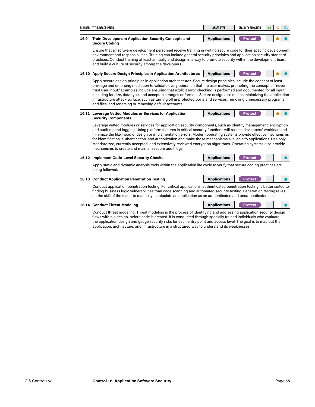|      | NUMBER TITLE/DESCRIPTION                                                                                                                                                                                                                                                                                                                                                                                                                                                                                                                                                                                                                                              | <b>ASSET TYPE</b>   | <b>SECURITY FUNCTION</b> | IG1 | 162 | IG3 |  |  |  |
|------|-----------------------------------------------------------------------------------------------------------------------------------------------------------------------------------------------------------------------------------------------------------------------------------------------------------------------------------------------------------------------------------------------------------------------------------------------------------------------------------------------------------------------------------------------------------------------------------------------------------------------------------------------------------------------|---------------------|--------------------------|-----|-----|-----|--|--|--|
| 16.9 | <b>Train Developers in Application Security Concepts and</b><br><b>Secure Coding</b>                                                                                                                                                                                                                                                                                                                                                                                                                                                                                                                                                                                  | <b>Applications</b> | <b>Protect</b>           |     |     |     |  |  |  |
|      | Ensure that all software development personnel receive training in writing secure code for their specific development<br>environment and responsibilities. Training can include general security principles and application security standard<br>practices. Conduct training at least annually and design in a way to promote security within the development team,<br>and build a culture of security among the developers.                                                                                                                                                                                                                                          |                     |                          |     |     |     |  |  |  |
|      | 16.10 Apply Secure Design Principles in Application Architectures                                                                                                                                                                                                                                                                                                                                                                                                                                                                                                                                                                                                     | <b>Applications</b> | <b>Protect</b>           |     |     |     |  |  |  |
|      | Apply secure design principles in application architectures. Secure design principles include the concept of least<br>privilege and enforcing mediation to validate every operation that the user makes, promoting the concept of "never<br>trust user input." Examples include ensuring that explicit error checking is performed and documented for all input,<br>including for size, data type, and acceptable ranges or formats. Secure design also means minimizing the application<br>infrastructure attack surface, such as turning off unprotected ports and services, removing unnecessary programs<br>and files, and renaming or removing default accounts. |                     |                          |     |     |     |  |  |  |
|      | 16.11 Leverage Vetted Modules or Services for Application<br><b>Security Components</b>                                                                                                                                                                                                                                                                                                                                                                                                                                                                                                                                                                               | <b>Applications</b> | <b>Protect</b>           |     |     |     |  |  |  |
|      | Leverage vetted modules or services for application security components, such as identity management, encryption,<br>and auditing and logging. Using platform features in critical security functions will reduce developers' workload and<br>minimize the likelihood of design or implementation errors. Modern operating systems provide effective mechanisms<br>for identification, authentication, and authorization and make those mechanisms available to applications. Use only<br>standardized, currently accepted, and extensively reviewed encryption algorithms. Operating systems also provide<br>mechanisms to create and maintain secure audit logs.    |                     |                          |     |     |     |  |  |  |
|      | 16.12 Implement Code-Level Security Checks                                                                                                                                                                                                                                                                                                                                                                                                                                                                                                                                                                                                                            | <b>Applications</b> | <b>Protect</b>           |     |     |     |  |  |  |
|      | Apply static and dynamic analysis tools within the application life cycle to verify that secure coding practices are<br>being followed.                                                                                                                                                                                                                                                                                                                                                                                                                                                                                                                               |                     |                          |     |     |     |  |  |  |
|      | 16.13 Conduct Application Penetration Testing                                                                                                                                                                                                                                                                                                                                                                                                                                                                                                                                                                                                                         | <b>Applications</b> | <b>Protect</b>           |     |     |     |  |  |  |
|      | Conduct application penetration testing. For critical applications, authenticated penetration testing is better suited to<br>finding business logic vulnerabilities than code scanning and automated security testing. Penetration testing relies<br>on the skill of the tester to manually manipulate an application as an authenticated and unauthenticated user.                                                                                                                                                                                                                                                                                                   |                     |                          |     |     |     |  |  |  |
|      | 16.14 Conduct Threat Modeling                                                                                                                                                                                                                                                                                                                                                                                                                                                                                                                                                                                                                                         | <b>Applications</b> | <b>Protect</b>           |     |     |     |  |  |  |
|      | Conduct threat modeling. Threat modeling is the process of identifying and addressing application security design<br>flaws within a design, before code is created. It is conducted through specially trained individuals who evaluate<br>the application design and gauge security risks for each entry point and access level. The goal is to map out the                                                                                                                                                                                                                                                                                                           |                     |                          |     |     |     |  |  |  |

application, architecture, and infrastructure in a structured way to understand its weaknesses.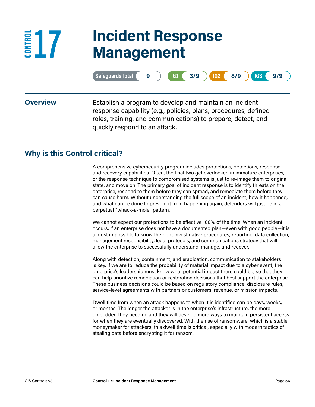## **17 Incident Response Management**

|                 | Safeguards Total<br>161/<br>3/9<br>IG2<br>8/9<br>IG <sub>3</sub><br>9/9<br>9<br>н                                                                                                                                           |
|-----------------|-----------------------------------------------------------------------------------------------------------------------------------------------------------------------------------------------------------------------------|
| <b>Overview</b> | Establish a program to develop and maintain an incident<br>response capability (e.g., policies, plans, procedures, defined<br>roles, training, and communications) to prepare, detect, and<br>quickly respond to an attack. |

### **Why is this Control critical?**

E<sup>E</sup><sub>5</sub>17

A comprehensive cybersecurity program includes protections, detections, response, and recovery capabilities. Often, the final two get overlooked in immature enterprises, or the response technique to compromised systems is just to re-image them to original state, and move on. The primary goal of incident response is to identify threats on the enterprise, respond to them before they can spread, and remediate them before they can cause harm. Without understanding the full scope of an incident, how it happened, and what can be done to prevent it from happening again, defenders will just be in a perpetual "whack-a-mole" pattern.

We cannot expect our protections to be effective 100% of the time. When an incident occurs, if an enterprise does not have a documented plan—even with good people—it is almost impossible to know the right investigative procedures, reporting, data collection, management responsibility, legal protocols, and communications strategy that will allow the enterprise to successfully understand, manage, and recover.

Along with detection, containment, and eradication, communication to stakeholders is key. If we are to reduce the probability of material impact due to a cyber event, the enterprise's leadership must know what potential impact there could be, so that they can help prioritize remediation or restoration decisions that best support the enterprise. These business decisions could be based on regulatory compliance, disclosure rules, service-level agreements with partners or customers, revenue, or mission impacts.

Dwell time from when an attack happens to when it is identified can be days, weeks, or months. The longer the attacker is in the enterprise's infrastructure, the more embedded they become and they will develop more ways to maintain persistent access for when they are eventually discovered. With the rise of ransomware, which is a stable moneymaker for attackers, this dwell time is critical, especially with modern tactics of stealing data before encrypting it for ransom.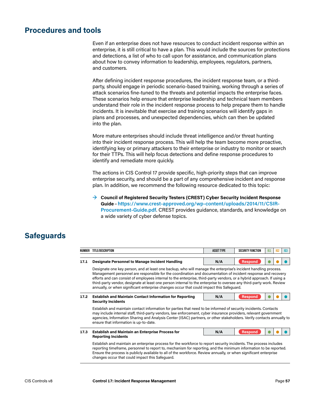#### **Procedures and tools**

Even if an enterprise does not have resources to conduct incident response within an enterprise, it is still critical to have a plan. This would include the sources for protections and detections, a list of who to call upon for assistance, and communication plans about how to convey information to leadership, employees, regulators, partners, and customers.

After defining incident response procedures, the incident response team, or a thirdparty, should engage in periodic scenario-based training, working through a series of attack scenarios fine-tuned to the threats and potential impacts the enterprise faces. These scenarios help ensure that enterprise leadership and technical team members understand their role in the incident response process to help prepare them to handle incidents. It is inevitable that exercise and training scenarios will identify gaps in plans and processes, and unexpected dependencies, which can then be updated into the plan.

More mature enterprises should include threat intelligence and/or threat hunting into their incident response process. This will help the team become more proactive, identifying key or primary attackers to their enterprise or industry to monitor or search for their TTPs. This will help focus detections and define response procedures to identify and remediate more quickly.

The actions in CIS Control 17 provide specific, high-priority steps that can improve enterprise security, and should be a part of any comprehensive incident and response plan. In addition, we recommend the following resource dedicated to this topic:

**→ Council of Registered Security Testers (CREST) Cyber Security Incident Response Guide**–**[https://www.crest-approved.org/wp-content/uploads/2014/11/CSIR-](https://www.crest-approved.org/wp-content/uploads/2014/11/CSIR-Procurement-Guide.pdf)[Procurement-Guide.pdf](https://www.crest-approved.org/wp-content/uploads/2014/11/CSIR-Procurement-Guide.pdf)**. CREST provides guidance, standards, and knowledge on a wide variety of cyber defense topics.

| NUMBER                                                                                                                                                                                                                                                                                                                                                                                                                                                                                                                                                                        | TITLE/DESCRIPTION                                                                                                                                                                                                                                                                                                                                                                                               | <b>ASSET TYPE</b> | <b>SECURITY FUNCTION</b> | 161 | 162 | IG3 |  |
|-------------------------------------------------------------------------------------------------------------------------------------------------------------------------------------------------------------------------------------------------------------------------------------------------------------------------------------------------------------------------------------------------------------------------------------------------------------------------------------------------------------------------------------------------------------------------------|-----------------------------------------------------------------------------------------------------------------------------------------------------------------------------------------------------------------------------------------------------------------------------------------------------------------------------------------------------------------------------------------------------------------|-------------------|--------------------------|-----|-----|-----|--|
| 17.1                                                                                                                                                                                                                                                                                                                                                                                                                                                                                                                                                                          | <b>Designate Personnel to Manage Incident Handling</b>                                                                                                                                                                                                                                                                                                                                                          | N/A               | <b>Respond</b>           |     |     |     |  |
| Designate one key person, and at least one backup, who will manage the enterprise's incident handling process.<br>Management personnel are responsible for the coordination and documentation of incident response and recovery<br>efforts and can consist of employees internal to the enterprise, third-party vendors, or a hybrid approach. If using a<br>third-party vendor, designate at least one person internal to the enterprise to oversee any third-party work. Review<br>annually, or when significant enterprise changes occur that could impact this Safeguard. |                                                                                                                                                                                                                                                                                                                                                                                                                 |                   |                          |     |     |     |  |
| 17.2                                                                                                                                                                                                                                                                                                                                                                                                                                                                                                                                                                          | <b>Establish and Maintain Contact Information for Reporting</b><br><b>Security Incidents</b>                                                                                                                                                                                                                                                                                                                    | N/A               | <b>Respond</b>           |     |     |     |  |
|                                                                                                                                                                                                                                                                                                                                                                                                                                                                                                                                                                               | Establish and maintain contact information for parties that need to be informed of security incidents. Contacts<br>may include internal staff, third-party vendors, law enforcement, cyber insurance providers, relevant government<br>agencies, Information Sharing and Analysis Center (ISAC) partners, or other stakeholders. Verify contacts annually to<br>ensure that information is up-to-date.          |                   |                          |     |     |     |  |
| 17.3                                                                                                                                                                                                                                                                                                                                                                                                                                                                                                                                                                          | <b>Establish and Maintain an Enterprise Process for</b><br><b>Reporting Incidents</b>                                                                                                                                                                                                                                                                                                                           | N/A               | <b>Respond</b>           |     |     |     |  |
|                                                                                                                                                                                                                                                                                                                                                                                                                                                                                                                                                                               | Establish and maintain an enterprise process for the workforce to report security incidents. The process includes<br>reporting time frame, personnel to report to, mechanism for reporting, and the minimum information to be reported.<br>Ensure the process is publicly available to all of the workforce. Review annually, or when significant enterprise<br>changes occur that could impact this Safeguard. |                   |                          |     |     |     |  |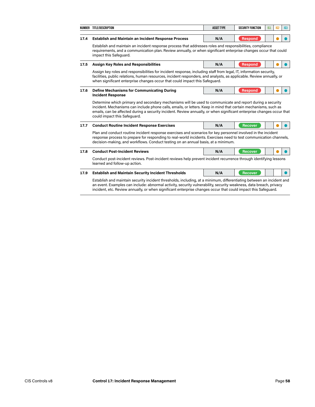|      | NUMBER TITLE/DESCRIPTION                                                                                                                                                                                                                                                                                                                                                               | <b>ASSET TYPE</b> | <b>SECURITY FUNCTION</b> | <b>IG1</b> | IG <sub>2</sub> | IG3 |  |
|------|----------------------------------------------------------------------------------------------------------------------------------------------------------------------------------------------------------------------------------------------------------------------------------------------------------------------------------------------------------------------------------------|-------------------|--------------------------|------------|-----------------|-----|--|
| 17.4 | <b>Establish and Maintain an Incident Response Process</b>                                                                                                                                                                                                                                                                                                                             | N/A               | <b>Respond</b>           |            |                 |     |  |
|      | Establish and maintain an incident response process that addresses roles and responsibilities, compliance<br>requirements, and a communication plan. Review annually, or when significant enterprise changes occur that could<br>impact this Safequard.                                                                                                                                |                   |                          |            |                 |     |  |
| 17.5 | <b>Assign Key Roles and Responsibilities</b>                                                                                                                                                                                                                                                                                                                                           | N/A               | <b>Respond</b>           |            |                 |     |  |
|      | Assign key roles and responsibilities for incident response, including staff from legal, IT, information security,<br>facilities, public relations, human resources, incident responders, and analysts, as applicable. Review annually, or<br>when significant enterprise changes occur that could impact this Safeguard.                                                              |                   |                          |            |                 |     |  |
| 17.6 | <b>Define Mechanisms for Communicating During</b><br><b>Incident Response</b>                                                                                                                                                                                                                                                                                                          | N/A               | <b>Respond</b>           |            |                 |     |  |
|      | Determine which primary and secondary mechanisms will be used to communicate and report during a security<br>incident. Mechanisms can include phone calls, emails, or letters. Keep in mind that certain mechanisms, such as<br>emails, can be affected during a security incident. Review annually, or when significant enterprise changes occur that<br>could impact this Safeguard. |                   |                          |            |                 |     |  |
| 17.7 | <b>Conduct Routine Incident Response Exercises</b>                                                                                                                                                                                                                                                                                                                                     | N/A               | <b>Recover</b>           |            |                 |     |  |
|      | Plan and conduct routine incident response exercises and scenarios for key personnel involved in the incident<br>response process to prepare for responding to real-world incidents. Exercises need to test communication channels,<br>decision-making, and workflows. Conduct testing on an annual basis, at a minimum.                                                               |                   |                          |            |                 |     |  |
| 17.8 | <b>Conduct Post-Incident Reviews</b>                                                                                                                                                                                                                                                                                                                                                   | N/A               | <b>Recover</b>           |            |                 |     |  |
|      | Conduct post-incident reviews. Post-incident reviews help prevent incident recurrence through identifying lessons<br>learned and follow-up action.                                                                                                                                                                                                                                     |                   |                          |            |                 |     |  |
| 17.9 | <b>Establish and Maintain Security Incident Thresholds</b>                                                                                                                                                                                                                                                                                                                             | N/A               | <b>Recover</b>           |            |                 |     |  |
|      | Establish and maintain security incident thresholds, including, at a minimum, differentiating between an incident and<br>an event. Examples can include: abnormal activity, security vulnerability, security weakness, data breach, privacy<br>incident, etc. Review annually, or when significant enterprise changes occur that could impact this Safeguard.                          |                   |                          |            |                 |     |  |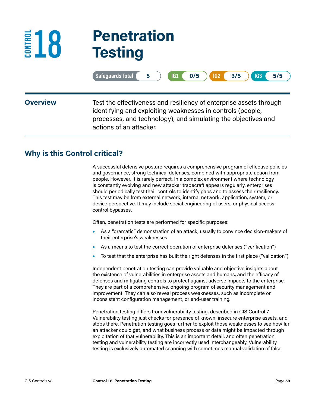## **18 Penetration Testing**

|                 | <b>Safeguards Total</b><br>0/5<br>3/5<br>IG1<br>$IG2$ (<br>IG3<br>5/5<br>5                                                                                                                                                   |
|-----------------|------------------------------------------------------------------------------------------------------------------------------------------------------------------------------------------------------------------------------|
| <b>Overview</b> | Test the effectiveness and resiliency of enterprise assets through<br>identifying and exploiting weaknesses in controls (people,<br>processes, and technology), and simulating the objectives and<br>actions of an attacker. |

#### **Why is this Control critical?**

E<sup>E</sup>18

A successful defensive posture requires a comprehensive program of effective policies and governance, strong technical defenses, combined with appropriate action from people. However, it is rarely perfect. In a complex environment where technology is constantly evolving and new attacker tradecraft appears regularly, enterprises should periodically test their controls to identify gaps and to assess their resiliency. This test may be from external network, internal network, application, system, or device perspective. It may include social engineering of users, or physical access control bypasses.

Often, penetration tests are performed for specific purposes:

- **•** As a "dramatic" demonstration of an attack, usually to convince decision-makers of their enterprise's weaknesses
- **•** As a means to test the correct operation of enterprise defenses ("verification")
- **•** To test that the enterprise has built the right defenses in the first place ("validation")

Independent penetration testing can provide valuable and objective insights about the existence of vulnerabilities in enterprise assets and humans, and the efficacy of defenses and mitigating controls to protect against adverse impacts to the enterprise. They are part of a comprehensive, ongoing program of security management and improvement. They can also reveal process weaknesses, such as incomplete or inconsistent configuration management, or end-user training.

Penetration testing differs from vulnerability testing, described in CIS Control 7. Vulnerability testing just checks for presence of known, insecure enterprise assets, and stops there. Penetration testing goes further to exploit those weaknesses to see how far an attacker could get, and what business process or data might be impacted through exploitation of that vulnerability. This is an important detail, and often penetration testing and vulnerability testing are incorrectly used interchangeably. Vulnerability testing is exclusively automated scanning with sometimes manual validation of false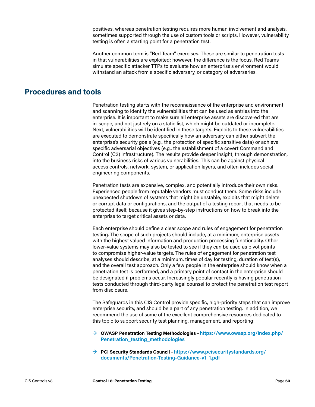positives, whereas penetration testing requires more human involvement and analysis, sometimes supported through the use of custom tools or scripts. However, vulnerability testing is often a starting point for a penetration test.

Another common term is "Red Team" exercises. These are similar to penetration tests in that vulnerabilities are exploited; however, the difference is the focus. Red Teams simulate specific attacker TTPs to evaluate how an enterprise's environment would withstand an attack from a specific adversary, or category of adversaries.

#### **Procedures and tools**

Penetration testing starts with the reconnaissance of the enterprise and environment, and scanning to identify the vulnerabilities that can be used as entries into the enterprise. It is important to make sure all enterprise assets are discovered that are in-scope, and not just rely on a static list, which might be outdated or incomplete. Next, vulnerabilities will be identified in these targets. Exploits to these vulnerabilities are executed to demonstrate specifically how an adversary can either subvert the enterprise's security goals (e.g., the protection of specific sensitive data) or achieve specific adversarial objectives (e.g., the establishment of a covert Command and Control (C2) infrastructure). The results provide deeper insight, through demonstration, into the business risks of various vulnerabilities. This can be against physical access controls, network, system, or application layers, and often includes social engineering components.

Penetration tests are expensive, complex, and potentially introduce their own risks. Experienced people from reputable vendors must conduct them. Some risks include unexpected shutdown of systems that might be unstable, exploits that might delete or corrupt data or configurations, and the output of a testing report that needs to be protected itself, because it gives step-by-step instructions on how to break into the enterprise to target critical assets or data.

Each enterprise should define a clear scope and rules of engagement for penetration testing. The scope of such projects should include, at a minimum, enterprise assets with the highest valued information and production processing functionality. Other lower-value systems may also be tested to see if they can be used as pivot points to compromise higher-value targets. The rules of engagement for penetration test analyses should describe, at a minimum, times of day for testing, duration of test(s), and the overall test approach. Only a few people in the enterprise should know when a penetration test is performed, and a primary point of contact in the enterprise should be designated if problems occur. Increasingly popular recently is having penetration tests conducted through third-party legal counsel to protect the penetration test report from disclosure.

The Safeguards in this CIS Control provide specific, high-priority steps that can improve enterprise security, and should be a part of any penetration testing. In addition, we recommend the use of some of the excellent comprehensive resources dedicated to this topic to support security test planning, management, and reporting:

- **→ OWASP Penetration Testing Methodologies** –**[https://www.owasp.org/index.php/](https://www.owasp.org/index.php/Penetration_testing_methodologies) [Penetration\\_testing\\_methodologies](https://www.owasp.org/index.php/Penetration_testing_methodologies)**
- **→ PCI Security Standards Council**–**[https://www.pcisecuritystandards.org/](https://www.pcisecuritystandards.org/documents/Penetration-Testing-Guidance-v1_1.pdf) [documents/Penetration-Testing-Guidance-v1\\_1.pdf](https://www.pcisecuritystandards.org/documents/Penetration-Testing-Guidance-v1_1.pdf)**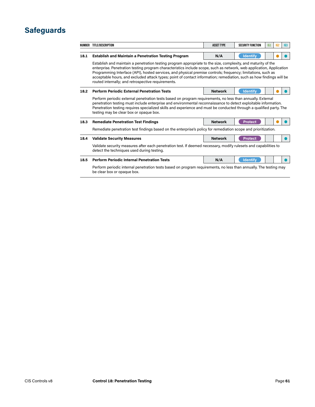#### **Safeguards**

|      | NUMBER TITLE/DESCRIPTION                                                                                                                                                                                                                                                                                                                                                                                                                                                                                                            | <b>ASSET TYPE</b> | <b>SECURITY FUNCTION</b> | <b>IG1</b> | 162 | IG3 |  |  |  |
|------|-------------------------------------------------------------------------------------------------------------------------------------------------------------------------------------------------------------------------------------------------------------------------------------------------------------------------------------------------------------------------------------------------------------------------------------------------------------------------------------------------------------------------------------|-------------------|--------------------------|------------|-----|-----|--|--|--|
|      |                                                                                                                                                                                                                                                                                                                                                                                                                                                                                                                                     |                   |                          |            |     |     |  |  |  |
| 18.1 | <b>Establish and Maintain a Penetration Testing Program</b>                                                                                                                                                                                                                                                                                                                                                                                                                                                                         | N/A               | <b>Identify</b>          |            |     |     |  |  |  |
|      | Establish and maintain a penetration testing program appropriate to the size, complexity, and maturity of the<br>enterprise. Penetration testing program characteristics include scope, such as network, web application, Application<br>Programming Interface (API), hosted services, and physical premise controls; frequency; limitations, such as<br>acceptable hours, and excluded attack types; point of contact information; remediation, such as how findings will be<br>routed internally; and retrospective requirements. |                   |                          |            |     |     |  |  |  |
| 18.2 | <b>Perform Periodic External Penetration Tests</b>                                                                                                                                                                                                                                                                                                                                                                                                                                                                                  | <b>Network</b>    | <b>Identify</b>          |            |     |     |  |  |  |
|      | Perform periodic external penetration tests based on program requirements, no less than annually. External<br>penetration testing must include enterprise and environmental reconnaissance to detect exploitable information.<br>Penetration testing requires specialized skills and experience and must be conducted through a qualified party. The<br>testing may be clear box or opaque box.                                                                                                                                     |                   |                          |            |     |     |  |  |  |
| 18.3 | <b>Remediate Penetration Test Findings</b>                                                                                                                                                                                                                                                                                                                                                                                                                                                                                          | <b>Network</b>    | <b>Protect</b>           |            |     |     |  |  |  |
|      | Remediate penetration test findings based on the enterprise's policy for remediation scope and prioritization.                                                                                                                                                                                                                                                                                                                                                                                                                      |                   |                          |            |     |     |  |  |  |
| 18.4 | <b>Validate Security Measures</b>                                                                                                                                                                                                                                                                                                                                                                                                                                                                                                   | <b>Network</b>    | <b>Protect</b>           |            |     |     |  |  |  |
|      | Validate security measures after each penetration test. If deemed necessary, modify rulesets and capabilities to<br>detect the techniques used during testing.                                                                                                                                                                                                                                                                                                                                                                      |                   |                          |            |     |     |  |  |  |
| 18.5 | <b>Perform Periodic Internal Penetration Tests</b>                                                                                                                                                                                                                                                                                                                                                                                                                                                                                  | N/A               | <b>Identify</b>          |            |     |     |  |  |  |
|      | Perform periodic internal penetration tests based on program requirements, no less than annually. The testing may<br>be clear box or opaque box.                                                                                                                                                                                                                                                                                                                                                                                    |                   |                          |            |     |     |  |  |  |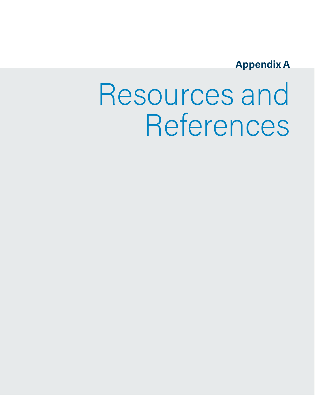### **Appendix A**

# Resources and References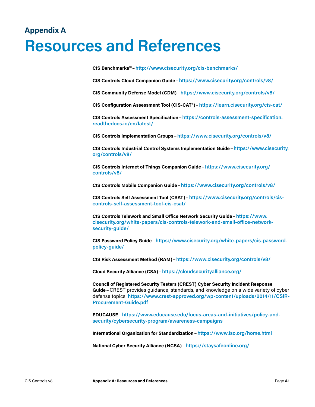## **Appendix A Resources and References**

**CIS Benchmarks™**–**<http://www.cisecurity.org/cis-benchmarks/>**

**CIS Controls Cloud Companion Guide**–**<https://www.cisecurity.org/controls/v8/>**

**CIS Community Defense Model (CDM)**–**<https://www.cisecurity.org/controls/v8/>**

**CIS Configuration Assessment Tool (CIS-CAT®)**–**<https://learn.cisecurity.org/cis-cat/>**

**CIS Controls Assessment Specification**–**[https://controls-assessment-specification.](https://controls-assessment-specification.readthedocs.io/en/latest/) [readthedocs.io/en/latest/](https://controls-assessment-specification.readthedocs.io/en/latest/)**

**CIS Controls Implementation Groups** –**<https://www.cisecurity.org/controls/v8/>**

**CIS Controls Industrial Control Systems Implementation Guide**–**[https://www.cisecurity.](https://www.cisecurity.org/controls/v8/) [org/controls/v8/](https://www.cisecurity.org/controls/v8/)**

**CIS Controls Internet of Things Companion Guide**–**[https://www.cisecurity.org/](https://www.cisecurity.org/controls/v8/) [controls/v8/](https://www.cisecurity.org/controls/v8/)**

**CIS Controls Mobile Companion Guide**–**<https://www.cisecurity.org/controls/v8/>**

**CIS Controls Self Assessment Tool (CSAT)**–**[https://www.cisecurity.org/controls/cis](https://www.cisecurity.org/controls/cis-controls-self-assessment-tool-cis-csat)[controls-self-assessment-tool-cis-csat/](https://www.cisecurity.org/controls/cis-controls-self-assessment-tool-cis-csat)**

**CIS Controls Telework and Small Office Network Security Guide**–**[https://www.](https://www.cisecurity.org/white-papers/cis-controls-telework-and-small-office-network-security-guid) [cisecurity.org/white-papers/cis-controls-telework-and-small-office-network](https://www.cisecurity.org/white-papers/cis-controls-telework-and-small-office-network-security-guid)[security-guide/](https://www.cisecurity.org/white-papers/cis-controls-telework-and-small-office-network-security-guid)**

**CIS Password Policy Guide**–**[https://www.cisecurity.org/white-papers/cis-password](https://www.cisecurity.org/white-papers/cis-password-policy-guide/)[policy-guide/](https://www.cisecurity.org/white-papers/cis-password-policy-guide/)**

**CIS Risk Assessment Method (RAM)**–**<https://www.cisecurity.org/controls/v8/>**

**Cloud Security Alliance (CSA)**–**<https://cloudsecurityalliance.org/>**

**Council of Registered Security Testers (CREST) Cyber Security Incident Response Guide**–CREST provides guidance, standards, and knowledge on a wide variety of cyber defense topics. **[https://www.crest-approved.org/wp-content/uploads/2014/11/CSIR-](https://www.crest-approved.org/wp-content/uploads/2014/11/CSIR-Procurement-Guide.pdf)[Procurement-Guide.pdf](https://www.crest-approved.org/wp-content/uploads/2014/11/CSIR-Procurement-Guide.pdf)**

**EDUCAUSE**–**[https://www.educause.edu/focus-areas-and-initiatives/policy-and](https://www.educause.edu/focus-areas-and-initiatives/policy-and-security/cybersecurity-program/awareness-campaigns)[security/cybersecurity-program/awareness-campaigns](https://www.educause.edu/focus-areas-and-initiatives/policy-and-security/cybersecurity-program/awareness-campaigns)**

**International Organization for Standardization**–**<https://www.iso.org/home.html>**

**National Cyber Security Alliance (NCSA)**–**<https://staysafeonline.org/>**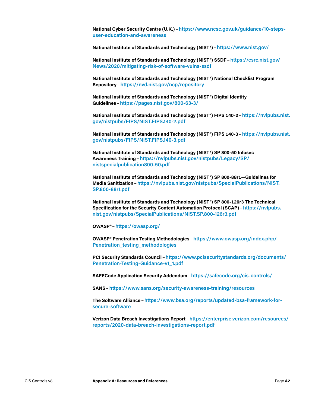**National Cyber Security Centre (U.K.)**–**[https://www.ncsc.gov.uk/guidance/10-steps](https://www.ncsc.gov.uk/guidance/10-steps-user-education-and-awareness)[user-education-and-awareness](https://www.ncsc.gov.uk/guidance/10-steps-user-education-and-awareness)**

**National Institute of Standards and Technology (NIST®)**–**<https://www.nist.gov/>**

**National Institute of Standards and Technology (NIST®) SSDF**–**[https://csrc.nist.gov/](https://csrc.nist.gov/News/2020/mitigating-risk-of-software-vulns-ssdf) [News/2020/mitigating-risk-of-software-vulns-ssdf](https://csrc.nist.gov/News/2020/mitigating-risk-of-software-vulns-ssdf)**

**National Institute of Standards and Technology (NIST®) National Checklist Program Repository** –**<https://nvd.nist.gov/ncp/repository>**

**National Institute of Standards and Technology (NIST®) Digital Identity Guidelines** –**<https://pages.nist.gov/800-63-3/>**

**National Institute of Standards and Technology (NIST®) FIPS 140-2**–**[https://nvlpubs.nist.](https://nvlpubs.nist.gov/nistpubs/FIPS/NIST.FIPS.140-2.pdf) [gov/nistpubs/FIPS/NIST.FIPS.140-2.pdf](https://nvlpubs.nist.gov/nistpubs/FIPS/NIST.FIPS.140-2.pdf)**

**National Institute of Standards and Technology (NIST®) FIPS 140-3**–**[https://nvlpubs.nist.](https://nvlpubs.nist.gov/nistpubs/FIPS/NIST.FIPS.140-3.pdf) [gov/nistpubs/FIPS/NIST.FIPS.140-3.pdf](https://nvlpubs.nist.gov/nistpubs/FIPS/NIST.FIPS.140-3.pdf)**

**National Institute of Standards and Technology (NIST®) SP 800-50 Infosec Awareness Training**–**[https://nvlpubs.nist.gov/nistpubs/Legacy/SP/](https://nvlpubs.nist.gov/nistpubs/Legacy/SP/nistspecialpublication800-50.pdf) [nistspecialpublication800-50.pdf](https://nvlpubs.nist.gov/nistpubs/Legacy/SP/nistspecialpublication800-50.pdf)**

**National Institute of Standards and Technology (NIST®) SP 800-88r1—Guidelines for Media Sanitization**–**[https://nvlpubs.nist.gov/nistpubs/SpecialPublications/NIST.](https://nvlpubs.nist.gov/nistpubs/SpecialPublications/NIST.SP.800-88r1.pdf) [SP.800-88r1.pdf](https://nvlpubs.nist.gov/nistpubs/SpecialPublications/NIST.SP.800-88r1.pdf)**

**National Institute of Standards and Technology (NIST®) SP 800-126r3 The Technical Specification for the Security Content Automation Protocol (SCAP)**–**[https://nvlpubs.](https://nvlpubs.nist.gov/nistpubs/SpecialPublications/NIST.SP.800-126r3.pdf) [nist.gov/nistpubs/SpecialPublications/NIST.SP.800-126r3.pdf](https://nvlpubs.nist.gov/nistpubs/SpecialPublications/NIST.SP.800-126r3.pdf)**

**OWASP®**–**<https://owasp.org/>**

**OWASP® Penetration Testing Methodologies** –**[https://www.owasp.org/index.php/](https://www.owasp.org/index.php/Penetration_testing_methodologies) [Penetration\\_testing\\_methodologies](https://www.owasp.org/index.php/Penetration_testing_methodologies)**

**PCI Security Standards Council**–**[https://www.pcisecuritystandards.org/documents/](https://www.pcisecuritystandards.org/documents/Penetration-Testing-Guidance-v1_1.pdf) [Penetration-Testing-Guidance-v1\\_1.pdf](https://www.pcisecuritystandards.org/documents/Penetration-Testing-Guidance-v1_1.pdf)**

**SAFECode Application Security Addendum**–**<https://safecode.org/cis-controls/>**

**SANS**–**<https://www.sans.org/security-awareness-training/resources>**

**The Software Alliance**–**[https://www.bsa.org/reports/updated-bsa-framework-for](https://www.bsa.org/reports/updated-bsa-framework-for-secure-software)[secure-software](https://www.bsa.org/reports/updated-bsa-framework-for-secure-software)**

**Verizon Data Breach Investigations Report**–**[https://enterprise.verizon.com/resources/](https://enterprise.verizon.com/resources/reports/2020-data-breach-investigations-report.pdf) [reports/2020-data-breach-investigations-report.pdf](https://enterprise.verizon.com/resources/reports/2020-data-breach-investigations-report.pdf)**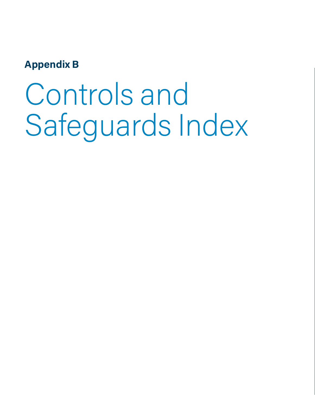### **Appendix B**

# Controls and Safeguards Index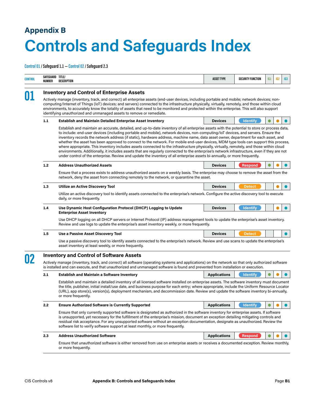## **Appendix B Controls and Safeguards Index**

**Control 01 / Safeguard 1.1 — Control 02 / Safeguard 2.3**

| <b>CONTROL</b> | SAFEGUARD TITLE/<br>NUMBER                                                                                                                                                                                                                                                             | DESCRIPTION                                                                                                                                                                                                                                                                                                                                                                                                                                                                                                                                                                                                                                                                                                                                                                                                                                                                                                                                                                                 | <b>ASSET TYPE</b>   | <b>SECURITY FUNCTION</b> | IG1 | 162 | 163       |  |  |  |  |  |  |
|----------------|----------------------------------------------------------------------------------------------------------------------------------------------------------------------------------------------------------------------------------------------------------------------------------------|---------------------------------------------------------------------------------------------------------------------------------------------------------------------------------------------------------------------------------------------------------------------------------------------------------------------------------------------------------------------------------------------------------------------------------------------------------------------------------------------------------------------------------------------------------------------------------------------------------------------------------------------------------------------------------------------------------------------------------------------------------------------------------------------------------------------------------------------------------------------------------------------------------------------------------------------------------------------------------------------|---------------------|--------------------------|-----|-----|-----------|--|--|--|--|--|--|
| 01             |                                                                                                                                                                                                                                                                                        | <b>Inventory and Control of Enterprise Assets</b><br>Actively manage (inventory, track, and correct) all enterprise assets (end-user devices, including portable and mobile; network devices; non-                                                                                                                                                                                                                                                                                                                                                                                                                                                                                                                                                                                                                                                                                                                                                                                          |                     |                          |     |     |           |  |  |  |  |  |  |
|                |                                                                                                                                                                                                                                                                                        | computing/Internet of Things (IoT) devices; and servers) connected to the infrastructure physically, virtually, remotely, and those within cloud<br>environments, to accurately know the totality of assets that need to be monitored and protected within the enterprise. This will also support<br>identifying unauthorized and unmanaged assets to remove or remediate.                                                                                                                                                                                                                                                                                                                                                                                                                                                                                                                                                                                                                  |                     |                          |     |     |           |  |  |  |  |  |  |
|                | 1.1                                                                                                                                                                                                                                                                                    | <b>Establish and Maintain Detailed Enterprise Asset Inventory</b>                                                                                                                                                                                                                                                                                                                                                                                                                                                                                                                                                                                                                                                                                                                                                                                                                                                                                                                           | <b>Devices</b>      | <b>Identify</b>          |     |     |           |  |  |  |  |  |  |
|                |                                                                                                                                                                                                                                                                                        | Establish and maintain an accurate, detailed, and up-to-date inventory of all enterprise assets with the potential to store or process data,<br>to include: end-user devices (including portable and mobile), network devices, non-computing/loT devices, and servers. Ensure the<br>inventory records the network address (if static), hardware address, machine name, data asset owner, department for each asset, and<br>whether the asset has been approved to connect to the network. For mobile end-user devices, MDM type tools can support this process,<br>where appropriate. This inventory includes assets connected to the infrastructure physically, virtually, remotely, and those within cloud<br>environments. Additionally, it includes assets that are regularly connected to the enterprise's network infrastructure, even if they are not<br>under control of the enterprise. Review and update the inventory of all enterprise assets bi-annually, or more frequently. |                     |                          |     |     |           |  |  |  |  |  |  |
|                | $1.2$                                                                                                                                                                                                                                                                                  | <b>Address Unauthorized Assets</b>                                                                                                                                                                                                                                                                                                                                                                                                                                                                                                                                                                                                                                                                                                                                                                                                                                                                                                                                                          | <b>Devices</b>      | <b>Respond</b>           |     |     |           |  |  |  |  |  |  |
|                |                                                                                                                                                                                                                                                                                        | Ensure that a process exists to address unauthorized assets on a weekly basis. The enterprise may choose to remove the asset from the<br>network, deny the asset from connecting remotely to the network, or quarantine the asset.                                                                                                                                                                                                                                                                                                                                                                                                                                                                                                                                                                                                                                                                                                                                                          |                     |                          |     |     |           |  |  |  |  |  |  |
|                | 1.3                                                                                                                                                                                                                                                                                    | Utilize an Active Discovery Tool                                                                                                                                                                                                                                                                                                                                                                                                                                                                                                                                                                                                                                                                                                                                                                                                                                                                                                                                                            | <b>Devices</b>      | <b>Detect</b>            |     |     |           |  |  |  |  |  |  |
|                |                                                                                                                                                                                                                                                                                        | Utilize an active discovery tool to identify assets connected to the enterprise's network. Configure the active discovery tool to execute<br>daily, or more frequently.                                                                                                                                                                                                                                                                                                                                                                                                                                                                                                                                                                                                                                                                                                                                                                                                                     |                     |                          |     |     |           |  |  |  |  |  |  |
|                | 1.4                                                                                                                                                                                                                                                                                    | Use Dynamic Host Configuration Protocol (DHCP) Logging to Update<br><b>Enterprise Asset Inventory</b>                                                                                                                                                                                                                                                                                                                                                                                                                                                                                                                                                                                                                                                                                                                                                                                                                                                                                       | <b>Devices</b>      | <b>Identify</b>          |     |     |           |  |  |  |  |  |  |
|                |                                                                                                                                                                                                                                                                                        | Use DHCP logging on all DHCP servers or Internet Protocol (IP) address management tools to update the enterprise's asset inventory.<br>Review and use logs to update the enterprise's asset inventory weekly, or more frequently.                                                                                                                                                                                                                                                                                                                                                                                                                                                                                                                                                                                                                                                                                                                                                           |                     |                          |     |     |           |  |  |  |  |  |  |
|                | 1.5                                                                                                                                                                                                                                                                                    | Use a Passive Asset Discovery Tool                                                                                                                                                                                                                                                                                                                                                                                                                                                                                                                                                                                                                                                                                                                                                                                                                                                                                                                                                          | <b>Devices</b>      | <b>Detect</b>            |     |     | $\bullet$ |  |  |  |  |  |  |
|                |                                                                                                                                                                                                                                                                                        | Use a passive discovery tool to identify assets connected to the enterprise's network. Review and use scans to update the enterprise's<br>asset inventory at least weekly, or more frequently.                                                                                                                                                                                                                                                                                                                                                                                                                                                                                                                                                                                                                                                                                                                                                                                              |                     |                          |     |     |           |  |  |  |  |  |  |
|                |                                                                                                                                                                                                                                                                                        | <b>Inventory and Control of Software Assets</b>                                                                                                                                                                                                                                                                                                                                                                                                                                                                                                                                                                                                                                                                                                                                                                                                                                                                                                                                             |                     |                          |     |     |           |  |  |  |  |  |  |
| 02             | Actively manage (inventory, track, and correct) all software (operating systems and applications) on the network so that only authorized software<br>is installed and can execute, and that unauthorized and unmanaged software is found and prevented from installation or execution. |                                                                                                                                                                                                                                                                                                                                                                                                                                                                                                                                                                                                                                                                                                                                                                                                                                                                                                                                                                                             |                     |                          |     |     |           |  |  |  |  |  |  |
|                | 2.1                                                                                                                                                                                                                                                                                    | <b>Establish and Maintain a Software Inventory</b>                                                                                                                                                                                                                                                                                                                                                                                                                                                                                                                                                                                                                                                                                                                                                                                                                                                                                                                                          | <b>Applications</b> | <b>Identify</b>          |     |     |           |  |  |  |  |  |  |
|                |                                                                                                                                                                                                                                                                                        | Establish and maintain a detailed inventory of all licensed software installed on enterprise assets. The software inventory must document<br>the title, publisher, initial install/use date, and business purpose for each entry; where appropriate, include the Uniform Resource Locator<br>(URL), app store(s), version(s), deployment mechanism, and decommission date. Review and update the software inventory bi-annually,<br>or more frequently.                                                                                                                                                                                                                                                                                                                                                                                                                                                                                                                                     |                     |                          |     |     |           |  |  |  |  |  |  |
|                | 2.2                                                                                                                                                                                                                                                                                    | <b>Ensure Authorized Software is Currently Supported</b>                                                                                                                                                                                                                                                                                                                                                                                                                                                                                                                                                                                                                                                                                                                                                                                                                                                                                                                                    | <b>Applications</b> | <b>Identify</b>          |     |     |           |  |  |  |  |  |  |
|                |                                                                                                                                                                                                                                                                                        | Ensure that only currently supported software is designated as authorized in the software inventory for enterprise assets. If software<br>is unsupported, yet necessary for the fulfillment of the enterprise's mission, document an exception detailing mitigating controls and<br>residual risk acceptance. For any unsupported software without an exception documentation, designate as unauthorized. Review the<br>software list to verify software support at least monthly, or more frequently.                                                                                                                                                                                                                                                                                                                                                                                                                                                                                      |                     |                          |     |     |           |  |  |  |  |  |  |
|                | 2.3                                                                                                                                                                                                                                                                                    | <b>Address Unauthorized Software</b>                                                                                                                                                                                                                                                                                                                                                                                                                                                                                                                                                                                                                                                                                                                                                                                                                                                                                                                                                        | <b>Applications</b> | Respond                  |     |     |           |  |  |  |  |  |  |
|                |                                                                                                                                                                                                                                                                                        | Ensure that unauthorized software is either removed from use on enterprise assets or receives a documented exception. Review monthly,<br>or more frequently.                                                                                                                                                                                                                                                                                                                                                                                                                                                                                                                                                                                                                                                                                                                                                                                                                                |                     |                          |     |     |           |  |  |  |  |  |  |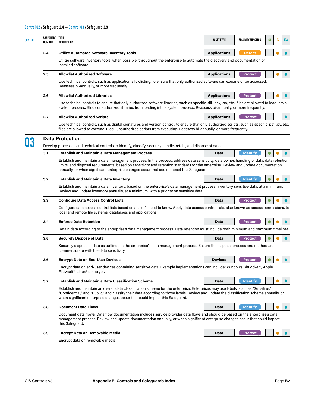| CONTROL | SAFEGUARD TITLE/<br>NUMBER | DESCRIPTION                                                                                                                                                                                                                                                                                                                                                                 | <b>ASSET TYPE</b>   | <b>SECURITY FUNCTION</b> | IG1 | 162 | IG <sub>3</sub> |
|---------|----------------------------|-----------------------------------------------------------------------------------------------------------------------------------------------------------------------------------------------------------------------------------------------------------------------------------------------------------------------------------------------------------------------------|---------------------|--------------------------|-----|-----|-----------------|
|         | 2.4                        | Utilize Automated Software Inventory Tools                                                                                                                                                                                                                                                                                                                                  | <b>Applications</b> | <b>Detect</b>            |     |     |                 |
|         |                            | Utilize software inventory tools, when possible, throughout the enterprise to automate the discovery and documentation of<br>installed software.                                                                                                                                                                                                                            |                     |                          |     |     |                 |
|         | 2.5                        | <b>Allowlist Authorized Software</b>                                                                                                                                                                                                                                                                                                                                        | <b>Applications</b> | <b>Protect</b>           |     |     |                 |
|         |                            | Use technical controls, such as application allowlisting, to ensure that only authorized software can execute or be accessed.<br>Reassess bi-annually, or more frequently.                                                                                                                                                                                                  |                     |                          |     |     |                 |
|         | 2.6                        | <b>Allowlist Authorized Libraries</b>                                                                                                                                                                                                                                                                                                                                       | <b>Applications</b> | <b>Protect</b>           |     |     |                 |
|         |                            | Use technical controls to ensure that only authorized software libraries, such as specific .dll, .ocx, .so, etc., files are allowed to load into a<br>system process. Block unauthorized libraries from loading into a system process. Reassess bi-annually, or more frequently.                                                                                            |                     |                          |     |     |                 |
|         | 2.7                        | <b>Allowlist Authorized Scripts</b>                                                                                                                                                                                                                                                                                                                                         | <b>Applications</b> | <b>Protect</b>           |     |     |                 |
|         |                            | Use technical controls, such as digital signatures and version control, to ensure that only authorized scripts, such as specific .ps1, .py, etc.,<br>files are allowed to execute. Block unauthorized scripts from executing. Reassess bi-annually, or more frequently.                                                                                                     |                     |                          |     |     |                 |
| 03      |                            | <b>Data Protection</b><br>Develop processes and technical controls to identify, classify, securely handle, retain, and dispose of data.                                                                                                                                                                                                                                     |                     |                          |     |     |                 |
|         | 3.1                        | <b>Establish and Maintain a Data Management Process</b>                                                                                                                                                                                                                                                                                                                     | Data                | <b>Identify</b>          |     |     |                 |
|         |                            | Establish and maintain a data management process. In the process, address data sensitivity, data owner, handling of data, data retention<br>limits, and disposal requirements, based on sensitivity and retention standards for the enterprise. Review and update documentation<br>annually, or when significant enterprise changes occur that could impact this Safeguard. |                     |                          |     |     |                 |
|         | 3.2                        | <b>Establish and Maintain a Data Inventory</b>                                                                                                                                                                                                                                                                                                                              | <b>Data</b>         | <b>Identify</b>          |     |     |                 |
|         |                            | Establish and maintain a data inventory, based on the enterprise's data management process. Inventory sensitive data, at a minimum.<br>Review and update inventory annually, at a minimum, with a priority on sensitive data.                                                                                                                                               |                     |                          |     |     |                 |
|         | 3.3                        | <b>Configure Data Access Control Lists</b>                                                                                                                                                                                                                                                                                                                                  | <b>Data</b>         | <b>Protect</b>           |     |     |                 |
|         |                            | Configure data access control lists based on a user's need to know. Apply data access control lists, also known as access permissions, to<br>local and remote file systems, databases, and applications.                                                                                                                                                                    |                     |                          |     |     |                 |
|         | 3.4                        | <b>Enforce Data Retention</b>                                                                                                                                                                                                                                                                                                                                               | Data                | <b>Protect</b>           |     |     |                 |
|         |                            | Retain data according to the enterprise's data management process. Data retention must include both minimum and maximum timelines.                                                                                                                                                                                                                                          |                     |                          |     |     |                 |
|         | 3.5                        | <b>Securely Dispose of Data</b>                                                                                                                                                                                                                                                                                                                                             | Data                | <b>Protect</b>           |     |     |                 |
|         |                            | Securely dispose of data as outlined in the enterprise's data management process. Ensure the disposal process and method are<br>commensurate with the data sensitivity.                                                                                                                                                                                                     |                     |                          |     |     |                 |
|         | 3.6                        | <b>Encrypt Data on End-User Devices</b>                                                                                                                                                                                                                                                                                                                                     | <b>Devices</b>      | <b>Protect</b>           |     |     |                 |
|         |                            | Encrypt data on end-user devices containing sensitive data. Example implementations can include: Windows BitLocker <sup>®</sup> , Apple<br>FileVault <sup>®</sup> , Linux <sup>®</sup> dm-crypt.                                                                                                                                                                            |                     |                          |     |     |                 |
|         | 3.7                        | <b>Establish and Maintain a Data Classification Scheme</b>                                                                                                                                                                                                                                                                                                                  | Data                | <b>Identify</b>          |     |     |                 |
|         |                            | Establish and maintain an overall data classification scheme for the enterprise. Enterprises may use labels, such as "Sensitive,"<br>"Confidential," and "Public," and classify their data according to those labels. Review and update the classification scheme annually, or<br>when significant enterprise changes occur that could impact this Safeguard.               |                     |                          |     |     |                 |
|         | 3.8                        | <b>Document Data Flows</b>                                                                                                                                                                                                                                                                                                                                                  | Data                | <b>Identify</b>          |     |     |                 |
|         |                            | Document data flows. Data flow documentation includes service provider data flows and should be based on the enterprise's data<br>management process. Review and update documentation annually, or when significant enterprise changes occur that could impact<br>this Safeguard.                                                                                           |                     |                          |     |     |                 |
|         | 3.9                        | Encrypt Data on Removable Media                                                                                                                                                                                                                                                                                                                                             | Data                | <b>Protect</b>           |     |     |                 |
|         |                            |                                                                                                                                                                                                                                                                                                                                                                             |                     |                          |     |     |                 |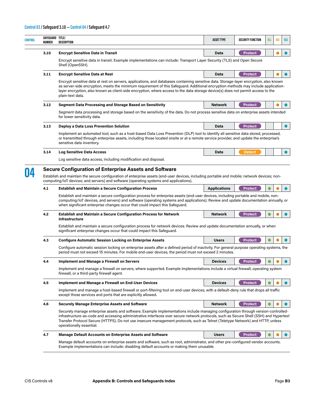#### **Control 03 / Safeguard 3.10 — Control 04 / Safeguard 4.7**

| <b>CONTROL</b> | SAFEGUARD TITLE/<br>NUMBER | <b>DESCRIPTION</b>                                                                                                                                                                                                                                                                                                                                                                                                                         | <b>ASSET TYPE</b>   | <b>SECURITY FUNCTION</b> | <b>IG1</b> | IG <sub>2</sub> | 163       |
|----------------|----------------------------|--------------------------------------------------------------------------------------------------------------------------------------------------------------------------------------------------------------------------------------------------------------------------------------------------------------------------------------------------------------------------------------------------------------------------------------------|---------------------|--------------------------|------------|-----------------|-----------|
|                | 3.10                       | <b>Encrypt Sensitive Data in Transit</b>                                                                                                                                                                                                                                                                                                                                                                                                   | Data                | Protect                  |            |                 |           |
|                |                            | Encrypt sensitive data in transit. Example implementations can include: Transport Layer Security (TLS) and Open Secure<br>Shell (OpenSSH).                                                                                                                                                                                                                                                                                                 |                     |                          |            |                 |           |
|                | 3.11                       | <b>Encrypt Sensitive Data at Rest</b>                                                                                                                                                                                                                                                                                                                                                                                                      | Data                | <b>Protect</b>           |            |                 |           |
|                |                            | Encrypt sensitive data at rest on servers, applications, and databases containing sensitive data. Storage-layer encryption, also known<br>as server-side encryption, meets the minimum requirement of this Safeguard. Additional encryption methods may include application-<br>layer encryption, also known as client-side encryption, where access to the data storage device(s) does not permit access to the<br>plain-text data.       |                     |                          |            |                 |           |
|                | 3.12                       | <b>Segment Data Processing and Storage Based on Sensitivity</b>                                                                                                                                                                                                                                                                                                                                                                            | <b>Network</b>      | <b>Protect</b>           |            |                 |           |
|                |                            | Segment data processing and storage based on the sensitivity of the data. Do not process sensitive data on enterprise assets intended<br>for lower sensitivity data.                                                                                                                                                                                                                                                                       |                     |                          |            |                 |           |
|                | 3.13                       | Deploy a Data Loss Prevention Solution                                                                                                                                                                                                                                                                                                                                                                                                     | Data                | <b>Protect</b>           |            |                 | $\bullet$ |
|                |                            | Implement an automated tool, such as a host-based Data Loss Prevention (DLP) tool to identify all sensitive data stored, processed,<br>or transmitted through enterprise assets, including those located onsite or at a remote service provider, and update the enterprise's<br>sensitive data inventory.                                                                                                                                  |                     |                          |            |                 |           |
|                | 3.14                       | <b>Log Sensitive Data Access</b>                                                                                                                                                                                                                                                                                                                                                                                                           | Data                | <b>Detect</b>            |            |                 |           |
|                |                            | Log sensitive data access, including modification and disposal.                                                                                                                                                                                                                                                                                                                                                                            |                     |                          |            |                 |           |
|                | 4.1                        | <b>Establish and Maintain a Secure Configuration Process</b><br>Establish and maintain a secure configuration process for enterprise assets (end-user devices, including portable and mobile, non-<br>computing/loT devices, and servers) and software (operating systems and applications). Review and update documentation annually, or<br>when significant enterprise changes occur that could impact this Safeguard.                   | <b>Applications</b> | <b>Protect</b>           |            |                 |           |
|                | 4.2                        | <b>Establish and Maintain a Secure Configuration Process for Network</b><br>Infrastructure                                                                                                                                                                                                                                                                                                                                                 | Network             | <b>Protect</b>           |            |                 |           |
|                |                            | Establish and maintain a secure configuration process for network devices. Review and update documentation annually, or when<br>significant enterprise changes occur that could impact this Safeguard.                                                                                                                                                                                                                                     |                     |                          |            |                 |           |
|                | 4.3                        | <b>Configure Automatic Session Locking on Enterprise Assets</b>                                                                                                                                                                                                                                                                                                                                                                            | <b>Users</b>        | <b>Protect</b>           |            |                 |           |
|                |                            | Configure automatic session locking on enterprise assets after a defined period of inactivity. For general purpose operating systems, the<br>period must not exceed 15 minutes. For mobile end-user devices, the period must not exceed 2 minutes.                                                                                                                                                                                         |                     |                          |            |                 |           |
|                | 4.4                        | <b>Implement and Manage a Firewall on Servers</b>                                                                                                                                                                                                                                                                                                                                                                                          | <b>Devices</b>      | <b>Protect</b>           |            |                 |           |
|                |                            | Implement and manage a firewall on servers, where supported. Example implementations include a virtual firewall, operating system<br>firewall, or a third-party firewall agent.                                                                                                                                                                                                                                                            |                     |                          |            |                 |           |
|                | 4.5                        | <b>Implement and Manage a Firewall on End-User Devices</b>                                                                                                                                                                                                                                                                                                                                                                                 | <b>Devices</b>      | <b>Protect</b>           |            |                 |           |
|                |                            | Implement and manage a host-based firewall or port-filtering tool on end-user devices, with a default-deny rule that drops all traffic<br>except those services and ports that are explicitly allowed.                                                                                                                                                                                                                                     |                     |                          |            |                 |           |
|                | 4.6                        | <b>Securely Manage Enterprise Assets and Software</b>                                                                                                                                                                                                                                                                                                                                                                                      | Network             | <b>Protect</b>           |            |                 |           |
|                |                            | Securely manage enterprise assets and software. Example implementations include managing configuration through version-controlled-<br>infrastructure-as-code and accessing administrative interfaces over secure network protocols, such as Secure Shell (SSH) and Hypertext<br>Transfer Protocol Secure (HTTPS). Do not use insecure management protocols, such as Telnet (Teletype Network) and HTTP, unless<br>operationally essential. |                     |                          |            |                 |           |
|                | 4.7                        | <b>Manage Default Accounts on Enterprise Assets and Software</b>                                                                                                                                                                                                                                                                                                                                                                           | <b>Users</b>        | <b>Protect</b>           |            |                 |           |
|                |                            | Manage default accounts on enterprise assets and software, such as root, administrator, and other pre-configured vendor accounts.<br>Example implementations can include: disabling default accounts or making them unusable.                                                                                                                                                                                                              |                     |                          |            |                 |           |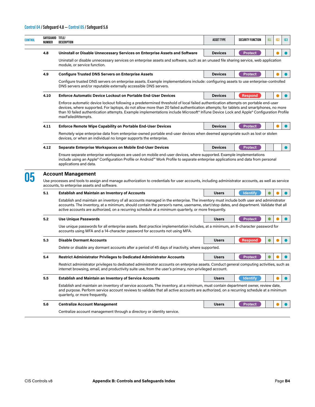|      | SAFEGUARD TITLE/<br>DESCRIPTION                                                                                                                                                                                                                                                                                                                                                                                                                  | <b>ASSET TYPE</b> | <b>SECURITY FUNCTION</b> | IG1 | IG <sub>2</sub> |
|------|--------------------------------------------------------------------------------------------------------------------------------------------------------------------------------------------------------------------------------------------------------------------------------------------------------------------------------------------------------------------------------------------------------------------------------------------------|-------------------|--------------------------|-----|-----------------|
| 4.8  | Uninstall or Disable Unnecessary Services on Enterprise Assets and Software                                                                                                                                                                                                                                                                                                                                                                      | <b>Devices</b>    | <b>Protect</b>           |     |                 |
|      | Uninstall or disable unnecessary services on enterprise assets and software, such as an unused file sharing service, web application<br>module, or service function.                                                                                                                                                                                                                                                                             |                   |                          |     |                 |
| 4.9  | <b>Configure Trusted DNS Servers on Enterprise Assets</b>                                                                                                                                                                                                                                                                                                                                                                                        | <b>Devices</b>    | <b>Protect</b>           |     |                 |
|      | Configure trusted DNS servers on enterprise assets. Example implementations include: configuring assets to use enterprise-controlled<br>DNS servers and/or reputable externally accessible DNS servers.                                                                                                                                                                                                                                          |                   |                          |     |                 |
| 4.10 | <b>Enforce Automatic Device Lockout on Portable End-User Devices</b>                                                                                                                                                                                                                                                                                                                                                                             | <b>Devices</b>    | <b>Respond</b>           |     |                 |
|      | Enforce automatic device lockout following a predetermined threshold of local failed authentication attempts on portable end-user<br>devices, where supported. For laptops, do not allow more than 20 failed authentication attempts; for tablets and smartphones, no more<br>than 10 failed authentication attempts. Example implementations include Microsoft® InTune Device Lock and Apple® Configuration Profile<br>maxFailedAttempts.       |                   |                          |     |                 |
| 4.11 | <b>Enforce Remote Wipe Capability on Portable End-User Devices</b>                                                                                                                                                                                                                                                                                                                                                                               | <b>Devices</b>    | <b>Protect</b>           |     |                 |
|      | Remotely wipe enterprise data from enterprise-owned portable end-user devices when deemed appropriate such as lost or stolen<br>devices, or when an individual no longer supports the enterprise.                                                                                                                                                                                                                                                |                   |                          |     |                 |
| 4.12 | Separate Enterprise Workspaces on Mobile End-User Devices                                                                                                                                                                                                                                                                                                                                                                                        | <b>Devices</b>    | <b>Protect</b>           |     |                 |
|      | Ensure separate enterprise workspaces are used on mobile end-user devices, where supported. Example implementations<br>include using an Apple® Configuration Profile or Android™ Work Profile to separate enterprise applications and data from personal<br>applications and data.                                                                                                                                                               |                   |                          |     |                 |
|      | <b>Account Management</b>                                                                                                                                                                                                                                                                                                                                                                                                                        |                   |                          |     |                 |
|      | Use processes and tools to assign and manage authorization to credentials for user accounts, including administrator accounts, as well as service<br>accounts, to enterprise assets and software.                                                                                                                                                                                                                                                |                   |                          |     |                 |
| 5.1  | <b>Establish and Maintain an Inventory of Accounts</b><br>Establish and maintain an inventory of all accounts managed in the enterprise. The inventory must include both user and administrator<br>accounts. The inventory, at a minimum, should contain the person's name, username, start/stop dates, and department. Validate that all<br>active accounts are authorized, on a recurring schedule at a minimum quarterly, or more frequently. | <b>Users</b>      | <b>Identify</b>          |     |                 |
| 5.2  | <b>Use Unique Passwords</b>                                                                                                                                                                                                                                                                                                                                                                                                                      | <b>Users</b>      | <b>Protect</b>           |     |                 |
|      | Use unique passwords for all enterprise assets. Best practice implementation includes, at a minimum, an 8-character password for<br>accounts using MFA and a 14-character password for accounts not using MFA.                                                                                                                                                                                                                                   |                   |                          |     |                 |
| 5.3  | <b>Disable Dormant Accounts</b>                                                                                                                                                                                                                                                                                                                                                                                                                  | <b>Users</b>      | <b>Respond</b>           |     |                 |
|      | Delete or disable any dormant accounts after a period of 45 days of inactivity, where supported.                                                                                                                                                                                                                                                                                                                                                 |                   |                          |     |                 |
| 5.4  | <b>Restrict Administrator Privileges to Dedicated Administrator Accounts</b>                                                                                                                                                                                                                                                                                                                                                                     | <b>Users</b>      | <b>Protect</b>           |     |                 |
|      | Restrict administrator privileges to dedicated administrator accounts on enterprise assets. Conduct general computing activities, such as<br>internet browsing, email, and productivity suite use, from the user's primary, non-privileged account.                                                                                                                                                                                              |                   |                          |     |                 |
| 5.5  | <b>Establish and Maintain an Inventory of Service Accounts</b>                                                                                                                                                                                                                                                                                                                                                                                   | <b>Users</b>      | <b>Identify</b>          |     |                 |
|      | Establish and maintain an inventory of service accounts. The inventory, at a minimum, must contain department owner, review date,<br>and purpose. Perform service account reviews to validate that all active accounts are authorized, on a recurring schedule at a minimum<br>quarterly, or more frequently.                                                                                                                                    |                   |                          |     |                 |
| 5.6  | <b>Centralize Account Management</b>                                                                                                                                                                                                                                                                                                                                                                                                             | <b>Users</b>      | <b>Protect</b>           |     |                 |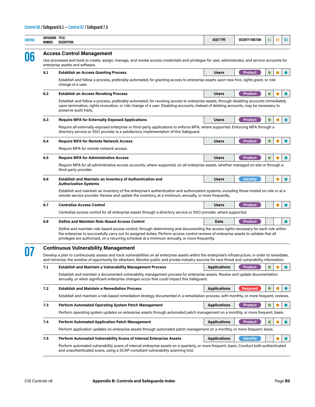| <b>CONTROL</b> | SAFEGUARD TITLE/<br>NUMBER | DESCRIPTION                                                                                                                                                                                                                                                                                                                                                                    | <b>ASSET TYPE</b>   | SECURITY FUNCTION | IG1 | IG <sub>2</sub> | 163       |
|----------------|----------------------------|--------------------------------------------------------------------------------------------------------------------------------------------------------------------------------------------------------------------------------------------------------------------------------------------------------------------------------------------------------------------------------|---------------------|-------------------|-----|-----------------|-----------|
|                |                            | <b>Access Control Management</b>                                                                                                                                                                                                                                                                                                                                               |                     |                   |     |                 |           |
| 06             |                            | Use processes and tools to create, assign, manage, and revoke access credentials and privileges for user, administrator, and service accounts for<br>enterprise assets and software.                                                                                                                                                                                           |                     |                   |     |                 |           |
|                | 6.1                        | <b>Establish an Access Granting Process</b>                                                                                                                                                                                                                                                                                                                                    | <b>Users</b>        | <b>Protect</b>    |     |                 | $\bullet$ |
|                |                            | Establish and follow a process, preferably automated, for granting access to enterprise assets upon new hire, rights grant, or role<br>change of a user.                                                                                                                                                                                                                       |                     |                   |     |                 |           |
|                | 6.2                        | <b>Establish an Access Revoking Process</b>                                                                                                                                                                                                                                                                                                                                    | <b>Users</b>        | <b>Protect</b>    |     |                 |           |
|                |                            | Establish and follow a process, preferably automated, for revoking access to enterprise assets, through disabling accounts immediately<br>upon termination, rights revocation, or role change of a user. Disabling accounts, instead of deleting accounts, may be necessary to<br>preserve audit trails.                                                                       |                     |                   |     |                 |           |
|                | 6.3                        | <b>Require MFA for Externally-Exposed Applications</b>                                                                                                                                                                                                                                                                                                                         | <b>Users</b>        | Protect           |     |                 |           |
|                |                            | Require all externally-exposed enterprise or third-party applications to enforce MFA, where supported. Enforcing MFA through a<br>directory service or SSO provider is a satisfactory implementation of this Safeguard.                                                                                                                                                        |                     |                   |     |                 |           |
|                | 6.4                        | <b>Require MFA for Remote Network Access</b>                                                                                                                                                                                                                                                                                                                                   | <b>Users</b>        | Protect           | 0   |                 | $\bullet$ |
|                |                            | Require MFA for remote network access.                                                                                                                                                                                                                                                                                                                                         |                     |                   |     |                 |           |
|                | 6.5                        | <b>Require MFA for Administrative Access</b>                                                                                                                                                                                                                                                                                                                                   | <b>Users</b>        | <b>Protect</b>    |     |                 |           |
|                |                            | Require MFA for all administrative access accounts, where supported, on all enterprise assets, whether managed on-site or through a<br>third-party provider.                                                                                                                                                                                                                   |                     |                   |     |                 |           |
|                | 6.6                        | Establish and Maintain an Inventory of Authentication and<br><b>Authorization Systems</b>                                                                                                                                                                                                                                                                                      | <b>Users</b>        | <b>Identify</b>   |     |                 |           |
|                |                            | Establish and maintain an inventory of the enterprise's authentication and authorization systems, including those hosted on-site or at a<br>remote service provider. Review and update the inventory, at a minimum, annually, or more frequently.                                                                                                                              |                     |                   |     |                 |           |
|                | 6.7                        | <b>Centralize Access Control</b>                                                                                                                                                                                                                                                                                                                                               | <b>Users</b>        | <b>Protect</b>    |     |                 |           |
|                |                            | Centralize access control for all enterprise assets through a directory service or SSO provider, where supported.                                                                                                                                                                                                                                                              |                     |                   |     |                 |           |
|                | 6.8                        | Define and Maintain Role-Based Access Control                                                                                                                                                                                                                                                                                                                                  | Data                | <b>Protect</b>    |     |                 |           |
|                |                            | Define and maintain role-based access control, through determining and documenting the access rights necessary for each role within<br>the enterprise to successfully carry out its assigned duties. Perform access control reviews of enterprise assets to validate that all<br>privileges are authorized, on a recurring schedule at a minimum annually, or more frequently. |                     |                   |     |                 |           |
|                |                            | <b>Continuous Vulnerability Management</b>                                                                                                                                                                                                                                                                                                                                     |                     |                   |     |                 |           |
|                |                            | Develop a plan to continuously assess and track vulnerabilities on all enterprise assets within the enterprise's infrastructure, in order to remediate,<br>and minimize, the window of opportunity for attackers. Monitor public and private industry sources for new threat and vulnerability information.                                                                    |                     |                   |     |                 |           |
|                | 7.1                        | <b>Establish and Maintain a Vulnerability Management Process</b>                                                                                                                                                                                                                                                                                                               | <b>Applications</b> | <b>Protect</b>    |     |                 |           |
|                |                            | Establish and maintain a documented vulnerability management process for enterprise assets. Review and update documentation<br>annually, or when significant enterprise changes occur that could impact this Safeguard.                                                                                                                                                        |                     |                   |     |                 |           |
|                | 7.2                        | <b>Establish and Maintain a Remediation Process</b>                                                                                                                                                                                                                                                                                                                            | <b>Applications</b> | <b>Respond</b>    |     |                 |           |
|                |                            | Establish and maintain a risk-based remediation strategy documented in a remediation process, with monthly, or more frequent, reviews.                                                                                                                                                                                                                                         |                     |                   |     |                 |           |
|                | 7.3                        | <b>Perform Automated Operating System Patch Management</b>                                                                                                                                                                                                                                                                                                                     | <b>Applications</b> | <b>Protect</b>    |     |                 |           |
|                |                            | Perform operating system updates on enterprise assets through automated patch management on a monthly, or more frequent, basis.                                                                                                                                                                                                                                                |                     |                   |     |                 |           |
|                | 7.4                        | <b>Perform Automated Application Patch Management</b>                                                                                                                                                                                                                                                                                                                          | <b>Applications</b> | <b>Protect</b>    |     |                 |           |
|                |                            | Perform application updates on enterprise assets through automated patch management on a monthly, or more frequent, basis.                                                                                                                                                                                                                                                     |                     |                   |     |                 |           |
|                | 7.5                        | <b>Perform Automated Vulnerability Scans of Internal Enterprise Assets</b>                                                                                                                                                                                                                                                                                                     | <b>Applications</b> | <b>Identify</b>   |     |                 |           |
|                |                            | Perform automated vulnerability scans of internal enterprise assets on a quarterly, or more frequent, basis. Conduct both authenticated<br>and unauthenticated scans, using a SCAP-compliant vulnerability scanning tool.                                                                                                                                                      |                     |                   |     |                 |           |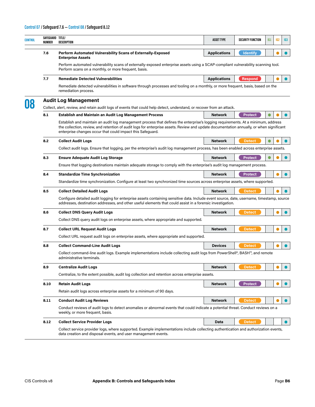| SAFEGUARD TITLE/<br>NUMBER | DESCRIPTION                                                                                                                                                                                                                                                                                                                                | <b>ASSET TYPE</b>   | <b>SECURITY FUNCTION</b> | IG1 | IG <sub>2</sub> | 163       |
|----------------------------|--------------------------------------------------------------------------------------------------------------------------------------------------------------------------------------------------------------------------------------------------------------------------------------------------------------------------------------------|---------------------|--------------------------|-----|-----------------|-----------|
| 7.6                        | Perform Automated Vulnerability Scans of Externally-Exposed<br><b>Enterprise Assets</b>                                                                                                                                                                                                                                                    | <b>Applications</b> | <b>Identify</b>          |     |                 |           |
|                            | Perform automated vulnerability scans of externally-exposed enterprise assets using a SCAP-compliant vulnerability scanning tool.<br>Perform scans on a monthly, or more frequent, basis.                                                                                                                                                  |                     |                          |     |                 |           |
| 7.7                        | <b>Remediate Detected Vulnerabilities</b>                                                                                                                                                                                                                                                                                                  | <b>Applications</b> | Respond                  |     |                 | $\bullet$ |
|                            | Remediate detected vulnerabilities in software through processes and tooling on a monthly, or more frequent, basis, based on the<br>remediation process.                                                                                                                                                                                   |                     |                          |     |                 |           |
|                            | <b>Audit Log Management</b>                                                                                                                                                                                                                                                                                                                |                     |                          |     |                 |           |
|                            | Collect, alert, review, and retain audit logs of events that could help detect, understand, or recover from an attack.                                                                                                                                                                                                                     |                     |                          |     |                 |           |
| 8.1                        | <b>Establish and Maintain an Audit Log Management Process</b>                                                                                                                                                                                                                                                                              | Network             | <b>Protect</b>           |     |                 |           |
|                            | Establish and maintain an audit log management process that defines the enterprise's logging requirements. At a minimum, address<br>the collection, review, and retention of audit logs for enterprise assets. Review and update documentation annually, or when significant<br>enterprise changes occur that could impact this Safeguard. |                     |                          |     |                 |           |
| 8.2                        | <b>Collect Audit Logs</b>                                                                                                                                                                                                                                                                                                                  | <b>Network</b>      | <b>Detect</b>            |     |                 |           |
|                            | Collect audit logs. Ensure that logging, per the enterprise's audit log management process, has been enabled across enterprise assets.                                                                                                                                                                                                     |                     |                          |     |                 |           |
| 8.3                        | <b>Ensure Adequate Audit Log Storage</b>                                                                                                                                                                                                                                                                                                   | <b>Network</b>      | <b>Protect</b>           |     |                 |           |
|                            | Ensure that logging destinations maintain adequate storage to comply with the enterprise's audit log management process.                                                                                                                                                                                                                   |                     |                          |     |                 |           |
| 8.4                        | <b>Standardize Time Synchronization</b>                                                                                                                                                                                                                                                                                                    | <b>Network</b>      | <b>Protect</b>           |     |                 | $\bullet$ |
|                            | Standardize time synchronization. Configure at least two synchronized time sources across enterprise assets, where supported.                                                                                                                                                                                                              |                     |                          |     |                 |           |
| 8.5                        | <b>Collect Detailed Audit Logs</b>                                                                                                                                                                                                                                                                                                         | <b>Network</b>      | <b>Detect</b>            |     |                 |           |
|                            | Configure detailed audit logging for enterprise assets containing sensitive data. Include event source, date, username, timestamp, source<br>addresses, destination addresses, and other useful elements that could assist in a forensic investigation.                                                                                    |                     |                          |     |                 |           |
| 8.6                        | <b>Collect DNS Query Audit Logs</b>                                                                                                                                                                                                                                                                                                        | <b>Network</b>      | <b>Detect</b>            |     |                 |           |
|                            | Collect DNS query audit logs on enterprise assets, where appropriate and supported.                                                                                                                                                                                                                                                        |                     |                          |     |                 |           |
| 8.7                        | <b>Collect URL Request Audit Logs</b>                                                                                                                                                                                                                                                                                                      | <b>Network</b>      | <b>Detect</b>            |     |                 |           |
|                            | Collect URL request audit logs on enterprise assets, where appropriate and supported.                                                                                                                                                                                                                                                      |                     |                          |     |                 |           |
| 8.8                        | <b>Collect Command-Line Audit Logs</b>                                                                                                                                                                                                                                                                                                     | <b>Devices</b>      | <b>Detect</b>            |     |                 |           |
|                            | Collect command-line audit logs. Example implementations include collecting audit logs from PowerShell®, BASH™, and remote<br>administrative terminals.                                                                                                                                                                                    |                     |                          |     |                 |           |
| 8.9                        | <b>Centralize Audit Logs</b>                                                                                                                                                                                                                                                                                                               | Network             | <b>Detect</b>            |     |                 |           |
|                            | Centralize, to the extent possible, audit log collection and retention across enterprise assets.                                                                                                                                                                                                                                           |                     |                          |     |                 |           |
| 8.10                       | <b>Retain Audit Logs</b>                                                                                                                                                                                                                                                                                                                   | Network             | <b>Protect</b>           |     |                 | $\bullet$ |
|                            | Retain audit logs across enterprise assets for a minimum of 90 days.                                                                                                                                                                                                                                                                       |                     |                          |     |                 |           |
| 8.11                       | <b>Conduct Audit Log Reviews</b>                                                                                                                                                                                                                                                                                                           | Network             | <b>Detect</b>            |     |                 | $\bullet$ |
|                            | Conduct reviews of audit logs to detect anomalies or abnormal events that could indicate a potential threat. Conduct reviews on a<br>weekly, or more frequent, basis.                                                                                                                                                                      |                     |                          |     |                 |           |
| 8.12                       | <b>Collect Service Provider Logs</b>                                                                                                                                                                                                                                                                                                       | Data                | <b>Detect</b>            |     |                 | $\bullet$ |
|                            | Collect service provider logs, where supported. Example implementations include collecting authentication and authorization events,<br>data creation and disposal events, and user management events.                                                                                                                                      |                     |                          |     |                 |           |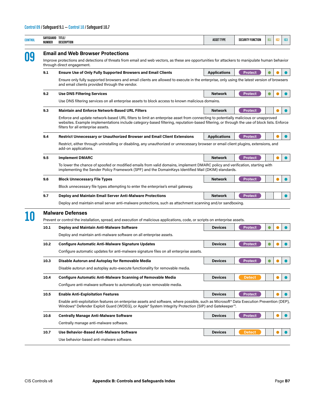| <b>CONTROL</b> | SAFEGUARD TITLE/<br>NUMBER | DESCRIPTION                                                                                                                                                                                                                                                                                                          | <b>ASSET TYPE</b>   | <b>SECURITY FUNCTION</b> | IG1       | IG <sub>2</sub> | 163       |  |  |  |  |  |  |
|----------------|----------------------------|----------------------------------------------------------------------------------------------------------------------------------------------------------------------------------------------------------------------------------------------------------------------------------------------------------------------|---------------------|--------------------------|-----------|-----------------|-----------|--|--|--|--|--|--|
|                |                            | <b>Email and Web Browser Protections</b>                                                                                                                                                                                                                                                                             |                     |                          |           |                 |           |  |  |  |  |  |  |
| 09             |                            | Improve protections and detections of threats from email and web vectors, as these are opportunities for attackers to manipulate human behavior<br>through direct engagement.                                                                                                                                        |                     |                          |           |                 |           |  |  |  |  |  |  |
|                | 9.1                        | <b>Ensure Use of Only Fully Supported Browsers and Email Clients</b>                                                                                                                                                                                                                                                 | <b>Applications</b> | <b>Protect</b>           |           |                 |           |  |  |  |  |  |  |
|                |                            | Ensure only fully supported browsers and email clients are allowed to execute in the enterprise, only using the latest version of browsers<br>and email clients provided through the vendor.                                                                                                                         |                     |                          |           |                 |           |  |  |  |  |  |  |
|                | 9.2                        | <b>Use DNS Filtering Services</b>                                                                                                                                                                                                                                                                                    | <b>Network</b>      | <b>Protect</b>           |           |                 |           |  |  |  |  |  |  |
|                |                            | Use DNS filtering services on all enterprise assets to block access to known malicious domains.                                                                                                                                                                                                                      |                     |                          |           |                 |           |  |  |  |  |  |  |
|                | 9.3                        | <b>Maintain and Enforce Network-Based URL Filters</b>                                                                                                                                                                                                                                                                | <b>Network</b>      | Protect                  |           |                 | $\bullet$ |  |  |  |  |  |  |
|                |                            | Enforce and update network-based URL filters to limit an enterprise asset from connecting to potentially malicious or unapproved<br>websites. Example implementations include category-based filtering, reputation-based filtering, or through the use of block lists. Enforce<br>filters for all enterprise assets. |                     |                          |           |                 |           |  |  |  |  |  |  |
|                | 9.4                        | <b>Restrict Unnecessary or Unauthorized Browser and Email Client Extensions</b>                                                                                                                                                                                                                                      | <b>Applications</b> | <b>Protect</b>           |           |                 |           |  |  |  |  |  |  |
|                |                            | Restrict, either through uninstalling or disabling, any unauthorized or unnecessary browser or email client plugins, extensions, and<br>add-on applications.                                                                                                                                                         |                     |                          |           |                 |           |  |  |  |  |  |  |
|                | 9.5                        | <b>Implement DMARC</b>                                                                                                                                                                                                                                                                                               | <b>Network</b>      | <b>Protect</b>           |           |                 |           |  |  |  |  |  |  |
|                |                            | To lower the chance of spoofed or modified emails from valid domains, implement DMARC policy and verification, starting with<br>implementing the Sender Policy Framework (SPF) and the DomainKeys Identified Mail (DKIM) standards.                                                                                  |                     |                          |           |                 |           |  |  |  |  |  |  |
|                | 9.6                        | <b>Block Unnecessary File Types</b>                                                                                                                                                                                                                                                                                  | <b>Network</b>      | <b>Protect</b>           |           |                 |           |  |  |  |  |  |  |
|                |                            | Block unnecessary file types attempting to enter the enterprise's email gateway.                                                                                                                                                                                                                                     |                     |                          |           |                 |           |  |  |  |  |  |  |
|                | 9.7                        | <b>Deploy and Maintain Email Server Anti-Malware Protections</b>                                                                                                                                                                                                                                                     | <b>Network</b>      | <b>Protect</b>           |           |                 |           |  |  |  |  |  |  |
|                |                            | Deploy and maintain email server anti-malware protections, such as attachment scanning and/or sandboxing.                                                                                                                                                                                                            |                     |                          |           |                 |           |  |  |  |  |  |  |
|                |                            | <b>Malware Defenses</b>                                                                                                                                                                                                                                                                                              |                     |                          |           |                 |           |  |  |  |  |  |  |
|                |                            | Prevent or control the installation, spread, and execution of malicious applications, code, or scripts on enterprise assets.                                                                                                                                                                                         |                     |                          |           |                 |           |  |  |  |  |  |  |
|                | 10.1                       | <b>Deploy and Maintain Anti-Malware Software</b>                                                                                                                                                                                                                                                                     | <b>Devices</b>      | <b>Protect</b>           | $\bullet$ |                 |           |  |  |  |  |  |  |
|                |                            | Deploy and maintain anti-malware software on all enterprise assets.                                                                                                                                                                                                                                                  |                     |                          |           |                 |           |  |  |  |  |  |  |
|                | 10.2                       | <b>Configure Automatic Anti-Malware Signature Updates</b>                                                                                                                                                                                                                                                            | <b>Devices</b>      | <b>Protect</b>           |           |                 |           |  |  |  |  |  |  |
|                |                            | Configure automatic updates for anti-malware signature files on all enterprise assets.                                                                                                                                                                                                                               |                     |                          |           |                 |           |  |  |  |  |  |  |
|                | 10.3                       | Disable Autorun and Autoplay for Removable Media                                                                                                                                                                                                                                                                     | <b>Devices</b>      | <b>Protect</b>           |           |                 |           |  |  |  |  |  |  |
|                |                            | Disable autorun and autoplay auto-execute functionality for removable media.                                                                                                                                                                                                                                         |                     |                          |           |                 |           |  |  |  |  |  |  |
|                | 10.4                       | <b>Configure Automatic Anti-Malware Scanning of Removable Media</b>                                                                                                                                                                                                                                                  | <b>Devices</b>      | <b>Detect</b>            |           |                 |           |  |  |  |  |  |  |
|                |                            | Configure anti-malware software to automatically scan removable media.                                                                                                                                                                                                                                               |                     |                          |           |                 |           |  |  |  |  |  |  |
|                | 10.5                       | <b>Enable Anti-Exploitation Features</b>                                                                                                                                                                                                                                                                             | <b>Devices</b>      | <b>Protect</b>           |           |                 | $\bullet$ |  |  |  |  |  |  |
|                |                            | Enable anti-exploitation features on enterprise assets and software, where possible, such as Microsoft® Data Execution Prevention (DEP),<br>Windows® Defender Exploit Guard (WDEG), or Apple® System Integrity Protection (SIP) and Gatekeeper™.                                                                     |                     |                          |           |                 |           |  |  |  |  |  |  |
|                | 10.6                       | <b>Centrally Manage Anti-Malware Software</b>                                                                                                                                                                                                                                                                        | <b>Devices</b>      | <b>Protect</b>           |           |                 | $\bullet$ |  |  |  |  |  |  |
|                |                            | Centrally manage anti-malware software.                                                                                                                                                                                                                                                                              |                     |                          |           |                 |           |  |  |  |  |  |  |
|                | 10.7                       | <b>Use Behavior-Based Anti-Malware Software</b>                                                                                                                                                                                                                                                                      | <b>Devices</b>      | <b>Detect</b>            |           |                 |           |  |  |  |  |  |  |
|                |                            | Use behavior-based anti-malware software.                                                                                                                                                                                                                                                                            |                     |                          |           |                 |           |  |  |  |  |  |  |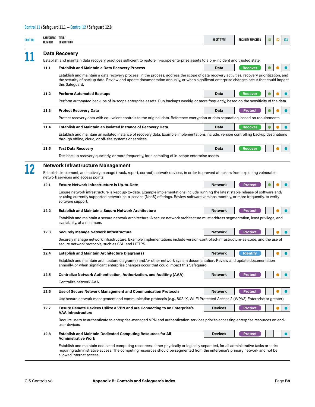| <b>CONTROL</b> | SAFEGUARD TITLE/<br>NUMBER                                                                                                                                                                                                      | DESCRIPTION                                                                                                                                                                                                                                                                                             | <b>ASSET TYPE</b> | <b>SECURITY FUNCTION</b> | IG1 | IG <sub>2</sub> | IG <sub>3</sub> |  |  |  |  |
|----------------|---------------------------------------------------------------------------------------------------------------------------------------------------------------------------------------------------------------------------------|---------------------------------------------------------------------------------------------------------------------------------------------------------------------------------------------------------------------------------------------------------------------------------------------------------|-------------------|--------------------------|-----|-----------------|-----------------|--|--|--|--|
|                |                                                                                                                                                                                                                                 | <b>Data Recovery</b><br>Establish and maintain data recovery practices sufficient to restore in-scope enterprise assets to a pre-incident and trusted state.                                                                                                                                            |                   |                          |     |                 |                 |  |  |  |  |
|                | 11.1                                                                                                                                                                                                                            | <b>Establish and Maintain a Data Recovery Process</b>                                                                                                                                                                                                                                                   | Data              | <b>Recover</b>           |     |                 |                 |  |  |  |  |
|                |                                                                                                                                                                                                                                 | Establish and maintain a data recovery process. In the process, address the scope of data recovery activities, recovery prioritization, and<br>the security of backup data. Review and update documentation annually, or when significant enterprise changes occur that could impact<br>this Safeguard. |                   |                          |     |                 |                 |  |  |  |  |
|                | 11.2                                                                                                                                                                                                                            | <b>Perform Automated Backups</b>                                                                                                                                                                                                                                                                        | <b>Data</b>       | <b>Recover</b>           |     |                 |                 |  |  |  |  |
|                |                                                                                                                                                                                                                                 | Perform automated backups of in-scope enterprise assets. Run backups weekly, or more frequently, based on the sensitivity of the data.                                                                                                                                                                  |                   |                          |     |                 |                 |  |  |  |  |
|                | 11.3                                                                                                                                                                                                                            | <b>Protect Recovery Data</b>                                                                                                                                                                                                                                                                            | Data              | <b>Protect</b>           |     |                 |                 |  |  |  |  |
|                |                                                                                                                                                                                                                                 | Protect recovery data with equivalent controls to the original data. Reference encryption or data separation, based on requirements.                                                                                                                                                                    |                   |                          |     |                 |                 |  |  |  |  |
|                | 11.4                                                                                                                                                                                                                            | <b>Establish and Maintain an Isolated Instance of Recovery Data</b>                                                                                                                                                                                                                                     | <b>Data</b>       | <b>Recover</b>           |     |                 |                 |  |  |  |  |
|                |                                                                                                                                                                                                                                 | Establish and maintain an isolated instance of recovery data. Example implementations include, version controlling backup destinations<br>through offline, cloud, or off-site systems or services.                                                                                                      |                   |                          |     |                 |                 |  |  |  |  |
|                | 11.5                                                                                                                                                                                                                            | <b>Test Data Recovery</b>                                                                                                                                                                                                                                                                               | Data              | Recover                  |     |                 |                 |  |  |  |  |
|                |                                                                                                                                                                                                                                 | Test backup recovery quarterly, or more frequently, for a sampling of in-scope enterprise assets.                                                                                                                                                                                                       |                   |                          |     |                 |                 |  |  |  |  |
|                | <b>Network Infrastructure Management</b><br>Establish, implement, and actively manage (track, report, correct) network devices, in order to prevent attackers from exploiting vulnerable<br>network services and access points. |                                                                                                                                                                                                                                                                                                         |                   |                          |     |                 |                 |  |  |  |  |
|                | 12.1                                                                                                                                                                                                                            | <b>Ensure Network Infrastructure is Up-to-Date</b>                                                                                                                                                                                                                                                      | <b>Network</b>    | <b>Protect</b>           |     |                 |                 |  |  |  |  |
|                |                                                                                                                                                                                                                                 | Ensure network infrastructure is kept up-to-date. Example implementations include running the latest stable release of software and/<br>or using currently supported network-as-a-service (NaaS) offerings. Review software versions monthly, or more frequently, to verify<br>software support.        |                   |                          |     |                 |                 |  |  |  |  |
|                | 12.2                                                                                                                                                                                                                            | <b>Establish and Maintain a Secure Network Architecture</b>                                                                                                                                                                                                                                             | <b>Network</b>    | <b>Protect</b>           |     |                 |                 |  |  |  |  |
|                |                                                                                                                                                                                                                                 | Establish and maintain a secure network architecture. A secure network architecture must address segmentation, least privilege, and<br>availability, at a minimum.                                                                                                                                      |                   |                          |     |                 |                 |  |  |  |  |
|                | 12.3                                                                                                                                                                                                                            | <b>Securely Manage Network Infrastructure</b>                                                                                                                                                                                                                                                           | <b>Network</b>    | <b>Protect</b>           |     |                 |                 |  |  |  |  |
|                |                                                                                                                                                                                                                                 | Securely manage network infrastructure. Example implementations include version-controlled-infrastructure-as-code, and the use of<br>secure network protocols, such as SSH and HTTPS.                                                                                                                   |                   |                          |     |                 |                 |  |  |  |  |
|                | 12.4                                                                                                                                                                                                                            | <b>Establish and Maintain Architecture Diagram(s)</b>                                                                                                                                                                                                                                                   | <b>Network</b>    | <b>Identify</b>          |     |                 |                 |  |  |  |  |
|                |                                                                                                                                                                                                                                 | Establish and maintain architecture diagram(s) and/or other network system documentation. Review and update documentation<br>annually, or when significant enterprise changes occur that could impact this Safeguard.                                                                                   |                   |                          |     |                 |                 |  |  |  |  |
|                | 12.5                                                                                                                                                                                                                            | <b>Centralize Network Authentication, Authorization, and Auditing (AAA)</b>                                                                                                                                                                                                                             | <b>Network</b>    | <b>Protect</b>           |     |                 |                 |  |  |  |  |
|                |                                                                                                                                                                                                                                 | Centralize network AAA.                                                                                                                                                                                                                                                                                 |                   |                          |     |                 |                 |  |  |  |  |
|                | 12.6                                                                                                                                                                                                                            | Use of Secure Network Management and Communication Protocols                                                                                                                                                                                                                                            | <b>Network</b>    | <b>Protect</b>           |     |                 |                 |  |  |  |  |
|                |                                                                                                                                                                                                                                 | Use secure network management and communication protocols (e.g., 802.1X, Wi-Fi Protected Access 2 (WPA2) Enterprise or greater).                                                                                                                                                                        |                   |                          |     |                 |                 |  |  |  |  |
|                | 12.7                                                                                                                                                                                                                            | <b>Ensure Remote Devices Utilize a VPN and are Connecting to an Enterprise's</b><br><b>AAA Infrastructure</b>                                                                                                                                                                                           | <b>Devices</b>    | <b>Protect</b>           |     |                 |                 |  |  |  |  |
|                |                                                                                                                                                                                                                                 | Require users to authenticate to enterprise-managed VPN and authentication services prior to accessing enterprise resources on end-<br>user devices.                                                                                                                                                    |                   |                          |     |                 |                 |  |  |  |  |
|                | 12.8                                                                                                                                                                                                                            | <b>Establish and Maintain Dedicated Computing Resources for All</b><br><b>Administrative Work</b>                                                                                                                                                                                                       | <b>Devices</b>    | <b>Protect</b>           |     |                 | $\bullet$       |  |  |  |  |
|                |                                                                                                                                                                                                                                 | Establish and maintain dedicated computing resources, either physically or logically separated, for all administrative tasks or tasks<br>requiring administrative access. The computing resources should be segmented from the enterprise's primary network and not be<br>allowed internet access.      |                   |                          |     |                 |                 |  |  |  |  |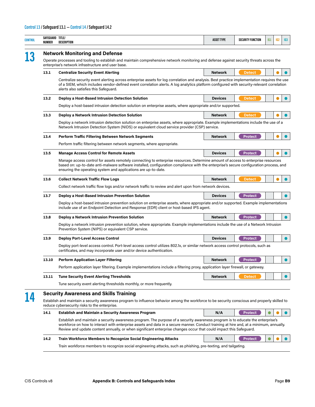| CONTROL | SAFEGUARD TITLE/<br>NUMBER | DESCRIPTION                                                                                                                                                                                                                                                                                                                                                                                     | <b>ASSET TYPE</b> | <b>SECURITY FUNCTION</b> | IG1 | 162 | IG <sub>3</sub> |  |  |  |
|---------|----------------------------|-------------------------------------------------------------------------------------------------------------------------------------------------------------------------------------------------------------------------------------------------------------------------------------------------------------------------------------------------------------------------------------------------|-------------------|--------------------------|-----|-----|-----------------|--|--|--|
|         |                            | <b>Network Monitoring and Defense</b>                                                                                                                                                                                                                                                                                                                                                           |                   |                          |     |     |                 |  |  |  |
| 13      |                            | Operate processes and tooling to establish and maintain comprehensive network monitoring and defense against security threats across the<br>enterprise's network infrastructure and user base.                                                                                                                                                                                                  |                   |                          |     |     |                 |  |  |  |
|         | 13.1                       | <b>Centralize Security Event Alerting</b>                                                                                                                                                                                                                                                                                                                                                       | <b>Network</b>    | <b>Detect</b>            |     |     |                 |  |  |  |
|         |                            | Centralize security event alerting across enterprise assets for log correlation and analysis. Best practice implementation requires the use<br>of a SIEM, which includes vendor-defined event correlation alerts. A log analytics platform configured with security-relevant correlation<br>alerts also satisfies this Safequard.                                                               |                   |                          |     |     |                 |  |  |  |
|         | 13.2                       | Deploy a Host-Based Intrusion Detection Solution                                                                                                                                                                                                                                                                                                                                                | <b>Devices</b>    | <b>Detect</b>            |     |     |                 |  |  |  |
|         |                            | Deploy a host-based intrusion detection solution on enterprise assets, where appropriate and/or supported.                                                                                                                                                                                                                                                                                      |                   |                          |     |     |                 |  |  |  |
|         | 13.3                       | Deploy a Network Intrusion Detection Solution                                                                                                                                                                                                                                                                                                                                                   | <b>Network</b>    | <b>Detect</b>            |     |     |                 |  |  |  |
|         |                            | Deploy a network intrusion detection solution on enterprise assets, where appropriate. Example implementations include the use of a<br>Network Intrusion Detection System (NIDS) or equivalent cloud service provider (CSP) service.                                                                                                                                                            |                   |                          |     |     |                 |  |  |  |
|         | 13.4                       | Perform Traffic Filtering Between Network Segments                                                                                                                                                                                                                                                                                                                                              | <b>Network</b>    | <b>Protect</b>           |     |     |                 |  |  |  |
|         |                            | Perform traffic filtering between network segments, where appropriate.                                                                                                                                                                                                                                                                                                                          |                   |                          |     |     |                 |  |  |  |
|         | 13.5                       | <b>Manage Access Control for Remote Assets</b>                                                                                                                                                                                                                                                                                                                                                  | <b>Devices</b>    | <b>Protect</b>           |     |     | $\bullet$       |  |  |  |
|         |                            | Manage access control for assets remotely connecting to enterprise resources. Determine amount of access to enterprise resources<br>based on: up-to-date anti-malware software installed, configuration compliance with the enterprise's secure configuration process, and<br>ensuring the operating system and applications are up-to-date.                                                    |                   |                          |     |     |                 |  |  |  |
|         | 13.6                       | <b>Collect Network Traffic Flow Logs</b>                                                                                                                                                                                                                                                                                                                                                        | <b>Network</b>    | <b>Detect</b>            |     |     |                 |  |  |  |
|         |                            | Collect network traffic flow logs and/or network traffic to review and alert upon from network devices.                                                                                                                                                                                                                                                                                         |                   |                          |     |     |                 |  |  |  |
|         | 13.7                       | Deploy a Host-Based Intrusion Prevention Solution                                                                                                                                                                                                                                                                                                                                               | <b>Devices</b>    | <b>Protect</b>           |     |     |                 |  |  |  |
|         |                            | Deploy a host-based intrusion prevention solution on enterprise assets, where appropriate and/or supported. Example implementations<br>include use of an Endpoint Detection and Response (EDR) client or host-based IPS agent.                                                                                                                                                                  |                   |                          |     |     |                 |  |  |  |
|         | 13.8                       | Deploy a Network Intrusion Prevention Solution                                                                                                                                                                                                                                                                                                                                                  | <b>Network</b>    | <b>Protect</b>           |     |     |                 |  |  |  |
|         |                            | Deploy a network intrusion prevention solution, where appropriate. Example implementations include the use of a Network Intrusion<br>Prevention System (NIPS) or equivalent CSP service.                                                                                                                                                                                                        |                   |                          |     |     |                 |  |  |  |
|         | 13.9                       | <b>Deploy Port-Level Access Control</b>                                                                                                                                                                                                                                                                                                                                                         | <b>Devices</b>    | <b>Protect</b>           |     |     |                 |  |  |  |
|         |                            | Deploy port-level access control. Port-level access control utilizes 802.1x, or similar network access control protocols, such as<br>certificates, and may incorporate user and/or device authentication.                                                                                                                                                                                       |                   |                          |     |     |                 |  |  |  |
|         | 13.10                      | <b>Perform Application Layer Filtering</b>                                                                                                                                                                                                                                                                                                                                                      | <b>Network</b>    | <b>Protect</b>           |     |     |                 |  |  |  |
|         |                            | Perform application layer filtering. Example implementations include a filtering proxy, application layer firewall, or gateway.                                                                                                                                                                                                                                                                 |                   |                          |     |     |                 |  |  |  |
|         | 13.11                      | <b>Tune Security Event Alerting Thresholds</b>                                                                                                                                                                                                                                                                                                                                                  | <b>Network</b>    | <b>Detect</b>            |     |     | $\bullet$       |  |  |  |
|         |                            | Tune security event alerting thresholds monthly, or more frequently.                                                                                                                                                                                                                                                                                                                            |                   |                          |     |     |                 |  |  |  |
| 14      |                            | <b>Security Awareness and Skills Training</b>                                                                                                                                                                                                                                                                                                                                                   |                   |                          |     |     |                 |  |  |  |
|         |                            | Establish and maintain a security awareness program to influence behavior among the workforce to be security conscious and properly skilled to<br>reduce cybersecurity risks to the enterprise.                                                                                                                                                                                                 |                   |                          |     |     |                 |  |  |  |
|         | 14.1                       | <b>Establish and Maintain a Security Awareness Program</b>                                                                                                                                                                                                                                                                                                                                      | N/A               | <b>Protect</b>           |     |     | $\bullet$       |  |  |  |
|         |                            | Establish and maintain a security awareness program. The purpose of a security awareness program is to educate the enterprise's<br>workforce on how to interact with enterprise assets and data in a secure manner. Conduct training at hire and, at a minimum, annually.<br>Review and update content annually, or when significant enterprise changes occur that could impact this Safeguard. |                   |                          |     |     |                 |  |  |  |
|         | 14.2                       | <b>Train Workforce Members to Recognize Social Engineering Attacks</b>                                                                                                                                                                                                                                                                                                                          | N/A               | <b>Protect</b>           |     |     |                 |  |  |  |
|         |                            | Train workforce members to recognize social engineering attacks, such as phishing, pre-texting, and tailgating.                                                                                                                                                                                                                                                                                 |                   |                          |     |     |                 |  |  |  |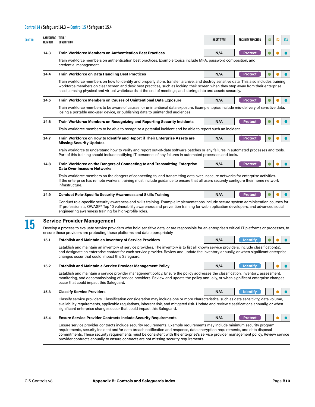#### **Control 14 / Safeguard 14.3 — Control 15 / Safeguard 15.4**

| <b>CONTROL</b> | SAFEGUARD TITLE/<br>NUMBER | DESCRIPTION                                                                                                                                                                                                                                                                                                                                                                                                                                                                                   | <b>ASSET TYPE</b> | <b>SECURITY FUNCTION</b> | IG1       | 162 | IG <sub>3</sub> |
|----------------|----------------------------|-----------------------------------------------------------------------------------------------------------------------------------------------------------------------------------------------------------------------------------------------------------------------------------------------------------------------------------------------------------------------------------------------------------------------------------------------------------------------------------------------|-------------------|--------------------------|-----------|-----|-----------------|
|                | 14.3                       | <b>Train Workforce Members on Authentication Best Practices</b>                                                                                                                                                                                                                                                                                                                                                                                                                               | N/A               | <b>Protect</b>           |           |     |                 |
|                |                            | Train workforce members on authentication best practices. Example topics include MFA, password composition, and<br>credential management.                                                                                                                                                                                                                                                                                                                                                     |                   |                          |           |     |                 |
|                | 14.4                       | <b>Train Workforce on Data Handling Best Practices</b>                                                                                                                                                                                                                                                                                                                                                                                                                                        | N/A               | <b>Protect</b>           |           |     |                 |
|                |                            | Train workforce members on how to identify and properly store, transfer, archive, and destroy sensitive data. This also includes training<br>workforce members on clear screen and desk best practices, such as locking their screen when they step away from their enterprise<br>asset, erasing physical and virtual whiteboards at the end of meetings, and storing data and assets securely.                                                                                               |                   |                          |           |     |                 |
|                | 14.5                       | Train Workforce Members on Causes of Unintentional Data Exposure                                                                                                                                                                                                                                                                                                                                                                                                                              | N/A               | <b>Protect</b>           |           |     |                 |
|                |                            | Train workforce members to be aware of causes for unintentional data exposure. Example topics include mis-delivery of sensitive data,<br>losing a portable end-user device, or publishing data to unintended audiences.                                                                                                                                                                                                                                                                       |                   |                          |           |     |                 |
|                | 14.6                       | Train Workforce Members on Recognizing and Reporting Security Incidents                                                                                                                                                                                                                                                                                                                                                                                                                       | N/A               | <b>Protect</b>           |           |     |                 |
|                |                            | Train workforce members to be able to recognize a potential incident and be able to report such an incident.                                                                                                                                                                                                                                                                                                                                                                                  |                   |                          |           |     |                 |
|                | 14.7                       | Train Workforce on How to Identify and Report if Their Enterprise Assets are<br><b>Missing Security Updates</b>                                                                                                                                                                                                                                                                                                                                                                               | N/A               | <b>Protect</b>           |           |     |                 |
|                |                            | Train workforce to understand how to verify and report out-of-date software patches or any failures in automated processes and tools.<br>Part of this training should include notifying IT personnel of any failures in automated processes and tools.                                                                                                                                                                                                                                        |                   |                          |           |     |                 |
|                | 14.8                       | Train Workforce on the Dangers of Connecting to and Transmitting Enterprise<br>Data Over Insecure Networks                                                                                                                                                                                                                                                                                                                                                                                    | N/A               | <b>Protect</b>           | $\bullet$ |     |                 |
|                |                            | Train workforce members on the dangers of connecting to, and transmitting data over, insecure networks for enterprise activities.<br>If the enterprise has remote workers, training must include guidance to ensure that all users securely configure their home network<br>infrastructure.                                                                                                                                                                                                   |                   |                          |           |     |                 |
|                | 14.9                       | <b>Conduct Role-Specific Security Awareness and Skills Training</b>                                                                                                                                                                                                                                                                                                                                                                                                                           | N/A               | <b>Protect</b>           |           |     |                 |
|                |                            | Conduct role-specific security awareness and skills training. Example implementations include secure system administration courses for<br>IT professionals, OWASP® Top 10 vulnerability awareness and prevention training for web application developers, and advanced social<br>engineering awareness training for high-profile roles.                                                                                                                                                       |                   |                          |           |     |                 |
|                |                            | <b>Service Provider Management</b>                                                                                                                                                                                                                                                                                                                                                                                                                                                            |                   |                          |           |     |                 |
| 15             |                            | Develop a process to evaluate service providers who hold sensitive data, or are responsible for an enterprise's critical IT platforms or processes, to<br>ensure these providers are protecting those platforms and data appropriately.                                                                                                                                                                                                                                                       |                   |                          |           |     |                 |
|                | 15.1                       | <b>Establish and Maintain an Inventory of Service Providers</b>                                                                                                                                                                                                                                                                                                                                                                                                                               | N/A               | <b>Identify</b>          |           |     |                 |
|                |                            | Establish and maintain an inventory of service providers. The inventory is to list all known service providers, include classification(s),<br>and designate an enterprise contact for each service provider. Review and update the inventory annually, or when significant enterprise<br>changes occur that could impact this Safeguard.                                                                                                                                                      |                   |                          |           |     |                 |
|                | 15.2                       | <b>Establish and Maintain a Service Provider Management Policy</b>                                                                                                                                                                                                                                                                                                                                                                                                                            | N/A               | <b>Identify</b>          |           |     |                 |
|                |                            | Establish and maintain a service provider management policy. Ensure the policy addresses the classification, inventory, assessment,<br>monitoring, and decommissioning of service providers. Review and update the policy annually, or when significant enterprise changes<br>occur that could impact this Safeguard.                                                                                                                                                                         |                   |                          |           |     |                 |
|                | 15.3                       | <b>Classify Service Providers</b>                                                                                                                                                                                                                                                                                                                                                                                                                                                             | N/A               | <b>Identify</b>          |           |     |                 |
|                |                            | Classify service providers. Classification consideration may include one or more characteristics, such as data sensitivity, data volume,<br>availability requirements, applicable regulations, inherent risk, and mitigated risk. Update and review classifications annually, or when<br>significant enterprise changes occur that could impact this Safeguard.                                                                                                                               |                   |                          |           |     |                 |
|                | 15.4                       | <b>Ensure Service Provider Contracts Include Security Requirements</b>                                                                                                                                                                                                                                                                                                                                                                                                                        | N/A               | <b>Protect</b>           |           |     |                 |
|                |                            | Ensure service provider contracts include security requirements. Example requirements may include minimum security program<br>requirements, security incident and/or data breach notification and response, data encryption requirements, and data disposal<br>commitments. These security requirements must be consistent with the enterprise's service provider management policy. Review service<br>provider contracts annually to ensure contracts are not missing security requirements. |                   |                          |           |     |                 |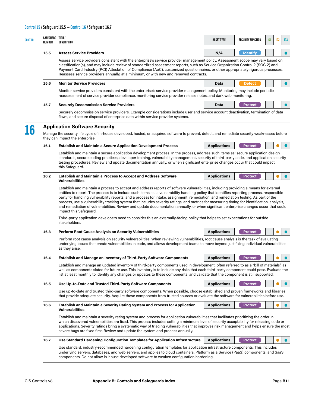l,

| SAFEGUARD TITLE/<br>CONTROL<br>NUMBER | DESCRIPTION                                                                                                                                                                                                                                                                                                                                                                                                                                                                                                                                                                                                                                                                                                                                   | <b>ASSET TYPE</b>   | <b>SECURITY FUNCTION</b> | IG1 | IG <sub>2</sub> | 163 |  |  |  |  |
|---------------------------------------|-----------------------------------------------------------------------------------------------------------------------------------------------------------------------------------------------------------------------------------------------------------------------------------------------------------------------------------------------------------------------------------------------------------------------------------------------------------------------------------------------------------------------------------------------------------------------------------------------------------------------------------------------------------------------------------------------------------------------------------------------|---------------------|--------------------------|-----|-----------------|-----|--|--|--|--|
| 15.5                                  | <b>Assess Service Providers</b>                                                                                                                                                                                                                                                                                                                                                                                                                                                                                                                                                                                                                                                                                                               | N/A                 | <b>Identify</b>          |     |                 |     |  |  |  |  |
|                                       | Assess service providers consistent with the enterprise's service provider management policy. Assessment scope may vary based on<br>classification(s), and may include review of standardized assessment reports, such as Service Organization Control 2 (SOC 2) and<br>Payment Card Industry (PCI) Attestation of Compliance (AoC), customized questionnaires, or other appropriately rigorous processes.<br>Reassess service providers annually, at a minimum, or with new and renewed contracts.                                                                                                                                                                                                                                           |                     |                          |     |                 |     |  |  |  |  |
| 15.6                                  | <b>Monitor Service Providers</b>                                                                                                                                                                                                                                                                                                                                                                                                                                                                                                                                                                                                                                                                                                              | Data                | <b>Detect</b>            |     |                 |     |  |  |  |  |
|                                       | Monitor service providers consistent with the enterprise's service provider management policy. Monitoring may include periodic<br>reassessment of service provider compliance, monitoring service provider release notes, and dark web monitoring.                                                                                                                                                                                                                                                                                                                                                                                                                                                                                            |                     |                          |     |                 |     |  |  |  |  |
| 15.7                                  | <b>Securely Decommission Service Providers</b>                                                                                                                                                                                                                                                                                                                                                                                                                                                                                                                                                                                                                                                                                                | Data                | <b>Protect</b>           |     |                 |     |  |  |  |  |
|                                       | Securely decommission service providers. Example considerations include user and service account deactivation, termination of data<br>flows, and secure disposal of enterprise data within service provider systems.                                                                                                                                                                                                                                                                                                                                                                                                                                                                                                                          |                     |                          |     |                 |     |  |  |  |  |
| 16                                    | <b>Application Software Security</b>                                                                                                                                                                                                                                                                                                                                                                                                                                                                                                                                                                                                                                                                                                          |                     |                          |     |                 |     |  |  |  |  |
|                                       | Manage the security life cycle of in-house developed, hosted, or acquired software to prevent, detect, and remediate security weaknesses before<br>they can impact the enterprise.                                                                                                                                                                                                                                                                                                                                                                                                                                                                                                                                                            |                     |                          |     |                 |     |  |  |  |  |
| 16.1                                  | <b>Establish and Maintain a Secure Application Development Process</b>                                                                                                                                                                                                                                                                                                                                                                                                                                                                                                                                                                                                                                                                        | <b>Applications</b> | <b>Protect</b>           |     |                 |     |  |  |  |  |
|                                       | Establish and maintain a secure application development process. In the process, address such items as: secure application design<br>standards, secure coding practices, developer training, vulnerability management, security of third-party code, and application security<br>testing procedures. Review and update documentation annually, or when significant enterprise changes occur that could impact<br>this Safeguard.                                                                                                                                                                                                                                                                                                              |                     |                          |     |                 |     |  |  |  |  |
| 16.2                                  | <b>Establish and Maintain a Process to Accept and Address Software</b><br><b>Vulnerabilities</b>                                                                                                                                                                                                                                                                                                                                                                                                                                                                                                                                                                                                                                              | <b>Applications</b> | <b>Protect</b>           |     |                 |     |  |  |  |  |
|                                       | Establish and maintain a process to accept and address reports of software vulnerabilities, including providing a means for external<br>entities to report. The process is to include such items as: a vulnerability handling policy that identifies reporting process, responsible<br>party for handling vulnerability reports, and a process for intake, assignment, remediation, and remediation testing. As part of the<br>process, use a vulnerability tracking system that includes severity ratings, and metrics for measuring timing for identification, analysis,<br>and remediation of vulnerabilities. Review and update documentation annually, or when significant enterprise changes occur that could<br>impact this Safeguard. |                     |                          |     |                 |     |  |  |  |  |
|                                       | Third-party application developers need to consider this an externally-facing policy that helps to set expectations for outside<br>stakeholders.                                                                                                                                                                                                                                                                                                                                                                                                                                                                                                                                                                                              |                     |                          |     |                 |     |  |  |  |  |
| 16.3                                  | <b>Perform Root Cause Analysis on Security Vulnerabilities</b>                                                                                                                                                                                                                                                                                                                                                                                                                                                                                                                                                                                                                                                                                | <b>Applications</b> | <b>Protect</b>           |     |                 |     |  |  |  |  |
|                                       | Perform root cause analysis on security vulnerabilities. When reviewing vulnerabilities, root cause analysis is the task of evaluating<br>underlying issues that create vulnerabilities in code, and allows development teams to move beyond just fixing individual vulnerabilities<br>as they arise.                                                                                                                                                                                                                                                                                                                                                                                                                                         |                     |                          |     |                 |     |  |  |  |  |
| 16.4                                  | <b>Establish and Manage an Inventory of Third-Party Software Components</b>                                                                                                                                                                                                                                                                                                                                                                                                                                                                                                                                                                                                                                                                   | <b>Applications</b> | <b>Protect</b>           |     |                 |     |  |  |  |  |
|                                       | Establish and manage an updated inventory of third-party components used in development, often referred to as a "bill of materials," as<br>well as components slated for future use. This inventory is to include any risks that each third-party component could pose. Evaluate the<br>list at least monthly to identify any changes or updates to these components, and validate that the component is still supported.                                                                                                                                                                                                                                                                                                                     |                     |                          |     |                 |     |  |  |  |  |
| 16.5                                  | Use Up-to-Date and Trusted Third-Party Software Components                                                                                                                                                                                                                                                                                                                                                                                                                                                                                                                                                                                                                                                                                    | <b>Applications</b> | <b>Protect</b>           |     |                 |     |  |  |  |  |
|                                       | Use up-to-date and trusted third-party software components. When possible, choose established and proven frameworks and libraries<br>that provide adequate security. Acquire these components from trusted sources or evaluate the software for vulnerabilities before use.                                                                                                                                                                                                                                                                                                                                                                                                                                                                   |                     |                          |     |                 |     |  |  |  |  |
| 16.6                                  | Establish and Maintain a Severity Rating System and Process for Application<br><b>Vulnerabilities</b>                                                                                                                                                                                                                                                                                                                                                                                                                                                                                                                                                                                                                                         | <b>Applications</b> | <b>Protect</b>           |     |                 |     |  |  |  |  |
|                                       | Establish and maintain a severity rating system and process for application vulnerabilities that facilitates prioritizing the order in<br>which discovered vulnerabilities are fixed. This process includes setting a minimum level of security acceptability for releasing code or<br>applications. Severity ratings bring a systematic way of triaging vulnerabilities that improves risk management and helps ensure the most<br>severe bugs are fixed first. Review and update the system and process annually.                                                                                                                                                                                                                           |                     |                          |     |                 |     |  |  |  |  |
| 16.7                                  | Use Standard Hardening Configuration Templates for Application Infrastructure                                                                                                                                                                                                                                                                                                                                                                                                                                                                                                                                                                                                                                                                 | <b>Applications</b> | <b>Protect</b>           |     |                 |     |  |  |  |  |
|                                       | Use standard, industry-recommended hardening configuration templates for application infrastructure components. This includes<br>underlying servers, databases, and web servers, and applies to cloud containers, Platform as a Service (PaaS) components, and SaaS<br>components. Do not allow in-house developed software to weaken configuration hardening.                                                                                                                                                                                                                                                                                                                                                                                |                     |                          |     |                 |     |  |  |  |  |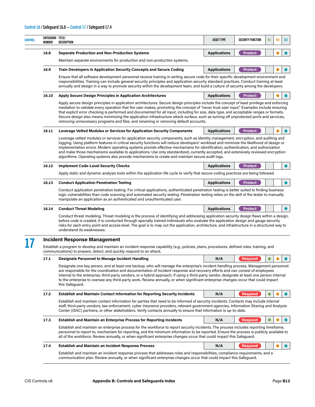| NUMBER | SAFEGUARD TITLE/<br><b>DESCRIPTION</b>                                                                                                                                                                                                                                                                                                                                                                                                                                                                                                                                                                                                                             | <b>ASSET TYPE</b>   | <b>SECURITY FUNCTION</b> | IG1 | 162 | IG <sub>3</sub> |  |  |
|--------|--------------------------------------------------------------------------------------------------------------------------------------------------------------------------------------------------------------------------------------------------------------------------------------------------------------------------------------------------------------------------------------------------------------------------------------------------------------------------------------------------------------------------------------------------------------------------------------------------------------------------------------------------------------------|---------------------|--------------------------|-----|-----|-----------------|--|--|
| 16.8   | <b>Separate Production and Non-Production Systems</b>                                                                                                                                                                                                                                                                                                                                                                                                                                                                                                                                                                                                              | <b>Applications</b> | <b>Protect</b>           |     |     |                 |  |  |
|        | Maintain separate environments for production and non-production systems.                                                                                                                                                                                                                                                                                                                                                                                                                                                                                                                                                                                          |                     |                          |     |     |                 |  |  |
| 16.9   | <b>Train Developers in Application Security Concepts and Secure Coding</b>                                                                                                                                                                                                                                                                                                                                                                                                                                                                                                                                                                                         | <b>Applications</b> | <b>Protect</b>           |     |     |                 |  |  |
|        | Ensure that all software development personnel receive training in writing secure code for their specific development environment and<br>responsibilities. Training can include general security principles and application security standard practices. Conduct training at least<br>annually and design in a way to promote security within the development team, and build a culture of security among the developers.                                                                                                                                                                                                                                          |                     |                          |     |     |                 |  |  |
| 16.10  | <b>Apply Secure Design Principles in Application Architectures</b>                                                                                                                                                                                                                                                                                                                                                                                                                                                                                                                                                                                                 | <b>Applications</b> | <b>Protect</b>           |     |     |                 |  |  |
|        | Apply secure design principles in application architectures. Secure design principles include the concept of least privilege and enforcing<br>mediation to validate every operation that the user makes, promoting the concept of "never trust user input." Examples include ensuring<br>that explicit error checking is performed and documented for all input, including for size, data type, and acceptable ranges or formats.<br>Secure design also means minimizing the application infrastructure attack surface, such as turning off unprotected ports and services,<br>removing unnecessary programs and files, and renaming or removing default accounts. |                     |                          |     |     |                 |  |  |
| 16.11  | <b>Leverage Vetted Modules or Services for Application Security Components</b>                                                                                                                                                                                                                                                                                                                                                                                                                                                                                                                                                                                     | <b>Applications</b> | <b>Protect</b>           |     |     |                 |  |  |
|        | Leverage vetted modules or services for application security components, such as identity management, encryption, and auditing and<br>logging. Using platform features in critical security functions will reduce developers' workload and minimize the likelihood of design or<br>implementation errors. Modern operating systems provide effective mechanisms for identification, authentication, and authorization<br>and make those mechanisms available to applications. Use only standardized, currently accepted, and extensively reviewed encryption<br>algorithms. Operating systems also provide mechanisms to create and maintain secure audit logs.    |                     |                          |     |     |                 |  |  |
| 16.12  | <b>Implement Code-Level Security Checks</b>                                                                                                                                                                                                                                                                                                                                                                                                                                                                                                                                                                                                                        | <b>Applications</b> | <b>Protect</b>           |     |     | $\bullet$       |  |  |
|        | Apply static and dynamic analysis tools within the application life cycle to verify that secure coding practices are being followed.                                                                                                                                                                                                                                                                                                                                                                                                                                                                                                                               |                     |                          |     |     |                 |  |  |
| 16.13  | <b>Conduct Application Penetration Testing</b>                                                                                                                                                                                                                                                                                                                                                                                                                                                                                                                                                                                                                     | <b>Applications</b> | <b>Protect</b>           |     |     |                 |  |  |
|        | Conduct application penetration testing. For critical applications, authenticated penetration testing is better suited to finding business<br>logic vulnerabilities than code scanning and automated security testing. Penetration testing relies on the skill of the tester to manually<br>manipulate an application as an authenticated and unauthenticated user.                                                                                                                                                                                                                                                                                                |                     |                          |     |     |                 |  |  |
| 16.14  | <b>Conduct Threat Modeling</b>                                                                                                                                                                                                                                                                                                                                                                                                                                                                                                                                                                                                                                     | <b>Applications</b> | <b>Protect</b>           |     |     |                 |  |  |
|        | Conduct threat modeling. Threat modeling is the process of identifying and addressing application security design flaws within a design,<br>before code is created. It is conducted through specially trained individuals who evaluate the application design and gauge security<br>risks for each entry point and access level. The goal is to map out the application, architecture, and infrastructure in a structured way to<br>understand its weaknesses.                                                                                                                                                                                                     |                     |                          |     |     |                 |  |  |
|        |                                                                                                                                                                                                                                                                                                                                                                                                                                                                                                                                                                                                                                                                    |                     |                          |     |     |                 |  |  |
|        | <b>Incident Response Management</b><br>Establish a program to develop and maintain an incident response capability (e.g., policies, plans, procedures, defined roles, training, and<br>communications) to prepare, detect, and quickly respond to an attack.                                                                                                                                                                                                                                                                                                                                                                                                       |                     |                          |     |     |                 |  |  |
| 17.1   | <b>Designate Personnel to Manage Incident Handling</b>                                                                                                                                                                                                                                                                                                                                                                                                                                                                                                                                                                                                             | N/A                 | Respond                  |     |     |                 |  |  |
|        | Designate one key person, and at least one backup, who will manage the enterprise's incident handling process. Management personnel<br>are responsible for the coordination and documentation of incident response and recovery efforts and can consist of employees<br>internal to the enterprise, third-party vendors, or a hybrid approach. If using a third-party vendor, designate at least one person internal<br>to the enterprise to oversee any third-party work. Review annually, or when significant enterprise changes occur that could impact<br>this Safeguard.                                                                                      |                     |                          |     |     |                 |  |  |
| 17.2   | <b>Establish and Maintain Contact Information for Reporting Security Incidents</b>                                                                                                                                                                                                                                                                                                                                                                                                                                                                                                                                                                                 | N/A                 | <b>Respond</b>           |     |     |                 |  |  |
|        | Establish and maintain contact information for parties that need to be informed of security incidents. Contacts may include internal<br>staff, third-party vendors, law enforcement, cyber insurance providers, relevant government agencies, Information Sharing and Analysis<br>Center (ISAC) partners, or other stakeholders. Verify contacts annually to ensure that information is up-to-date.                                                                                                                                                                                                                                                                |                     |                          |     |     |                 |  |  |
| 17.3   | <b>Establish and Maintain an Enterprise Process for Reporting Incidents</b>                                                                                                                                                                                                                                                                                                                                                                                                                                                                                                                                                                                        | N/A                 | Respond                  |     |     |                 |  |  |
|        | Establish and maintain an enterprise process for the workforce to report security incidents. The process includes reporting timeframe,<br>personnel to report to, mechanism for reporting, and the minimum information to be reported. Ensure the process is publicly available to<br>all of the workforce. Review annually, or when significant enterprise changes occur that could impact this Safeguard.                                                                                                                                                                                                                                                        |                     |                          |     |     |                 |  |  |
| 17.4   | <b>Establish and Maintain an Incident Response Process</b>                                                                                                                                                                                                                                                                                                                                                                                                                                                                                                                                                                                                         | N/A                 | <b>Respond</b>           |     |     |                 |  |  |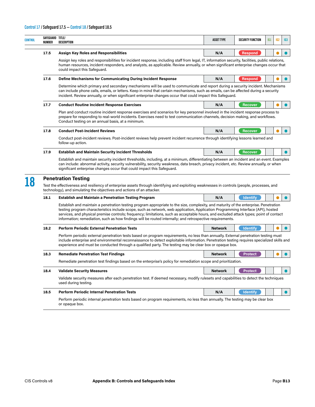| NUMBER | SAFEGUARD TITLE/<br>DESCRIPTION                                                                                                                                                                                                                                                                                                                                                                                                                                                                                                  | <b>ASSET TYPE</b> | SECURITY FUNCTION | IG1 | 162 | 163       |  |
|--------|----------------------------------------------------------------------------------------------------------------------------------------------------------------------------------------------------------------------------------------------------------------------------------------------------------------------------------------------------------------------------------------------------------------------------------------------------------------------------------------------------------------------------------|-------------------|-------------------|-----|-----|-----------|--|
| 17.5   | <b>Assign Key Roles and Responsibilities</b>                                                                                                                                                                                                                                                                                                                                                                                                                                                                                     | N/A               | <b>Respond</b>    |     |     |           |  |
|        | Assign key roles and responsibilities for incident response, including staff from legal, IT, information security, facilities, public relations,<br>human resources, incident responders, and analysts, as applicable. Review annually, or when significant enterprise changes occur that<br>could impact this Safeguard.                                                                                                                                                                                                        |                   |                   |     |     |           |  |
| 17.6   | <b>Define Mechanisms for Communicating During Incident Response</b>                                                                                                                                                                                                                                                                                                                                                                                                                                                              | N/A               | Respond           |     |     |           |  |
|        | Determine which primary and secondary mechanisms will be used to communicate and report during a security incident. Mechanisms<br>can include phone calls, emails, or letters. Keep in mind that certain mechanisms, such as emails, can be affected during a security<br>incident. Review annually, or when significant enterprise changes occur that could impact this Safeguard.                                                                                                                                              |                   |                   |     |     |           |  |
| 17.7   | <b>Conduct Routine Incident Response Exercises</b>                                                                                                                                                                                                                                                                                                                                                                                                                                                                               | N/A               | <b>Recover</b>    |     |     |           |  |
|        | Plan and conduct routine incident response exercises and scenarios for key personnel involved in the incident response process to<br>prepare for responding to real-world incidents. Exercises need to test communication channels, decision making, and workflows.<br>Conduct testing on an annual basis, at a minimum.                                                                                                                                                                                                         |                   |                   |     |     |           |  |
| 17.8   | <b>Conduct Post-Incident Reviews</b>                                                                                                                                                                                                                                                                                                                                                                                                                                                                                             | N/A               | <b>Recover</b>    |     |     |           |  |
|        | Conduct post-incident reviews. Post-incident reviews help prevent incident recurrence through identifying lessons learned and<br>follow-up action.                                                                                                                                                                                                                                                                                                                                                                               |                   |                   |     |     |           |  |
| 17.9   | <b>Establish and Maintain Security Incident Thresholds</b>                                                                                                                                                                                                                                                                                                                                                                                                                                                                       | N/A               | <b>Recover</b>    |     |     |           |  |
|        | <b>Penetration Testing</b><br>Test the effectiveness and resiliency of enterprise assets through identifying and exploiting weaknesses in controls (people, processes, and<br>technology), and simulating the objectives and actions of an attacker.                                                                                                                                                                                                                                                                             |                   |                   |     |     |           |  |
| 18.1   | <b>Establish and Maintain a Penetration Testing Program</b>                                                                                                                                                                                                                                                                                                                                                                                                                                                                      | N/A               | <b>Identify</b>   |     |     |           |  |
|        | Establish and maintain a penetration testing program appropriate to the size, complexity, and maturity of the enterprise. Penetration<br>testing program characteristics include scope, such as network, web application, Application Programming Interface (API), hosted<br>services, and physical premise controls; frequency; limitations, such as acceptable hours, and excluded attack types; point of contact<br>information; remediation, such as how findings will be routed internally; and retrospective requirements. |                   |                   |     |     |           |  |
| 18.2   | <b>Perform Periodic External Penetration Tests</b>                                                                                                                                                                                                                                                                                                                                                                                                                                                                               | <b>Network</b>    | <b>Identify</b>   |     |     |           |  |
|        | Perform periodic external penetration tests based on program requirements, no less than annually. External penetration testing must<br>include enterprise and environmental reconnaissance to detect exploitable information. Penetration testing requires specialized skills and<br>experience and must be conducted through a qualified party. The testing may be clear box or opaque box.                                                                                                                                     |                   |                   |     |     |           |  |
| 18.3   | <b>Remediate Penetration Test Findings</b>                                                                                                                                                                                                                                                                                                                                                                                                                                                                                       | <b>Network</b>    | <b>Protect</b>    |     |     |           |  |
|        | Remediate penetration test findings based on the enterprise's policy for remediation scope and prioritization.                                                                                                                                                                                                                                                                                                                                                                                                                   |                   |                   |     |     |           |  |
| 18.4   | <b>Validate Security Measures</b>                                                                                                                                                                                                                                                                                                                                                                                                                                                                                                | <b>Network</b>    | <b>Protect</b>    |     |     | $\bullet$ |  |
|        | Validate security measures after each penetration test. If deemed necessary, modify rulesets and capabilities to detect the techniques<br>used during testing.                                                                                                                                                                                                                                                                                                                                                                   |                   |                   |     |     |           |  |
| 18.5   | <b>Perform Periodic Internal Penetration Tests</b>                                                                                                                                                                                                                                                                                                                                                                                                                                                                               | N/A               | <b>Identify</b>   |     |     | $\bullet$ |  |
|        | Perform periodic internal penetration tests based on program requirements, no less than annually. The testing may be clear box<br>or opaque box.                                                                                                                                                                                                                                                                                                                                                                                 |                   |                   |     |     |           |  |